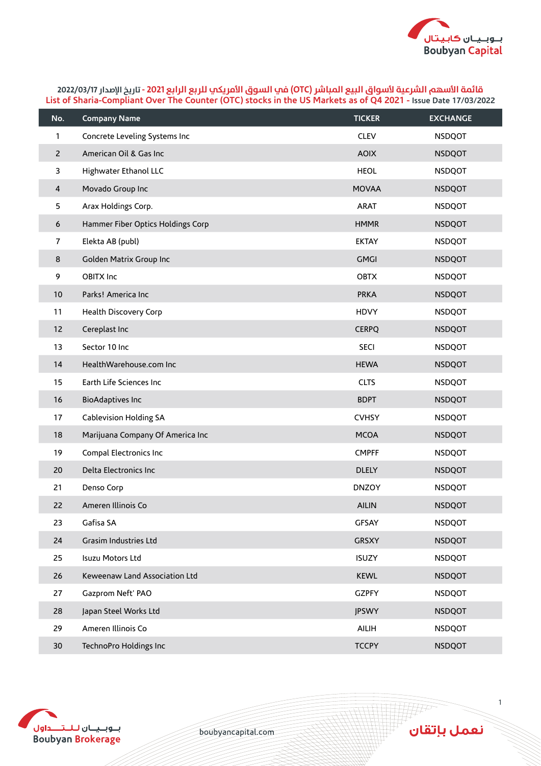

| No.            | <b>Company Name</b>               | <b>TICKER</b> | <b>EXCHANGE</b> |
|----------------|-----------------------------------|---------------|-----------------|
| 1              | Concrete Leveling Systems Inc     | <b>CLEV</b>   | <b>NSDQOT</b>   |
| $\overline{2}$ | American Oil & Gas Inc            | <b>AOIX</b>   | <b>NSDQOT</b>   |
| 3              | Highwater Ethanol LLC             | <b>HEOL</b>   | <b>NSDQOT</b>   |
| 4              | Movado Group Inc                  | <b>MOVAA</b>  | <b>NSDQOT</b>   |
| 5              | Arax Holdings Corp.               | <b>ARAT</b>   | <b>NSDQOT</b>   |
| 6              | Hammer Fiber Optics Holdings Corp | <b>HMMR</b>   | <b>NSDQOT</b>   |
| $\overline{7}$ | Elekta AB (publ)                  | <b>EKTAY</b>  | <b>NSDQOT</b>   |
| 8              | Golden Matrix Group Inc           | <b>GMGI</b>   | <b>NSDQOT</b>   |
| 9              | <b>OBITX Inc</b>                  | <b>OBTX</b>   | <b>NSDQOT</b>   |
| 10             | Parks! America Inc                | <b>PRKA</b>   | <b>NSDQOT</b>   |
| 11             | Health Discovery Corp             | <b>HDVY</b>   | <b>NSDQOT</b>   |
| 12             | Cereplast Inc                     | <b>CERPQ</b>  | <b>NSDQOT</b>   |
| 13             | Sector 10 Inc                     | <b>SECI</b>   | <b>NSDQOT</b>   |
| 14             | HealthWarehouse.com Inc           | <b>HEWA</b>   | <b>NSDQOT</b>   |
| 15             | Earth Life Sciences Inc           | <b>CLTS</b>   | <b>NSDQOT</b>   |
| 16             | <b>BioAdaptives Inc</b>           | <b>BDPT</b>   | <b>NSDQOT</b>   |
| 17             | <b>Cablevision Holding SA</b>     | <b>CVHSY</b>  | <b>NSDQOT</b>   |
| 18             | Marijuana Company Of America Inc  | <b>MCOA</b>   | <b>NSDQOT</b>   |
| 19             | Compal Electronics Inc            | <b>CMPFF</b>  | <b>NSDQOT</b>   |
| 20             | Delta Electronics Inc             | <b>DLELY</b>  | <b>NSDQOT</b>   |
| 21             | Denso Corp                        | <b>DNZOY</b>  | <b>NSDQOT</b>   |
| 22             | Ameren Illinois Co                | <b>AILIN</b>  | <b>NSDQOT</b>   |
| 23             | Gafisa SA                         | <b>GFSAY</b>  | <b>NSDQOT</b>   |
| 24             | Grasim Industries Ltd             | <b>GRSXY</b>  | <b>NSDQOT</b>   |
| 25             | Isuzu Motors Ltd                  | <b>ISUZY</b>  | <b>NSDQOT</b>   |
| 26             | Keweenaw Land Association Ltd     | <b>KEWL</b>   | <b>NSDQOT</b>   |
| 27             | Gazprom Neft' PAO                 | <b>GZPFY</b>  | <b>NSDQOT</b>   |
| 28             | Japan Steel Works Ltd             | <b>JPSWY</b>  | <b>NSDQOT</b>   |
| 29             | Ameren Illinois Co                | AILIH         | <b>NSDQOT</b>   |
| 30             | TechnoPro Holdings Inc            | <b>TCCPY</b>  | <b>NSDQOT</b>   |



boubyancapital.com

نعمل بإتقان

**THP**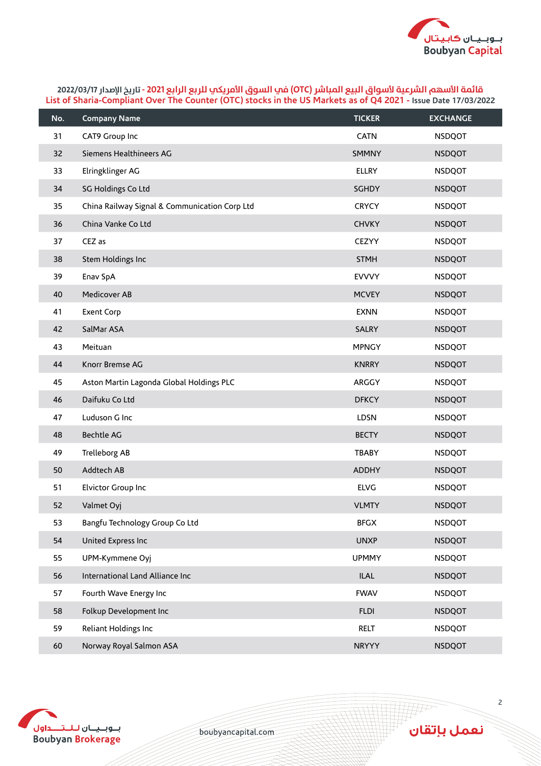

| No. | <b>Company Name</b>                           | <b>TICKER</b> | <b>EXCHANGE</b> |
|-----|-----------------------------------------------|---------------|-----------------|
| 31  | CAT9 Group Inc                                | <b>CATN</b>   | <b>NSDQOT</b>   |
| 32  | Siemens Healthineers AG                       | <b>SMMNY</b>  | <b>NSDQOT</b>   |
| 33  | Elringklinger AG                              | <b>ELLRY</b>  | <b>NSDQOT</b>   |
| 34  | SG Holdings Co Ltd                            | SGHDY         | <b>NSDQOT</b>   |
| 35  | China Railway Signal & Communication Corp Ltd | <b>CRYCY</b>  | <b>NSDQOT</b>   |
| 36  | China Vanke Co Ltd                            | <b>CHVKY</b>  | <b>NSDQOT</b>   |
| 37  | CEZ as                                        | <b>CEZYY</b>  | <b>NSDQOT</b>   |
| 38  | Stem Holdings Inc                             | <b>STMH</b>   | <b>NSDQOT</b>   |
| 39  | Enav SpA                                      | <b>EVVVY</b>  | <b>NSDQOT</b>   |
| 40  | <b>Medicover AB</b>                           | <b>MCVEY</b>  | <b>NSDQOT</b>   |
| 41  | <b>Exent Corp</b>                             | <b>EXNN</b>   | <b>NSDQOT</b>   |
| 42  | SalMar ASA                                    | <b>SALRY</b>  | <b>NSDQOT</b>   |
| 43  | Meituan                                       | <b>MPNGY</b>  | <b>NSDQOT</b>   |
| 44  | Knorr Bremse AG                               | <b>KNRRY</b>  | <b>NSDQOT</b>   |
| 45  | Aston Martin Lagonda Global Holdings PLC      | ARGGY         | <b>NSDQOT</b>   |
| 46  | Daifuku Co Ltd                                | <b>DFKCY</b>  | <b>NSDQOT</b>   |
| 47  | Luduson G Inc                                 | LDSN          | <b>NSDQOT</b>   |
| 48  | <b>Bechtle AG</b>                             | <b>BECTY</b>  | <b>NSDQOT</b>   |
| 49  | Trelleborg AB                                 | <b>TBABY</b>  | <b>NSDQOT</b>   |
| 50  | Addtech AB                                    | <b>ADDHY</b>  | <b>NSDQOT</b>   |
| 51  | Elvictor Group Inc                            | <b>ELVG</b>   | <b>NSDQOT</b>   |
| 52  | Valmet Oyj                                    | <b>VLMTY</b>  | <b>NSDQOT</b>   |
| 53  | Bangfu Technology Group Co Ltd                | <b>BFGX</b>   | <b>NSDQOT</b>   |
| 54  | United Express Inc                            | <b>UNXP</b>   | <b>NSDQOT</b>   |
| 55  | UPM-Kymmene Oyj                               | <b>UPMMY</b>  | <b>NSDQOT</b>   |
| 56  | International Land Alliance Inc               | <b>ILAL</b>   | <b>NSDQOT</b>   |
| 57  | Fourth Wave Energy Inc                        | <b>FWAV</b>   | <b>NSDQOT</b>   |
| 58  | Folkup Development Inc                        | <b>FLDI</b>   | <b>NSDQOT</b>   |
| 59  | Reliant Holdings Inc                          | RELT          | <b>NSDQOT</b>   |
| 60  | Norway Royal Salmon ASA                       | <b>NRYYY</b>  | <b>NSDQOT</b>   |



boubyancapital.com

نعمل بإتقان

**THP**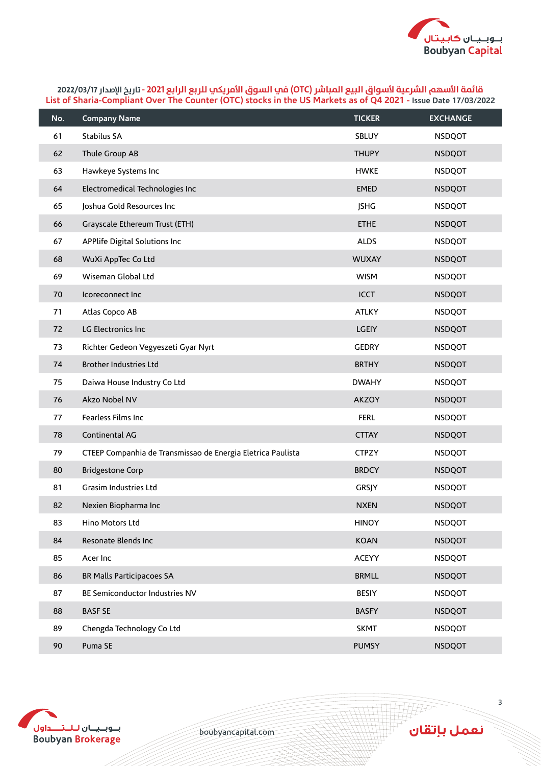

| No. | <b>Company Name</b>                                         | <b>TICKER</b> | <b>EXCHANGE</b> |
|-----|-------------------------------------------------------------|---------------|-----------------|
| 61  | Stabilus SA                                                 | SBLUY         | <b>NSDQOT</b>   |
| 62  | Thule Group AB                                              | <b>THUPY</b>  | <b>NSDQOT</b>   |
| 63  | Hawkeye Systems Inc                                         | <b>HWKE</b>   | <b>NSDQOT</b>   |
| 64  | Electromedical Technologies Inc                             | <b>EMED</b>   | <b>NSDQOT</b>   |
| 65  | Joshua Gold Resources Inc                                   | <b>JSHG</b>   | <b>NSDQOT</b>   |
| 66  | Grayscale Ethereum Trust (ETH)                              | <b>ETHE</b>   | <b>NSDQOT</b>   |
| 67  | APPlife Digital Solutions Inc                               | <b>ALDS</b>   | <b>NSDQOT</b>   |
| 68  | WuXi AppTec Co Ltd                                          | <b>WUXAY</b>  | <b>NSDQOT</b>   |
| 69  | Wiseman Global Ltd                                          | <b>WISM</b>   | <b>NSDQOT</b>   |
| 70  | Icoreconnect Inc                                            | <b>ICCT</b>   | <b>NSDQOT</b>   |
| 71  | Atlas Copco AB                                              | <b>ATLKY</b>  | <b>NSDQOT</b>   |
| 72  | LG Electronics Inc                                          | <b>LGEIY</b>  | <b>NSDQOT</b>   |
| 73  | Richter Gedeon Vegyeszeti Gyar Nyrt                         | <b>GEDRY</b>  | <b>NSDQOT</b>   |
| 74  | <b>Brother Industries Ltd</b>                               | <b>BRTHY</b>  | <b>NSDQOT</b>   |
| 75  | Daiwa House Industry Co Ltd                                 | <b>DWAHY</b>  | <b>NSDQOT</b>   |
| 76  | Akzo Nobel NV                                               | <b>AKZOY</b>  | <b>NSDQOT</b>   |
| 77  | Fearless Films Inc                                          | <b>FERL</b>   | <b>NSDQOT</b>   |
| 78  | Continental AG                                              | <b>CTTAY</b>  | <b>NSDQOT</b>   |
| 79  | CTEEP Companhia de Transmissao de Energia Eletrica Paulista | <b>CTPZY</b>  | <b>NSDQOT</b>   |
| 80  | <b>Bridgestone Corp</b>                                     | <b>BRDCY</b>  | <b>NSDQOT</b>   |
| 81  | Grasim Industries Ltd                                       | GRSJY         | <b>NSDQOT</b>   |
| 82  | Nexien Biopharma Inc                                        | <b>NXEN</b>   | <b>NSDQOT</b>   |
| 83  | Hino Motors Ltd                                             | <b>HINOY</b>  | <b>NSDQOT</b>   |
| 84  | Resonate Blends Inc                                         | <b>KOAN</b>   | <b>NSDQOT</b>   |
| 85  | Acer Inc                                                    | ACEYY         | <b>NSDQOT</b>   |
| 86  | BR Malls Participacoes SA                                   | <b>BRMLL</b>  | <b>NSDQOT</b>   |
| 87  | BE Semiconductor Industries NV                              | <b>BESIY</b>  | <b>NSDQOT</b>   |
| 88  | <b>BASF SE</b>                                              | <b>BASFY</b>  | <b>NSDQOT</b>   |
| 89  | Chengda Technology Co Ltd                                   | <b>SKMT</b>   | <b>NSDQOT</b>   |
| 90  | Puma SE                                                     | <b>PUMSY</b>  | <b>NSDQOT</b>   |



boubyancapital.com

ِ<br>نعمل بإتقان

**APP**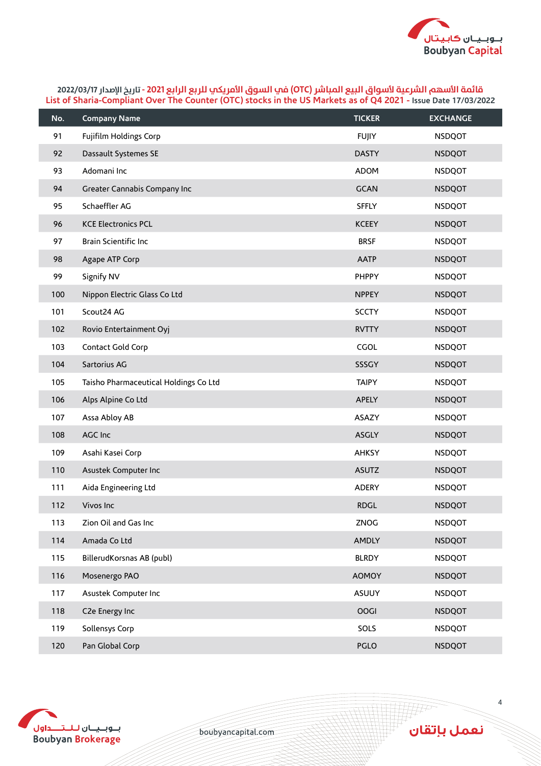

| No. | <b>Company Name</b>                   | <b>TICKER</b> | <b>EXCHANGE</b> |
|-----|---------------------------------------|---------------|-----------------|
| 91  | Fujifilm Holdings Corp                | <b>FUJIY</b>  | <b>NSDQOT</b>   |
| 92  | Dassault Systemes SE                  | <b>DASTY</b>  | <b>NSDQOT</b>   |
| 93  | Adomani Inc                           | ADOM          | <b>NSDQOT</b>   |
| 94  | Greater Cannabis Company Inc          | <b>GCAN</b>   | <b>NSDQOT</b>   |
| 95  | Schaeffler AG                         | <b>SFFLY</b>  | <b>NSDQOT</b>   |
| 96  | <b>KCE Electronics PCL</b>            | <b>KCEEY</b>  | <b>NSDQOT</b>   |
| 97  | Brain Scientific Inc                  | <b>BRSF</b>   | <b>NSDQOT</b>   |
| 98  | Agape ATP Corp                        | <b>AATP</b>   | <b>NSDQOT</b>   |
| 99  | Signify NV                            | PHPPY         | <b>NSDQOT</b>   |
| 100 | Nippon Electric Glass Co Ltd          | <b>NPPEY</b>  | <b>NSDQOT</b>   |
| 101 | Scout24 AG                            | <b>SCCTY</b>  | <b>NSDQOT</b>   |
| 102 | Rovio Entertainment Oyj               | <b>RVTTY</b>  | <b>NSDQOT</b>   |
| 103 | Contact Gold Corp                     | CGOL          | <b>NSDQOT</b>   |
| 104 | Sartorius AG                          | SSSGY         | <b>NSDQOT</b>   |
| 105 | Taisho Pharmaceutical Holdings Co Ltd | <b>TAIPY</b>  | <b>NSDQOT</b>   |
| 106 | Alps Alpine Co Ltd                    | APELY         | <b>NSDQOT</b>   |
| 107 | Assa Abloy AB                         | ASAZY         | <b>NSDQOT</b>   |
| 108 | AGC Inc                               | <b>ASGLY</b>  | <b>NSDQOT</b>   |
| 109 | Asahi Kasei Corp                      | <b>AHKSY</b>  | <b>NSDQOT</b>   |
| 110 | Asustek Computer Inc                  | <b>ASUTZ</b>  | <b>NSDQOT</b>   |
| 111 | Aida Engineering Ltd                  | ADERY         | <b>NSDQOT</b>   |
| 112 | Vivos Inc                             | <b>RDGL</b>   | <b>NSDQOT</b>   |
| 113 | Zion Oil and Gas Inc                  | ZNOG          | <b>NSDQOT</b>   |
| 114 | Amada Co Ltd                          | AMDLY         | <b>NSDQOT</b>   |
| 115 | BillerudKorsnas AB (publ)             | <b>BLRDY</b>  | <b>NSDQOT</b>   |
| 116 | Mosenergo PAO                         | <b>AOMOY</b>  | <b>NSDQOT</b>   |
| 117 | Asustek Computer Inc                  | ASUUY         | <b>NSDQOT</b>   |
| 118 | C2e Energy Inc                        | <b>OOGI</b>   | <b>NSDQOT</b>   |
| 119 | Sollensys Corp                        | SOLS          | <b>NSDQOT</b>   |
| 120 | Pan Global Corp                       | PGLO          | <b>NSDQOT</b>   |



boubyancapital.com

نعمل بإتقان

**THP**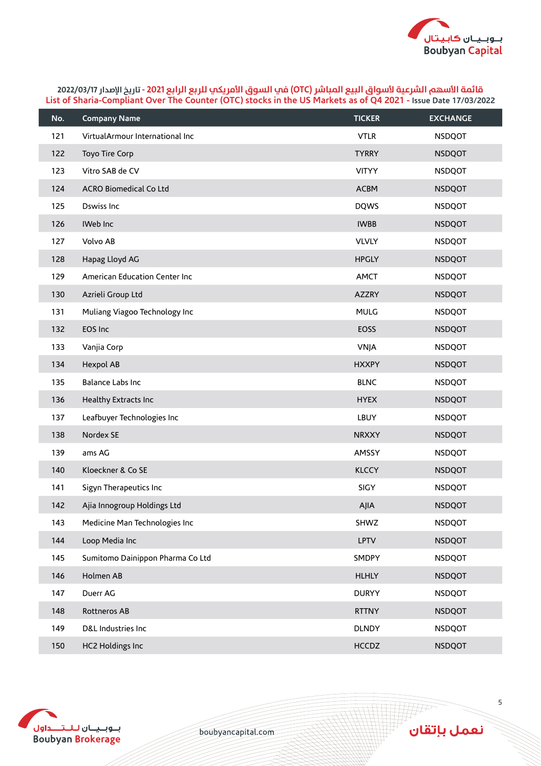

| No. | <b>Company Name</b>              | <b>TICKER</b> | <b>EXCHANGE</b> |
|-----|----------------------------------|---------------|-----------------|
| 121 | VirtualArmour International Inc  | <b>VTLR</b>   | <b>NSDQOT</b>   |
| 122 | <b>Toyo Tire Corp</b>            | <b>TYRRY</b>  | <b>NSDQOT</b>   |
| 123 | Vitro SAB de CV                  | <b>VITYY</b>  | <b>NSDQOT</b>   |
| 124 | <b>ACRO Biomedical Co Ltd</b>    | <b>ACBM</b>   | <b>NSDQOT</b>   |
| 125 | Dswiss Inc                       | <b>DQWS</b>   | <b>NSDQOT</b>   |
| 126 | IWeb Inc                         | <b>IWBB</b>   | <b>NSDQOT</b>   |
| 127 | Volvo AB                         | <b>VLVLY</b>  | <b>NSDQOT</b>   |
| 128 | Hapag Lloyd AG                   | <b>HPGLY</b>  | <b>NSDQOT</b>   |
| 129 | American Education Center Inc    | <b>AMCT</b>   | <b>NSDQOT</b>   |
| 130 | Azrieli Group Ltd                | <b>AZZRY</b>  | <b>NSDQOT</b>   |
| 131 | Muliang Viagoo Technology Inc    | <b>MULG</b>   | <b>NSDQOT</b>   |
| 132 | EOS Inc                          | <b>EOSS</b>   | <b>NSDQOT</b>   |
| 133 | Vanjia Corp                      | <b>VNJA</b>   | <b>NSDQOT</b>   |
| 134 | <b>Hexpol AB</b>                 | <b>HXXPY</b>  | <b>NSDQOT</b>   |
| 135 | <b>Balance Labs Inc</b>          | <b>BLNC</b>   | <b>NSDQOT</b>   |
| 136 | Healthy Extracts Inc             | <b>HYEX</b>   | <b>NSDQOT</b>   |
| 137 | Leafbuyer Technologies Inc       | LBUY          | <b>NSDQOT</b>   |
| 138 | Nordex SE                        | <b>NRXXY</b>  | <b>NSDQOT</b>   |
| 139 | ams AG                           | AMSSY         | <b>NSDQOT</b>   |
| 140 | Kloeckner & Co SE                | <b>KLCCY</b>  | <b>NSDQOT</b>   |
| 141 | Sigyn Therapeutics Inc           | SIGY          | <b>NSDQOT</b>   |
| 142 | Ajia Innogroup Holdings Ltd      | AJIA          | <b>NSDQOT</b>   |
| 143 | Medicine Man Technologies Inc    | SHWZ          | <b>NSDQOT</b>   |
| 144 | Loop Media Inc                   | <b>LPTV</b>   | <b>NSDQOT</b>   |
| 145 | Sumitomo Dainippon Pharma Co Ltd | SMDPY         | <b>NSDQOT</b>   |
| 146 | Holmen AB                        | <b>HLHLY</b>  | <b>NSDQOT</b>   |
| 147 | Duerr AG                         | <b>DURYY</b>  | <b>NSDQOT</b>   |
| 148 | Rottneros AB                     | <b>RTTNY</b>  | <b>NSDQOT</b>   |
| 149 | D&L Industries Inc               | <b>DLNDY</b>  | <b>NSDQOT</b>   |
| 150 | <b>HC2 Holdings Inc</b>          | <b>HCCDZ</b>  | <b>NSDQOT</b>   |



boubyancapital.com

نعمل بإتقان

**THP**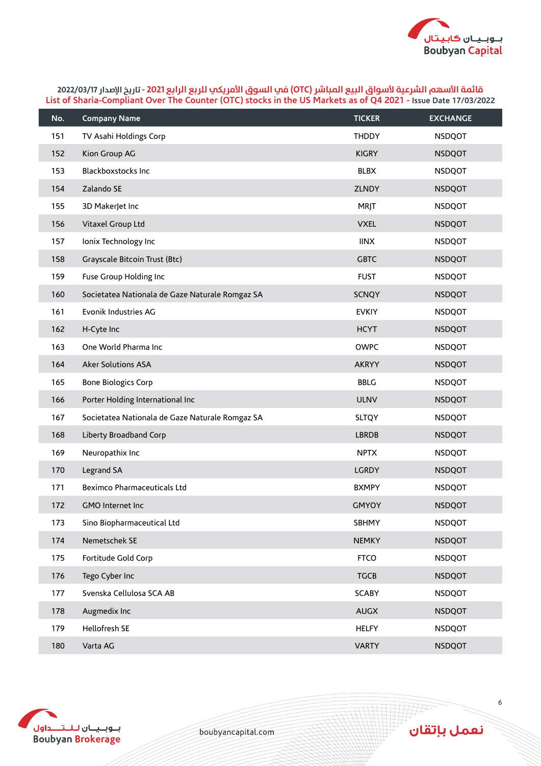

| No. | <b>Company Name</b>                             | <b>TICKER</b> | <b>EXCHANGE</b> |
|-----|-------------------------------------------------|---------------|-----------------|
| 151 | TV Asahi Holdings Corp                          | <b>THDDY</b>  | <b>NSDQOT</b>   |
| 152 | Kion Group AG                                   | <b>KIGRY</b>  | <b>NSDQOT</b>   |
| 153 | Blackboxstocks Inc                              | <b>BLBX</b>   | <b>NSDQOT</b>   |
| 154 | Zalando SE                                      | ZLNDY         | <b>NSDQOT</b>   |
| 155 | 3D MakerJet Inc                                 | <b>MRJT</b>   | <b>NSDQOT</b>   |
| 156 | Vitaxel Group Ltd                               | <b>VXEL</b>   | <b>NSDQOT</b>   |
| 157 | Ionix Technology Inc                            | <b>IINX</b>   | <b>NSDQOT</b>   |
| 158 | Grayscale Bitcoin Trust (Btc)                   | <b>GBTC</b>   | <b>NSDQOT</b>   |
| 159 | Fuse Group Holding Inc                          | <b>FUST</b>   | <b>NSDQOT</b>   |
| 160 | Societatea Nationala de Gaze Naturale Romgaz SA | <b>SCNQY</b>  | <b>NSDQOT</b>   |
| 161 | Evonik Industries AG                            | <b>EVKIY</b>  | <b>NSDQOT</b>   |
| 162 | H-Cyte Inc                                      | <b>HCYT</b>   | <b>NSDQOT</b>   |
| 163 | One World Pharma Inc                            | <b>OWPC</b>   | <b>NSDQOT</b>   |
| 164 | Aker Solutions ASA                              | <b>AKRYY</b>  | <b>NSDQOT</b>   |
| 165 | <b>Bone Biologics Corp</b>                      | <b>BBLG</b>   | <b>NSDQOT</b>   |
| 166 | Porter Holding International Inc                | <b>ULNV</b>   | <b>NSDQOT</b>   |
| 167 | Societatea Nationala de Gaze Naturale Romgaz SA | <b>SLTQY</b>  | <b>NSDQOT</b>   |
| 168 | Liberty Broadband Corp                          | <b>LBRDB</b>  | <b>NSDQOT</b>   |
| 169 | Neuropathix Inc                                 | <b>NPTX</b>   | <b>NSDQOT</b>   |
| 170 | Legrand SA                                      | LGRDY         | <b>NSDQOT</b>   |
| 171 | <b>Beximco Pharmaceuticals Ltd</b>              | <b>BXMPY</b>  | <b>NSDQOT</b>   |
| 172 | <b>GMO Internet Inc.</b>                        | <b>GMYOY</b>  | <b>NSDQOT</b>   |
| 173 | Sino Biopharmaceutical Ltd                      | SBHMY         | <b>NSDQOT</b>   |
| 174 | Nemetschek SE                                   | <b>NEMKY</b>  | <b>NSDQOT</b>   |
| 175 | Fortitude Gold Corp                             | <b>FTCO</b>   | <b>NSDQOT</b>   |
| 176 | Tego Cyber Inc                                  | <b>TGCB</b>   | <b>NSDQOT</b>   |
| 177 | Svenska Cellulosa SCA AB                        | <b>SCABY</b>  | <b>NSDQOT</b>   |
| 178 | Augmedix Inc                                    | <b>AUGX</b>   | <b>NSDQOT</b>   |
| 179 | Hellofresh SE                                   | <b>HELFY</b>  | <b>NSDQOT</b>   |
| 180 | Varta AG                                        | <b>VARTY</b>  | <b>NSDQOT</b>   |



boubyancapital.com

ِ<br>نعمل بإتقان

**TAP**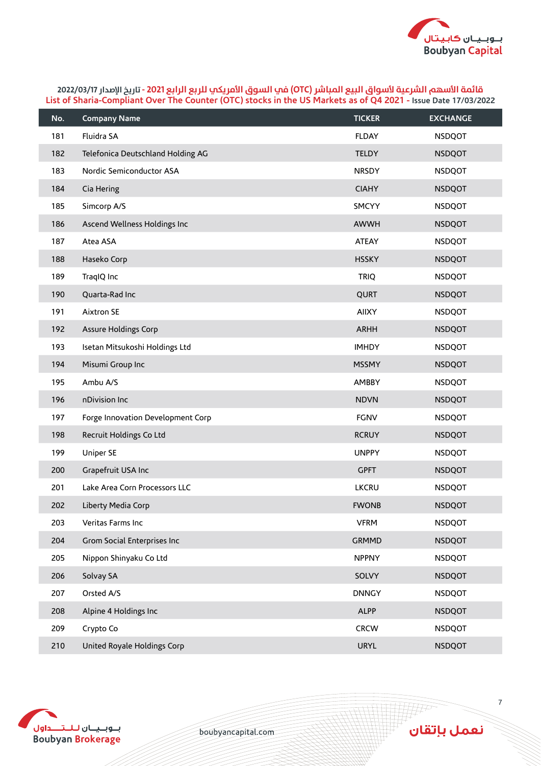

| No. | <b>Company Name</b>               | <b>TICKER</b> | <b>EXCHANGE</b> |
|-----|-----------------------------------|---------------|-----------------|
| 181 | Fluidra SA                        | <b>FLDAY</b>  | <b>NSDQOT</b>   |
| 182 | Telefonica Deutschland Holding AG | <b>TELDY</b>  | <b>NSDQOT</b>   |
| 183 | Nordic Semiconductor ASA          | <b>NRSDY</b>  | <b>NSDQOT</b>   |
| 184 | Cia Hering                        | <b>CIAHY</b>  | <b>NSDQOT</b>   |
| 185 | Simcorp A/S                       | SMCYY         | <b>NSDQOT</b>   |
| 186 | Ascend Wellness Holdings Inc      | <b>AWWH</b>   | <b>NSDQOT</b>   |
| 187 | Atea ASA                          | <b>ATEAY</b>  | <b>NSDQOT</b>   |
| 188 | Haseko Corp                       | <b>HSSKY</b>  | <b>NSDQOT</b>   |
| 189 | TraqIQ Inc                        | <b>TRIQ</b>   | <b>NSDQOT</b>   |
| 190 | Quarta-Rad Inc                    | QURT          | <b>NSDQOT</b>   |
| 191 | Aixtron SE                        | <b>AIIXY</b>  | <b>NSDQOT</b>   |
| 192 | Assure Holdings Corp              | <b>ARHH</b>   | <b>NSDQOT</b>   |
| 193 | Isetan Mitsukoshi Holdings Ltd    | <b>IMHDY</b>  | <b>NSDQOT</b>   |
| 194 | Misumi Group Inc                  | <b>MSSMY</b>  | <b>NSDQOT</b>   |
| 195 | Ambu A/S                          | <b>AMBBY</b>  | <b>NSDQOT</b>   |
| 196 | nDivision Inc                     | <b>NDVN</b>   | <b>NSDQOT</b>   |
| 197 | Forge Innovation Development Corp | <b>FGNV</b>   | <b>NSDQOT</b>   |
| 198 | Recruit Holdings Co Ltd           | <b>RCRUY</b>  | <b>NSDQOT</b>   |
| 199 | Uniper SE                         | <b>UNPPY</b>  | <b>NSDQOT</b>   |
| 200 | Grapefruit USA Inc                | <b>GPFT</b>   | <b>NSDQOT</b>   |
| 201 | Lake Area Corn Processors LLC     | <b>LKCRU</b>  | <b>NSDQOT</b>   |
| 202 | Liberty Media Corp                | <b>FWONB</b>  | <b>NSDQOT</b>   |
| 203 | Veritas Farms Inc                 | <b>VFRM</b>   | <b>NSDQOT</b>   |
| 204 | Grom Social Enterprises Inc       | <b>GRMMD</b>  | <b>NSDQOT</b>   |
| 205 | Nippon Shinyaku Co Ltd            | <b>NPPNY</b>  | <b>NSDQOT</b>   |
| 206 | Solvay SA                         | SOLVY         | <b>NSDQOT</b>   |
| 207 | Orsted A/S                        | <b>DNNGY</b>  | <b>NSDQOT</b>   |
| 208 | Alpine 4 Holdings Inc             | <b>ALPP</b>   | <b>NSDQOT</b>   |
| 209 | Crypto Co                         | <b>CRCW</b>   | <b>NSDQOT</b>   |
| 210 | United Royale Holdings Corp       | <b>URYL</b>   | <b>NSDQOT</b>   |



boubyancapital.com

ِ<br>نعمل بإتقان

**HF**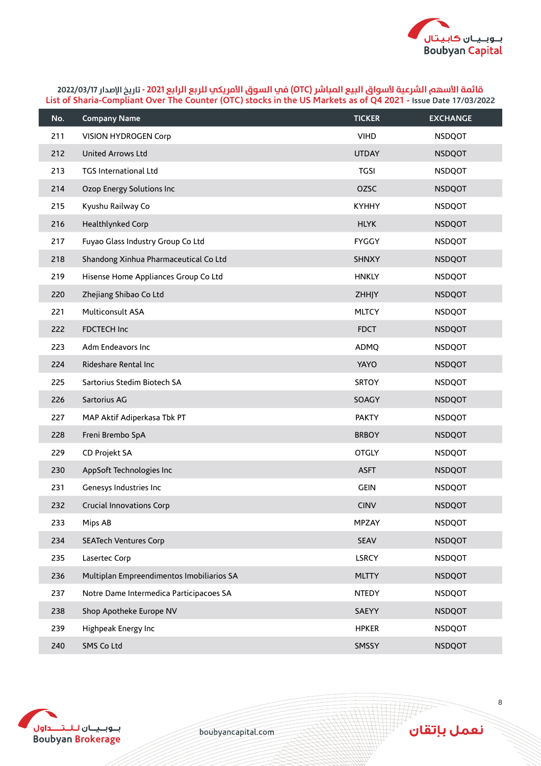

| No. | <b>Company Name</b>                       | <b>TICKER</b> | <b>EXCHANGE</b> |
|-----|-------------------------------------------|---------------|-----------------|
| 211 | <b>VISION HYDROGEN Corp</b>               | <b>VIHD</b>   | <b>NSDQOT</b>   |
| 212 | <b>United Arrows Ltd</b>                  | <b>UTDAY</b>  | <b>NSDQOT</b>   |
| 213 | TGS International Ltd                     | <b>TGSI</b>   | <b>NSDQOT</b>   |
| 214 | Ozop Energy Solutions Inc                 | OZSC          | <b>NSDQOT</b>   |
| 215 | Kyushu Railway Co                         | <b>KYHHY</b>  | <b>NSDQOT</b>   |
| 216 | Healthlynked Corp                         | <b>HLYK</b>   | <b>NSDQOT</b>   |
| 217 | Fuyao Glass Industry Group Co Ltd         | <b>FYGGY</b>  | <b>NSDQOT</b>   |
| 218 | Shandong Xinhua Pharmaceutical Co Ltd     | <b>SHNXY</b>  | <b>NSDQOT</b>   |
| 219 | Hisense Home Appliances Group Co Ltd      | <b>HNKLY</b>  | <b>NSDQOT</b>   |
| 220 | Zhejiang Shibao Co Ltd                    | ZHHJY         | <b>NSDQOT</b>   |
| 221 | Multiconsult ASA                          | <b>MLTCY</b>  | <b>NSDQOT</b>   |
| 222 | <b>FDCTECH Inc</b>                        | <b>FDCT</b>   | <b>NSDQOT</b>   |
| 223 | Adm Endeavors Inc                         | ADMQ          | <b>NSDQOT</b>   |
| 224 | Rideshare Rental Inc                      | <b>YAYO</b>   | <b>NSDQOT</b>   |
| 225 | Sartorius Stedim Biotech SA               | <b>SRTOY</b>  | <b>NSDQOT</b>   |
| 226 | Sartorius AG                              | SOAGY         | <b>NSDQOT</b>   |
| 227 | MAP Aktif Adiperkasa Tbk PT               | <b>PAKTY</b>  | <b>NSDQOT</b>   |
| 228 | Freni Brembo SpA                          | <b>BRBOY</b>  | <b>NSDQOT</b>   |
| 229 | CD Projekt SA                             | <b>OTGLY</b>  | <b>NSDQOT</b>   |
| 230 | AppSoft Technologies Inc                  | <b>ASFT</b>   | <b>NSDQOT</b>   |
| 231 | Genesys Industries Inc                    | <b>GEIN</b>   | <b>NSDQOT</b>   |
| 232 | Crucial Innovations Corp                  | <b>CINV</b>   | <b>NSDQOT</b>   |
| 233 | Mips AB                                   | MPZAY         | <b>NSDQOT</b>   |
| 234 | <b>SEATech Ventures Corp</b>              | SEAV          | <b>NSDQOT</b>   |
| 235 | Lasertec Corp                             | <b>LSRCY</b>  | <b>NSDQOT</b>   |
| 236 | Multiplan Empreendimentos Imobiliarios SA | <b>MLTTY</b>  | <b>NSDQOT</b>   |
| 237 | Notre Dame Intermedica Participacoes SA   | <b>NTEDY</b>  | <b>NSDQOT</b>   |
| 238 | Shop Apotheke Europe NV                   | SAEYY         | <b>NSDQOT</b>   |
| 239 | Highpeak Energy Inc                       | <b>HPKER</b>  | <b>NSDQOT</b>   |
| 240 | SMS Co Ltd                                | SMSSY         | <b>NSDQOT</b>   |



boubyancapital.com

ِ<br>نعمل بإتقان

**APP**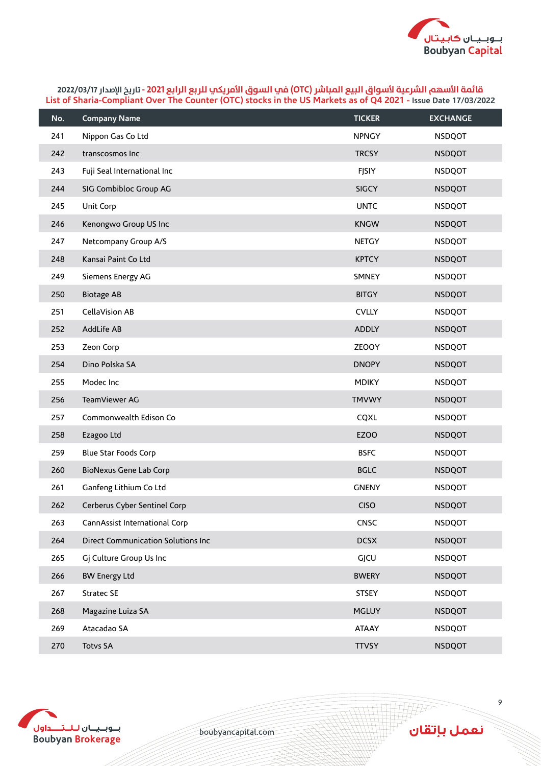

| No. | <b>Company Name</b>                | <b>TICKER</b> | <b>EXCHANGE</b> |
|-----|------------------------------------|---------------|-----------------|
| 241 | Nippon Gas Co Ltd                  | <b>NPNGY</b>  | <b>NSDQOT</b>   |
| 242 | transcosmos Inc                    | <b>TRCSY</b>  | <b>NSDQOT</b>   |
| 243 | Fuji Seal International Inc        | FJSIY         | <b>NSDQOT</b>   |
| 244 | SIG Combibloc Group AG             | <b>SIGCY</b>  | <b>NSDQOT</b>   |
| 245 | Unit Corp                          | <b>UNTC</b>   | <b>NSDQOT</b>   |
| 246 | Kenongwo Group US Inc              | <b>KNGW</b>   | <b>NSDQOT</b>   |
| 247 | Netcompany Group A/S               | <b>NETGY</b>  | <b>NSDQOT</b>   |
| 248 | Kansai Paint Co Ltd                | <b>KPTCY</b>  | <b>NSDQOT</b>   |
| 249 | Siemens Energy AG                  | SMNEY         | <b>NSDQOT</b>   |
| 250 | <b>Biotage AB</b>                  | <b>BITGY</b>  | <b>NSDQOT</b>   |
| 251 | CellaVision AB                     | <b>CVLLY</b>  | <b>NSDQOT</b>   |
| 252 | AddLife AB                         | <b>ADDLY</b>  | <b>NSDQOT</b>   |
| 253 | Zeon Corp                          | <b>ZEOOY</b>  | <b>NSDQOT</b>   |
| 254 | Dino Polska SA                     | <b>DNOPY</b>  | <b>NSDQOT</b>   |
| 255 | Modec Inc                          | <b>MDIKY</b>  | <b>NSDQOT</b>   |
| 256 | TeamViewer AG                      | <b>TMVWY</b>  | <b>NSDQOT</b>   |
| 257 | Commonwealth Edison Co             | CQXL          | <b>NSDQOT</b>   |
| 258 | Ezagoo Ltd                         | <b>EZOO</b>   | <b>NSDQOT</b>   |
| 259 | Blue Star Foods Corp               | <b>BSFC</b>   | <b>NSDQOT</b>   |
| 260 | <b>BioNexus Gene Lab Corp</b>      | <b>BGLC</b>   | <b>NSDQOT</b>   |
| 261 | Ganfeng Lithium Co Ltd             | <b>GNENY</b>  | <b>NSDQOT</b>   |
| 262 | Cerberus Cyber Sentinel Corp       | <b>CISO</b>   | <b>NSDQOT</b>   |
| 263 | CannAssist International Corp      | CNSC          | <b>NSDQOT</b>   |
| 264 | Direct Communication Solutions Inc | <b>DCSX</b>   | <b>NSDQOT</b>   |
| 265 | Gj Culture Group Us Inc            | GJCU          | <b>NSDQOT</b>   |
| 266 | <b>BW Energy Ltd</b>               | <b>BWERY</b>  | <b>NSDQOT</b>   |
| 267 | Stratec SE                         | <b>STSEY</b>  | <b>NSDQOT</b>   |
| 268 | Magazine Luiza SA                  | <b>MGLUY</b>  | <b>NSDQOT</b>   |
| 269 | Atacadao SA                        | <b>ATAAY</b>  | <b>NSDQOT</b>   |
| 270 | <b>Totvs SA</b>                    | <b>TTVSY</b>  | <b>NSDQOT</b>   |



boubyancapital.com

ِ<br>نعمل بإتقان

**THP**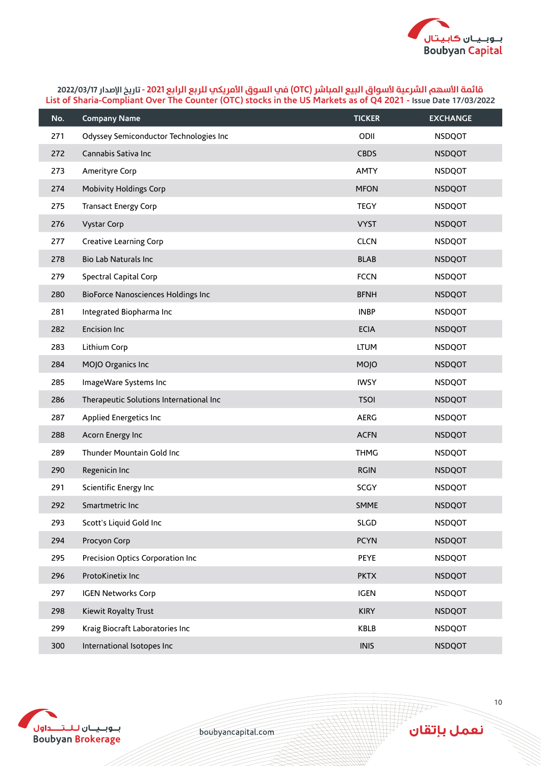

| No. | <b>Company Name</b>                       | <b>TICKER</b> | <b>EXCHANGE</b> |
|-----|-------------------------------------------|---------------|-----------------|
| 271 | Odyssey Semiconductor Technologies Inc    | ODII          | <b>NSDQOT</b>   |
| 272 | Cannabis Sativa Inc                       | <b>CBDS</b>   | <b>NSDQOT</b>   |
| 273 | Amerityre Corp                            | <b>AMTY</b>   | <b>NSDQOT</b>   |
| 274 | <b>Mobivity Holdings Corp</b>             | <b>MFON</b>   | <b>NSDQOT</b>   |
| 275 | <b>Transact Energy Corp</b>               | <b>TEGY</b>   | <b>NSDQOT</b>   |
| 276 | <b>Vystar Corp</b>                        | <b>VYST</b>   | <b>NSDQOT</b>   |
| 277 | Creative Learning Corp                    | <b>CLCN</b>   | <b>NSDQOT</b>   |
| 278 | Bio Lab Naturals Inc                      | <b>BLAB</b>   | <b>NSDQOT</b>   |
| 279 | Spectral Capital Corp                     | <b>FCCN</b>   | <b>NSDQOT</b>   |
| 280 | <b>BioForce Nanosciences Holdings Inc</b> | <b>BFNH</b>   | <b>NSDQOT</b>   |
| 281 | Integrated Biopharma Inc                  | <b>INBP</b>   | <b>NSDQOT</b>   |
| 282 | <b>Encision Inc</b>                       | <b>ECIA</b>   | <b>NSDQOT</b>   |
| 283 | Lithium Corp                              | <b>LTUM</b>   | <b>NSDQOT</b>   |
| 284 | MOJO Organics Inc                         | MOJO          | <b>NSDQOT</b>   |
| 285 | ImageWare Systems Inc                     | <b>IWSY</b>   | <b>NSDQOT</b>   |
| 286 | Therapeutic Solutions International Inc   | <b>TSOI</b>   | <b>NSDQOT</b>   |
| 287 | Applied Energetics Inc                    | <b>AERG</b>   | <b>NSDQOT</b>   |
| 288 | Acorn Energy Inc                          | <b>ACFN</b>   | <b>NSDQOT</b>   |
| 289 | Thunder Mountain Gold Inc                 | <b>THMG</b>   | <b>NSDQOT</b>   |
| 290 | Regenicin Inc                             | <b>RGIN</b>   | <b>NSDQOT</b>   |
| 291 | Scientific Energy Inc                     | SCGY          | <b>NSDQOT</b>   |
| 292 | Smartmetric Inc                           | <b>SMME</b>   | <b>NSDQOT</b>   |
| 293 | Scott's Liquid Gold Inc                   | SLGD          | <b>NSDQOT</b>   |
| 294 | Procyon Corp                              | <b>PCYN</b>   | <b>NSDQOT</b>   |
| 295 | Precision Optics Corporation Inc          | <b>PEYE</b>   | <b>NSDQOT</b>   |
| 296 | ProtoKinetix Inc                          | <b>PKTX</b>   | <b>NSDQOT</b>   |
| 297 | <b>IGEN Networks Corp</b>                 | <b>IGEN</b>   | <b>NSDQOT</b>   |
| 298 | Kiewit Royalty Trust                      | <b>KIRY</b>   | <b>NSDQOT</b>   |
| 299 | Kraig Biocraft Laboratories Inc           | KBLB          | <b>NSDQOT</b>   |
| 300 | International Isotopes Inc                | <b>INIS</b>   | <b>NSDQOT</b>   |



boubyancapital.com

**APP**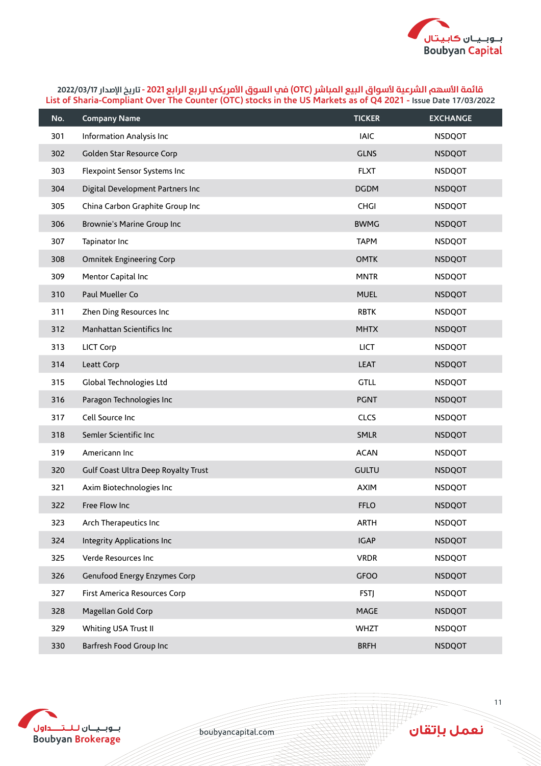

| No. | <b>Company Name</b>                 | <b>TICKER</b> | <b>EXCHANGE</b> |
|-----|-------------------------------------|---------------|-----------------|
| 301 | Information Analysis Inc            | <b>IAIC</b>   | <b>NSDQOT</b>   |
| 302 | Golden Star Resource Corp           | <b>GLNS</b>   | <b>NSDQOT</b>   |
| 303 | Flexpoint Sensor Systems Inc        | <b>FLXT</b>   | <b>NSDQOT</b>   |
| 304 | Digital Development Partners Inc    | <b>DGDM</b>   | <b>NSDQOT</b>   |
| 305 | China Carbon Graphite Group Inc     | <b>CHGI</b>   | <b>NSDQOT</b>   |
| 306 | Brownie's Marine Group Inc          | <b>BWMG</b>   | <b>NSDQOT</b>   |
| 307 | Tapinator Inc                       | <b>TAPM</b>   | <b>NSDQOT</b>   |
| 308 | <b>Omnitek Engineering Corp</b>     | <b>OMTK</b>   | <b>NSDQOT</b>   |
| 309 | Mentor Capital Inc                  | <b>MNTR</b>   | <b>NSDQOT</b>   |
| 310 | Paul Mueller Co                     | <b>MUEL</b>   | <b>NSDQOT</b>   |
| 311 | Zhen Ding Resources Inc             | <b>RBTK</b>   | <b>NSDQOT</b>   |
| 312 | Manhattan Scientifics Inc           | <b>MHTX</b>   | <b>NSDQOT</b>   |
| 313 | LICT Corp                           | <b>LICT</b>   | <b>NSDQOT</b>   |
| 314 | Leatt Corp                          | <b>LEAT</b>   | <b>NSDQOT</b>   |
| 315 | Global Technologies Ltd             | <b>GTLL</b>   | <b>NSDQOT</b>   |
| 316 | Paragon Technologies Inc            | <b>PGNT</b>   | <b>NSDQOT</b>   |
| 317 | Cell Source Inc                     | <b>CLCS</b>   | <b>NSDQOT</b>   |
| 318 | Semler Scientific Inc               | <b>SMLR</b>   | <b>NSDQOT</b>   |
| 319 | Americann Inc                       | <b>ACAN</b>   | <b>NSDQOT</b>   |
| 320 | Gulf Coast Ultra Deep Royalty Trust | <b>GULTU</b>  | <b>NSDQOT</b>   |
| 321 | Axim Biotechnologies Inc            | <b>AXIM</b>   | <b>NSDQOT</b>   |
| 322 | Free Flow Inc                       | <b>FFLO</b>   | <b>NSDQOT</b>   |
| 323 | Arch Therapeutics Inc               | <b>ARTH</b>   | <b>NSDQOT</b>   |
| 324 | Integrity Applications Inc          | <b>IGAP</b>   | <b>NSDQOT</b>   |
| 325 | Verde Resources Inc                 | <b>VRDR</b>   | <b>NSDQOT</b>   |
| 326 | Genufood Energy Enzymes Corp        | <b>GFOO</b>   | <b>NSDQOT</b>   |
| 327 | First America Resources Corp        | <b>FSTJ</b>   | <b>NSDQOT</b>   |
| 328 | Magellan Gold Corp                  | MAGE          | <b>NSDQOT</b>   |
| 329 | Whiting USA Trust II                | <b>WHZT</b>   | <b>NSDQOT</b>   |
| 330 | Barfresh Food Group Inc             | <b>BRFH</b>   | <b>NSDQOT</b>   |



boubyancapital.com

**HAP** 

نعمل بإتقان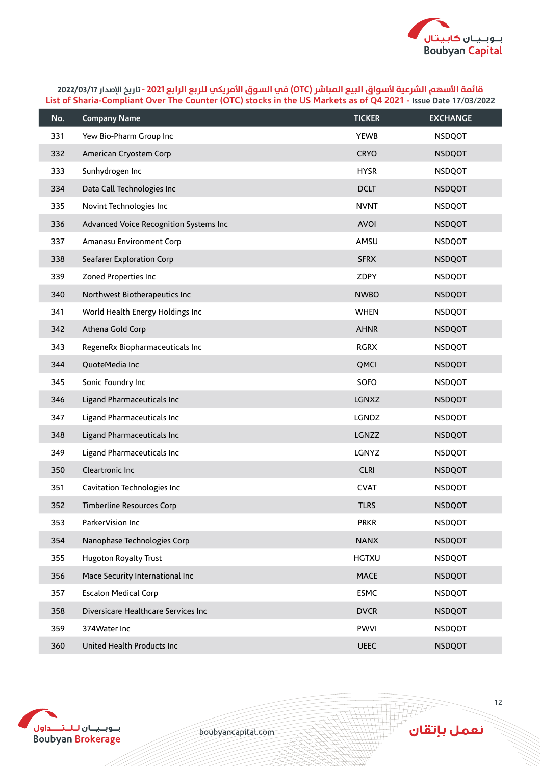

| No. | <b>Company Name</b>                    | <b>TICKER</b> | <b>EXCHANGE</b> |
|-----|----------------------------------------|---------------|-----------------|
| 331 | Yew Bio-Pharm Group Inc                | <b>YEWB</b>   | <b>NSDQOT</b>   |
| 332 | American Cryostem Corp                 | <b>CRYO</b>   | <b>NSDQOT</b>   |
| 333 | Sunhydrogen Inc                        | <b>HYSR</b>   | <b>NSDQOT</b>   |
| 334 | Data Call Technologies Inc             | <b>DCLT</b>   | <b>NSDQOT</b>   |
| 335 | Novint Technologies Inc                | <b>NVNT</b>   | <b>NSDQOT</b>   |
| 336 | Advanced Voice Recognition Systems Inc | <b>AVOI</b>   | <b>NSDQOT</b>   |
| 337 | Amanasu Environment Corp               | AMSU          | <b>NSDQOT</b>   |
| 338 | Seafarer Exploration Corp              | <b>SFRX</b>   | <b>NSDQOT</b>   |
| 339 | Zoned Properties Inc                   | ZDPY          | <b>NSDQOT</b>   |
| 340 | Northwest Biotherapeutics Inc          | <b>NWBO</b>   | <b>NSDQOT</b>   |
| 341 | World Health Energy Holdings Inc       | <b>WHEN</b>   | <b>NSDQOT</b>   |
| 342 | Athena Gold Corp                       | <b>AHNR</b>   | <b>NSDQOT</b>   |
| 343 | RegeneRx Biopharmaceuticals Inc        | <b>RGRX</b>   | <b>NSDQOT</b>   |
| 344 | QuoteMedia Inc                         | QMCI          | <b>NSDQOT</b>   |
| 345 | Sonic Foundry Inc                      | SOFO          | <b>NSDQOT</b>   |
| 346 | Ligand Pharmaceuticals Inc             | LGNXZ         | <b>NSDQOT</b>   |
| 347 | Ligand Pharmaceuticals Inc             | LGNDZ         | <b>NSDQOT</b>   |
| 348 | Ligand Pharmaceuticals Inc             | LGNZZ         | <b>NSDQOT</b>   |
| 349 | Ligand Pharmaceuticals Inc             | LGNYZ         | <b>NSDQOT</b>   |
| 350 | Cleartronic Inc                        | <b>CLRI</b>   | <b>NSDQOT</b>   |
| 351 | Cavitation Technologies Inc            | <b>CVAT</b>   | <b>NSDQOT</b>   |
| 352 | <b>Timberline Resources Corp</b>       | <b>TLRS</b>   | <b>NSDQOT</b>   |
| 353 | ParkerVision Inc                       | <b>PRKR</b>   | <b>NSDQOT</b>   |
| 354 | Nanophase Technologies Corp            | <b>NANX</b>   | <b>NSDQOT</b>   |
| 355 | Hugoton Royalty Trust                  | <b>HGTXU</b>  | <b>NSDQOT</b>   |
| 356 | Mace Security International Inc        | <b>MACE</b>   | <b>NSDQOT</b>   |
| 357 | <b>Escalon Medical Corp</b>            | <b>ESMC</b>   | <b>NSDQOT</b>   |
| 358 | Diversicare Healthcare Services Inc    | <b>DVCR</b>   | <b>NSDQOT</b>   |
| 359 | 374Water Inc                           | <b>PWVI</b>   | <b>NSDQOT</b>   |
| 360 | United Health Products Inc             | UEEC          | <b>NSDQOT</b>   |



boubyancapital.com

**APP**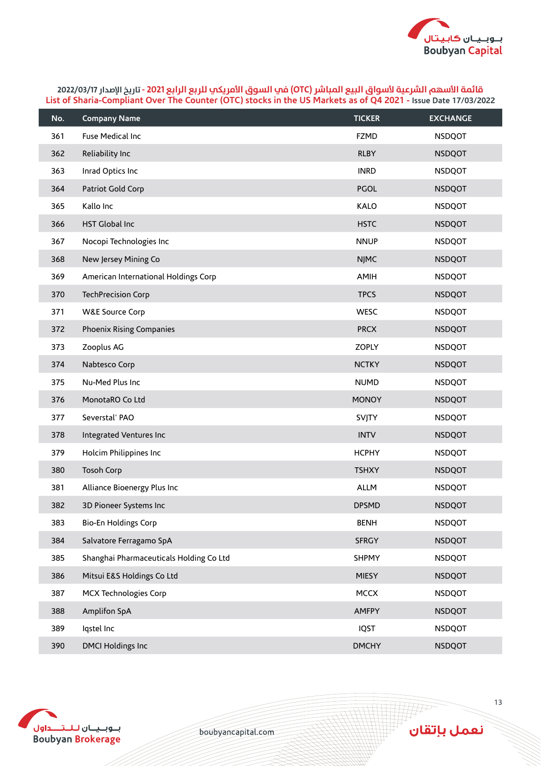

| No. | <b>Company Name</b>                     | <b>TICKER</b> | <b>EXCHANGE</b> |
|-----|-----------------------------------------|---------------|-----------------|
| 361 | Fuse Medical Inc                        | <b>FZMD</b>   | <b>NSDQOT</b>   |
| 362 | Reliability Inc                         | <b>RLBY</b>   | <b>NSDQOT</b>   |
| 363 | Inrad Optics Inc                        | <b>INRD</b>   | <b>NSDQOT</b>   |
| 364 | Patriot Gold Corp                       | <b>PGOL</b>   | <b>NSDQOT</b>   |
| 365 | Kallo Inc                               | KALO          | <b>NSDQOT</b>   |
| 366 | HST Global Inc                          | <b>HSTC</b>   | <b>NSDQOT</b>   |
| 367 | Nocopi Technologies Inc                 | <b>NNUP</b>   | <b>NSDQOT</b>   |
| 368 | New Jersey Mining Co                    | <b>NJMC</b>   | <b>NSDQOT</b>   |
| 369 | American International Holdings Corp    | AMIH          | <b>NSDQOT</b>   |
| 370 | <b>TechPrecision Corp</b>               | <b>TPCS</b>   | <b>NSDQOT</b>   |
| 371 | <b>W&amp;E Source Corp</b>              | <b>WESC</b>   | <b>NSDQOT</b>   |
| 372 | Phoenix Rising Companies                | <b>PRCX</b>   | <b>NSDQOT</b>   |
| 373 | Zooplus AG                              | <b>ZOPLY</b>  | <b>NSDQOT</b>   |
| 374 | Nabtesco Corp                           | <b>NCTKY</b>  | <b>NSDQOT</b>   |
| 375 | Nu-Med Plus Inc                         | <b>NUMD</b>   | <b>NSDQOT</b>   |
| 376 | MonotaRO Co Ltd                         | <b>MONOY</b>  | <b>NSDQOT</b>   |
| 377 | Severstal' PAO                          | SVJTY         | <b>NSDQOT</b>   |
| 378 | Integrated Ventures Inc                 | <b>INTV</b>   | <b>NSDQOT</b>   |
| 379 | Holcim Philippines Inc                  | <b>HCPHY</b>  | <b>NSDQOT</b>   |
| 380 | <b>Tosoh Corp</b>                       | <b>TSHXY</b>  | <b>NSDQOT</b>   |
| 381 | Alliance Bioenergy Plus Inc             | ALLM          | <b>NSDQOT</b>   |
| 382 | 3D Pioneer Systems Inc                  | <b>DPSMD</b>  | <b>NSDQOT</b>   |
| 383 | Bio-En Holdings Corp                    | <b>BENH</b>   | <b>NSDQOT</b>   |
| 384 | Salvatore Ferragamo SpA                 | <b>SFRGY</b>  | <b>NSDQOT</b>   |
| 385 | Shanghai Pharmaceuticals Holding Co Ltd | <b>SHPMY</b>  | <b>NSDQOT</b>   |
| 386 | Mitsui E&S Holdings Co Ltd              | <b>MIESY</b>  | <b>NSDQOT</b>   |
| 387 | <b>MCX Technologies Corp</b>            | <b>MCCX</b>   | <b>NSDQOT</b>   |
| 388 | Amplifon SpA                            | <b>AMFPY</b>  | <b>NSDQOT</b>   |
| 389 | Iqstel Inc                              | <b>IQST</b>   | <b>NSDQOT</b>   |
| 390 | <b>DMCI Holdings Inc</b>                | <b>DMCHY</b>  | <b>NSDQOT</b>   |



boubyancapital.com

**HF**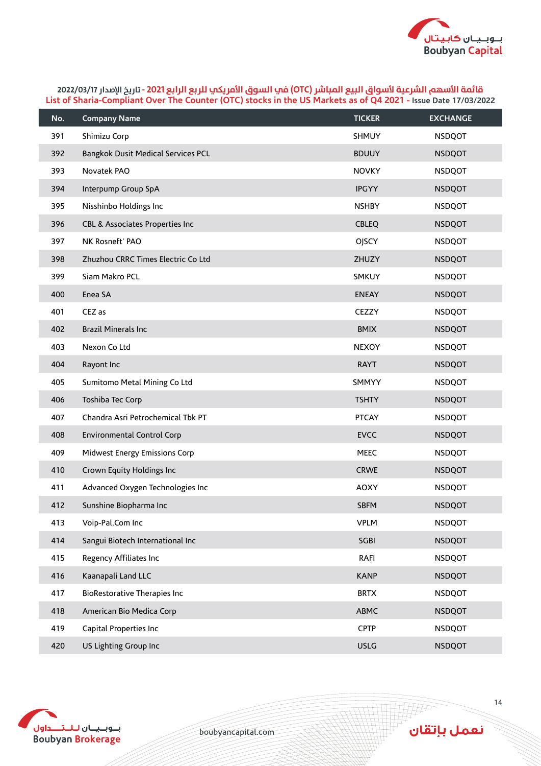

| No. | <b>Company Name</b>                 | <b>TICKER</b> | <b>EXCHANGE</b> |
|-----|-------------------------------------|---------------|-----------------|
| 391 | Shimizu Corp                        | SHMUY         | <b>NSDQOT</b>   |
| 392 | Bangkok Dusit Medical Services PCL  | <b>BDUUY</b>  | <b>NSDQOT</b>   |
| 393 | Novatek PAO                         | <b>NOVKY</b>  | <b>NSDQOT</b>   |
| 394 | Interpump Group SpA                 | <b>IPGYY</b>  | <b>NSDQOT</b>   |
| 395 | Nisshinbo Holdings Inc              | <b>NSHBY</b>  | <b>NSDQOT</b>   |
| 396 | CBL & Associates Properties Inc     | <b>CBLEQ</b>  | <b>NSDQOT</b>   |
| 397 | NK Rosneft' PAO                     | <b>OJSCY</b>  | <b>NSDQOT</b>   |
| 398 | Zhuzhou CRRC Times Electric Co Ltd  | ZHUZY         | <b>NSDQOT</b>   |
| 399 | Siam Makro PCL                      | SMKUY         | <b>NSDQOT</b>   |
| 400 | Enea SA                             | <b>ENEAY</b>  | <b>NSDQOT</b>   |
| 401 | CEZ as                              | CEZZY         | <b>NSDQOT</b>   |
| 402 | <b>Brazil Minerals Inc</b>          | <b>BMIX</b>   | <b>NSDQOT</b>   |
| 403 | Nexon Co Ltd                        | <b>NEXOY</b>  | <b>NSDQOT</b>   |
| 404 | Rayont Inc                          | <b>RAYT</b>   | <b>NSDQOT</b>   |
| 405 | Sumitomo Metal Mining Co Ltd        | SMMYY         | <b>NSDQOT</b>   |
| 406 | Toshiba Tec Corp                    | <b>TSHTY</b>  | <b>NSDQOT</b>   |
| 407 | Chandra Asri Petrochemical Tbk PT   | <b>PTCAY</b>  | <b>NSDQOT</b>   |
| 408 | Environmental Control Corp          | <b>EVCC</b>   | <b>NSDQOT</b>   |
| 409 | Midwest Energy Emissions Corp       | <b>MEEC</b>   | <b>NSDQOT</b>   |
| 410 | Crown Equity Holdings Inc           | <b>CRWE</b>   | <b>NSDQOT</b>   |
| 411 | Advanced Oxygen Technologies Inc    | <b>AOXY</b>   | <b>NSDQOT</b>   |
| 412 | Sunshine Biopharma Inc              | <b>SBFM</b>   | <b>NSDQOT</b>   |
| 413 | Voip-Pal.Com Inc                    | <b>VPLM</b>   | <b>NSDQOT</b>   |
| 414 | Sangui Biotech International Inc    | <b>SGBI</b>   | <b>NSDQOT</b>   |
| 415 | Regency Affiliates Inc              | RAFI          | <b>NSDQOT</b>   |
| 416 | Kaanapali Land LLC                  | <b>KANP</b>   | <b>NSDQOT</b>   |
| 417 | <b>BioRestorative Therapies Inc</b> | <b>BRTX</b>   | <b>NSDQOT</b>   |
| 418 | American Bio Medica Corp            | ABMC          | <b>NSDQOT</b>   |
| 419 | Capital Properties Inc              | <b>CPTP</b>   | <b>NSDQOT</b>   |
| 420 | US Lighting Group Inc               | <b>USLG</b>   | <b>NSDQOT</b>   |



boubyancapital.com

**HFF**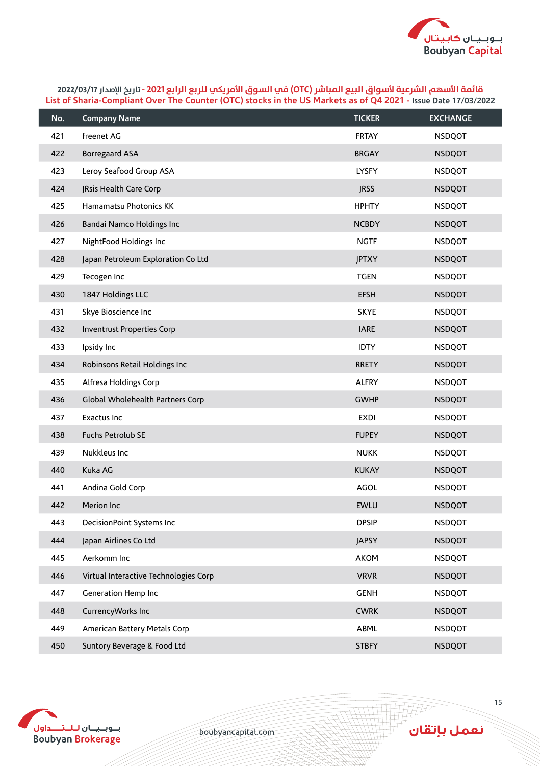

| No. | <b>Company Name</b>                   | <b>TICKER</b> | <b>EXCHANGE</b> |
|-----|---------------------------------------|---------------|-----------------|
| 421 | freenet AG                            | <b>FRTAY</b>  | <b>NSDQOT</b>   |
| 422 | <b>Borregaard ASA</b>                 | <b>BRGAY</b>  | <b>NSDQOT</b>   |
| 423 | Leroy Seafood Group ASA               | LYSFY         | <b>NSDQOT</b>   |
| 424 | JRsis Health Care Corp                | <b>JRSS</b>   | <b>NSDQOT</b>   |
| 425 | Hamamatsu Photonics KK                | <b>HPHTY</b>  | <b>NSDQOT</b>   |
| 426 | Bandai Namco Holdings Inc             | <b>NCBDY</b>  | <b>NSDQOT</b>   |
| 427 | NightFood Holdings Inc                | <b>NGTF</b>   | <b>NSDQOT</b>   |
| 428 | Japan Petroleum Exploration Co Ltd    | <b>JPTXY</b>  | <b>NSDQOT</b>   |
| 429 | Tecogen Inc                           | <b>TGEN</b>   | <b>NSDQOT</b>   |
| 430 | 1847 Holdings LLC                     | <b>EFSH</b>   | <b>NSDQOT</b>   |
| 431 | Skye Bioscience Inc                   | <b>SKYE</b>   | <b>NSDQOT</b>   |
| 432 | <b>Inventrust Properties Corp</b>     | <b>IARE</b>   | <b>NSDQOT</b>   |
| 433 | Ipsidy Inc                            | <b>IDTY</b>   | <b>NSDQOT</b>   |
| 434 | Robinsons Retail Holdings Inc         | <b>RRETY</b>  | <b>NSDQOT</b>   |
| 435 | Alfresa Holdings Corp                 | <b>ALFRY</b>  | <b>NSDQOT</b>   |
| 436 | Global Wholehealth Partners Corp      | <b>GWHP</b>   | <b>NSDQOT</b>   |
| 437 | Exactus Inc                           | <b>EXDI</b>   | <b>NSDQOT</b>   |
| 438 | Fuchs Petrolub SE                     | <b>FUPEY</b>  | <b>NSDQOT</b>   |
| 439 | Nukkleus Inc                          | <b>NUKK</b>   | <b>NSDQOT</b>   |
| 440 | Kuka AG                               | <b>KUKAY</b>  | <b>NSDQOT</b>   |
| 441 | Andina Gold Corp                      | AGOL          | <b>NSDQOT</b>   |
| 442 | Merion Inc                            | <b>EWLU</b>   | <b>NSDQOT</b>   |
| 443 | DecisionPoint Systems Inc             | <b>DPSIP</b>  | <b>NSDQOT</b>   |
| 444 | Japan Airlines Co Ltd                 | <b>JAPSY</b>  | <b>NSDQOT</b>   |
| 445 | Aerkomm Inc                           | <b>AKOM</b>   | <b>NSDQOT</b>   |
| 446 | Virtual Interactive Technologies Corp | <b>VRVR</b>   | <b>NSDQOT</b>   |
| 447 | Generation Hemp Inc                   | <b>GENH</b>   | <b>NSDQOT</b>   |
| 448 | CurrencyWorks Inc                     | <b>CWRK</b>   | <b>NSDQOT</b>   |
| 449 | American Battery Metals Corp          | ABML          | <b>NSDQOT</b>   |
| 450 | Suntory Beverage & Food Ltd           | <b>STBFY</b>  | <b>NSDQOT</b>   |



boubyancapital.com

**APP**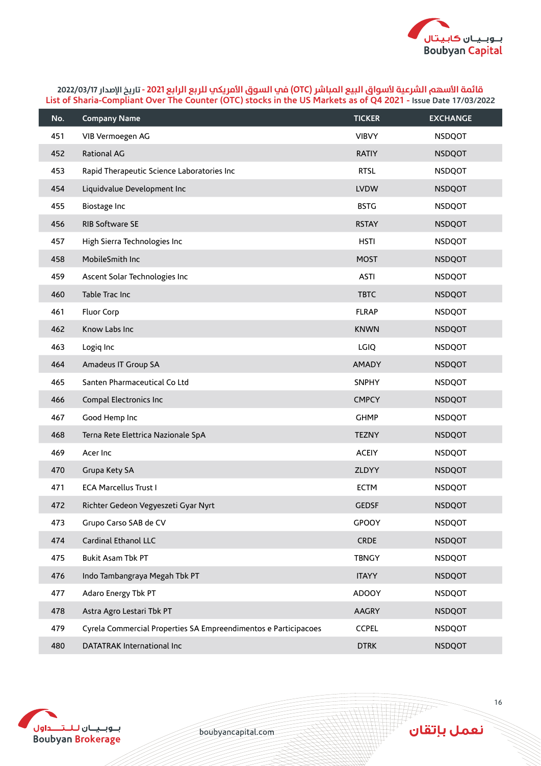

| No. | <b>Company Name</b>                                             | <b>TICKER</b> | <b>EXCHANGE</b> |
|-----|-----------------------------------------------------------------|---------------|-----------------|
| 451 | VIB Vermoegen AG                                                | <b>VIBVY</b>  | <b>NSDQOT</b>   |
| 452 | Rational AG                                                     | <b>RATIY</b>  | <b>NSDQOT</b>   |
| 453 | Rapid Therapeutic Science Laboratories Inc                      | <b>RTSL</b>   | <b>NSDQOT</b>   |
| 454 | Liquidvalue Development Inc                                     | <b>LVDW</b>   | <b>NSDQOT</b>   |
| 455 | Biostage Inc                                                    | <b>BSTG</b>   | <b>NSDQOT</b>   |
| 456 | RIB Software SE                                                 | <b>RSTAY</b>  | <b>NSDQOT</b>   |
| 457 | High Sierra Technologies Inc                                    | <b>HSTI</b>   | <b>NSDQOT</b>   |
| 458 | MobileSmith Inc                                                 | <b>MOST</b>   | <b>NSDQOT</b>   |
| 459 | Ascent Solar Technologies Inc                                   | <b>ASTI</b>   | <b>NSDQOT</b>   |
| 460 | Table Trac Inc                                                  | <b>TBTC</b>   | <b>NSDQOT</b>   |
| 461 | Fluor Corp                                                      | <b>FLRAP</b>  | <b>NSDQOT</b>   |
| 462 | Know Labs Inc                                                   | <b>KNWN</b>   | <b>NSDQOT</b>   |
| 463 | Logiq Inc                                                       | <b>LGIQ</b>   | <b>NSDQOT</b>   |
| 464 | Amadeus IT Group SA                                             | <b>AMADY</b>  | <b>NSDQOT</b>   |
| 465 | Santen Pharmaceutical Co Ltd                                    | <b>SNPHY</b>  | <b>NSDQOT</b>   |
| 466 | Compal Electronics Inc                                          | <b>CMPCY</b>  | <b>NSDQOT</b>   |
| 467 | Good Hemp Inc                                                   | <b>GHMP</b>   | <b>NSDQOT</b>   |
| 468 | Terna Rete Elettrica Nazionale SpA                              | <b>TEZNY</b>  | <b>NSDQOT</b>   |
| 469 | Acer Inc                                                        | <b>ACEIY</b>  | <b>NSDQOT</b>   |
| 470 | Grupa Kety SA                                                   | ZLDYY         | <b>NSDQOT</b>   |
| 471 | <b>ECA Marcellus Trust I</b>                                    | <b>ECTM</b>   | <b>NSDQOT</b>   |
| 472 | Richter Gedeon Vegyeszeti Gyar Nyrt                             | <b>GEDSF</b>  | <b>NSDQOT</b>   |
| 473 | Grupo Carso SAB de CV                                           | GPOOY         | <b>NSDQOT</b>   |
| 474 | Cardinal Ethanol LLC                                            | <b>CRDE</b>   | <b>NSDQOT</b>   |
| 475 | Bukit Asam Tbk PT                                               | <b>TBNGY</b>  | <b>NSDQOT</b>   |
| 476 | Indo Tambangraya Megah Tbk PT                                   | <b>ITAYY</b>  | <b>NSDQOT</b>   |
| 477 | Adaro Energy Tbk PT                                             | <b>ADOOY</b>  | <b>NSDQOT</b>   |
| 478 | Astra Agro Lestari Tbk PT                                       | <b>AAGRY</b>  | <b>NSDQOT</b>   |
| 479 | Cyrela Commercial Properties SA Empreendimentos e Participacoes | <b>CCPEL</b>  | <b>NSDQOT</b>   |
| 480 | DATATRAK International Inc                                      | <b>DTRK</b>   | <b>NSDQOT</b>   |



boubyancapital.com

**HHP**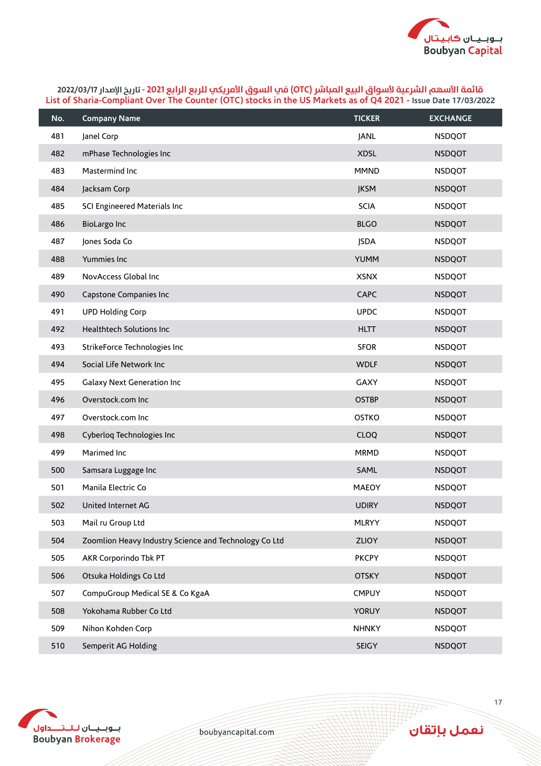

| No. | <b>Company Name</b>                                   | <b>TICKER</b> | <b>EXCHANGE</b> |
|-----|-------------------------------------------------------|---------------|-----------------|
| 481 | Janel Corp                                            | <b>JANL</b>   | <b>NSDQOT</b>   |
| 482 | mPhase Technologies Inc                               | <b>XDSL</b>   | <b>NSDQOT</b>   |
| 483 | Mastermind Inc                                        | <b>MMND</b>   | <b>NSDQOT</b>   |
| 484 | Jacksam Corp                                          | <b>JKSM</b>   | <b>NSDQOT</b>   |
| 485 | SCI Engineered Materials Inc                          | <b>SCIA</b>   | <b>NSDQOT</b>   |
| 486 | <b>BioLargo Inc</b>                                   | <b>BLGO</b>   | <b>NSDQOT</b>   |
| 487 | Jones Soda Co                                         | <b>JSDA</b>   | <b>NSDQOT</b>   |
| 488 | Yummies Inc                                           | <b>YUMM</b>   | <b>NSDQOT</b>   |
| 489 | NovAccess Global Inc                                  | <b>XSNX</b>   | <b>NSDQOT</b>   |
| 490 | Capstone Companies Inc                                | <b>CAPC</b>   | <b>NSDQOT</b>   |
| 491 | <b>UPD Holding Corp</b>                               | <b>UPDC</b>   | <b>NSDQOT</b>   |
| 492 | Healthtech Solutions Inc                              | <b>HLTT</b>   | <b>NSDQOT</b>   |
| 493 | StrikeForce Technologies Inc                          | <b>SFOR</b>   | <b>NSDQOT</b>   |
| 494 | Social Life Network Inc                               | <b>WDLF</b>   | <b>NSDQOT</b>   |
| 495 | Galaxy Next Generation Inc                            | <b>GAXY</b>   | <b>NSDQOT</b>   |
| 496 | Overstock.com Inc                                     | <b>OSTBP</b>  | <b>NSDQOT</b>   |
| 497 | Overstock.com Inc                                     | <b>OSTKO</b>  | <b>NSDQOT</b>   |
| 498 | Cyberloq Technologies Inc                             | <b>CLOQ</b>   | <b>NSDQOT</b>   |
| 499 | Marimed Inc                                           | <b>MRMD</b>   | <b>NSDQOT</b>   |
| 500 | Samsara Luggage Inc                                   | SAML          | <b>NSDQOT</b>   |
| 501 | Manila Electric Co                                    | <b>MAEOY</b>  | <b>NSDQOT</b>   |
| 502 | United Internet AG                                    | <b>UDIRY</b>  | <b>NSDQOT</b>   |
| 503 | Mail ru Group Ltd                                     | <b>MLRYY</b>  | <b>NSDQOT</b>   |
| 504 | Zoomlion Heavy Industry Science and Technology Co Ltd | <b>ZLIOY</b>  | <b>NSDQOT</b>   |
| 505 | AKR Corporindo Tbk PT                                 | <b>PKCPY</b>  | <b>NSDQOT</b>   |
| 506 | Otsuka Holdings Co Ltd                                | <b>OTSKY</b>  | <b>NSDQOT</b>   |
| 507 | CompuGroup Medical SE & Co KgaA                       | <b>CMPUY</b>  | <b>NSDQOT</b>   |
| 508 | Yokohama Rubber Co Ltd                                | <b>YORUY</b>  | <b>NSDQOT</b>   |
| 509 | Nihon Kohden Corp                                     | <b>NHNKY</b>  | <b>NSDQOT</b>   |
| 510 | Semperit AG Holding                                   | SEIGY         | <b>NSDQOT</b>   |



boubyancapital.com

**HHP**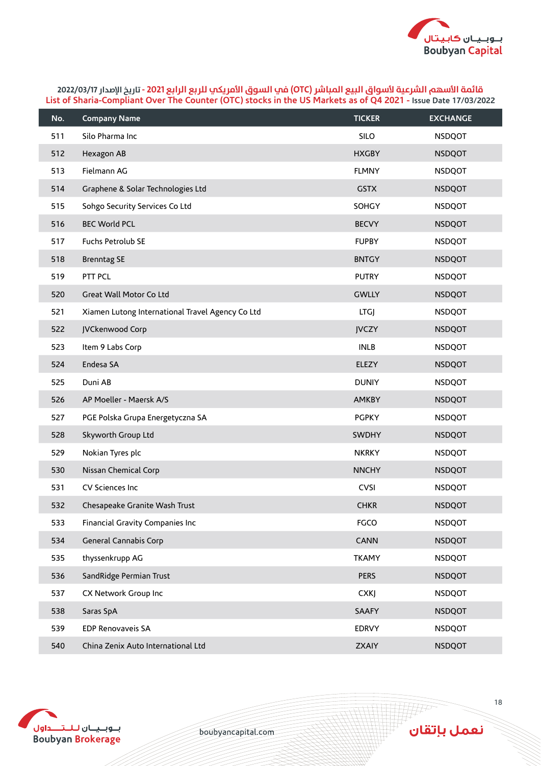

| No. | <b>Company Name</b>                              | <b>TICKER</b> | <b>EXCHANGE</b> |
|-----|--------------------------------------------------|---------------|-----------------|
| 511 | Silo Pharma Inc                                  | SILO          | <b>NSDQOT</b>   |
| 512 | Hexagon AB                                       | <b>HXGBY</b>  | <b>NSDQOT</b>   |
| 513 | Fielmann AG                                      | <b>FLMNY</b>  | <b>NSDQOT</b>   |
| 514 | Graphene & Solar Technologies Ltd                | <b>GSTX</b>   | <b>NSDQOT</b>   |
| 515 | Sohgo Security Services Co Ltd                   | SOHGY         | <b>NSDQOT</b>   |
| 516 | <b>BEC World PCL</b>                             | <b>BECVY</b>  | <b>NSDQOT</b>   |
| 517 | Fuchs Petrolub SE                                | <b>FUPBY</b>  | <b>NSDQOT</b>   |
| 518 | <b>Brenntag SE</b>                               | <b>BNTGY</b>  | <b>NSDQOT</b>   |
| 519 | PTT PCL                                          | <b>PUTRY</b>  | <b>NSDQOT</b>   |
| 520 | Great Wall Motor Co Ltd                          | <b>GWLLY</b>  | <b>NSDQOT</b>   |
| 521 | Xiamen Lutong International Travel Agency Co Ltd | LTGJ          | <b>NSDQOT</b>   |
| 522 | JVCkenwood Corp                                  | <b>JVCZY</b>  | <b>NSDQOT</b>   |
| 523 | Item 9 Labs Corp                                 | <b>INLB</b>   | <b>NSDQOT</b>   |
| 524 | Endesa SA                                        | ELEZY         | <b>NSDQOT</b>   |
| 525 | Duni AB                                          | <b>DUNIY</b>  | <b>NSDQOT</b>   |
| 526 | AP Moeller - Maersk A/S                          | <b>AMKBY</b>  | <b>NSDQOT</b>   |
| 527 | PGE Polska Grupa Energetyczna SA                 | <b>PGPKY</b>  | <b>NSDQOT</b>   |
| 528 | Skyworth Group Ltd                               | <b>SWDHY</b>  | <b>NSDQOT</b>   |
| 529 | Nokian Tyres plc                                 | <b>NKRKY</b>  | <b>NSDQOT</b>   |
| 530 | Nissan Chemical Corp                             | <b>NNCHY</b>  | <b>NSDQOT</b>   |
| 531 | CV Sciences Inc                                  | <b>CVSI</b>   | <b>NSDQOT</b>   |
| 532 | Chesapeake Granite Wash Trust                    | <b>CHKR</b>   | <b>NSDQOT</b>   |
| 533 | Financial Gravity Companies Inc                  | <b>FGCO</b>   | <b>NSDQOT</b>   |
| 534 | General Cannabis Corp                            | <b>CANN</b>   | <b>NSDQOT</b>   |
| 535 | thyssenkrupp AG                                  | <b>TKAMY</b>  | <b>NSDQOT</b>   |
| 536 | SandRidge Permian Trust                          | <b>PERS</b>   | <b>NSDQOT</b>   |
| 537 | CX Network Group Inc                             | <b>CXKJ</b>   | <b>NSDQOT</b>   |
| 538 | Saras SpA                                        | <b>SAAFY</b>  | <b>NSDQOT</b>   |
| 539 | <b>EDP Renovaveis SA</b>                         | <b>EDRVY</b>  | <b>NSDQOT</b>   |
| 540 | China Zenix Auto International Ltd               | <b>ZXAIY</b>  | <b>NSDQOT</b>   |



boubyancapital.com

**HFF**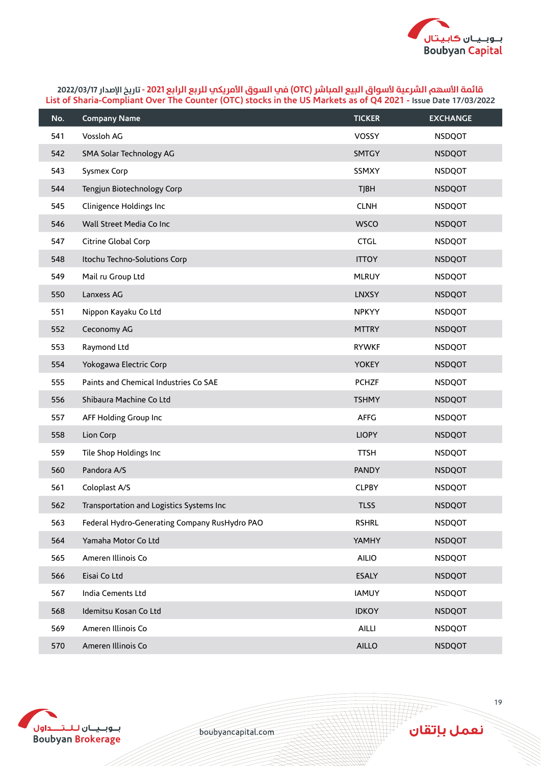

| No. | <b>Company Name</b>                           | <b>TICKER</b> | <b>EXCHANGE</b> |
|-----|-----------------------------------------------|---------------|-----------------|
| 541 | Vossloh AG                                    | <b>VOSSY</b>  | <b>NSDQOT</b>   |
| 542 | SMA Solar Technology AG                       | <b>SMTGY</b>  | <b>NSDQOT</b>   |
| 543 | Sysmex Corp                                   | SSMXY         | <b>NSDQOT</b>   |
| 544 | Tengjun Biotechnology Corp                    | <b>TJBH</b>   | <b>NSDQOT</b>   |
| 545 | Clinigence Holdings Inc                       | <b>CLNH</b>   | <b>NSDQOT</b>   |
| 546 | Wall Street Media Co Inc                      | <b>WSCO</b>   | <b>NSDQOT</b>   |
| 547 | Citrine Global Corp                           | <b>CTGL</b>   | <b>NSDQOT</b>   |
| 548 | Itochu Techno-Solutions Corp                  | <b>ITTOY</b>  | <b>NSDQOT</b>   |
| 549 | Mail ru Group Ltd                             | <b>MLRUY</b>  | <b>NSDQOT</b>   |
| 550 | Lanxess AG                                    | <b>LNXSY</b>  | <b>NSDQOT</b>   |
| 551 | Nippon Kayaku Co Ltd                          | <b>NPKYY</b>  | <b>NSDQOT</b>   |
| 552 | Ceconomy AG                                   | <b>MTTRY</b>  | <b>NSDQOT</b>   |
| 553 | Raymond Ltd                                   | <b>RYWKF</b>  | <b>NSDQOT</b>   |
| 554 | Yokogawa Electric Corp                        | <b>YOKEY</b>  | <b>NSDQOT</b>   |
| 555 | Paints and Chemical Industries Co SAE         | <b>PCHZF</b>  | <b>NSDQOT</b>   |
| 556 | Shibaura Machine Co Ltd                       | <b>TSHMY</b>  | <b>NSDQOT</b>   |
| 557 | AFF Holding Group Inc                         | <b>AFFG</b>   | <b>NSDQOT</b>   |
| 558 | Lion Corp                                     | <b>LIOPY</b>  | <b>NSDQOT</b>   |
| 559 | Tile Shop Holdings Inc                        | <b>TTSH</b>   | <b>NSDQOT</b>   |
| 560 | Pandora A/S                                   | <b>PANDY</b>  | <b>NSDQOT</b>   |
| 561 | Coloplast A/S                                 | <b>CLPBY</b>  | <b>NSDQOT</b>   |
| 562 | Transportation and Logistics Systems Inc      | <b>TLSS</b>   | <b>NSDQOT</b>   |
| 563 | Federal Hydro-Generating Company RusHydro PAO | <b>RSHRL</b>  | <b>NSDQOT</b>   |
| 564 | Yamaha Motor Co Ltd                           | YAMHY         | <b>NSDQOT</b>   |
| 565 | Ameren Illinois Co                            | <b>AILIO</b>  | <b>NSDQOT</b>   |
| 566 | Eisai Co Ltd                                  | <b>ESALY</b>  | <b>NSDQOT</b>   |
| 567 | India Cements Ltd                             | <b>IAMUY</b>  | <b>NSDQOT</b>   |
| 568 | Idemitsu Kosan Co Ltd                         | <b>IDKOY</b>  | <b>NSDQOT</b>   |
| 569 | Ameren Illinois Co                            | <b>AILLI</b>  | <b>NSDQOT</b>   |
| 570 | Ameren Illinois Co                            | <b>AILLO</b>  | <b>NSDQOT</b>   |



boubyancapital.com

**THP** 

نعمل بإتقان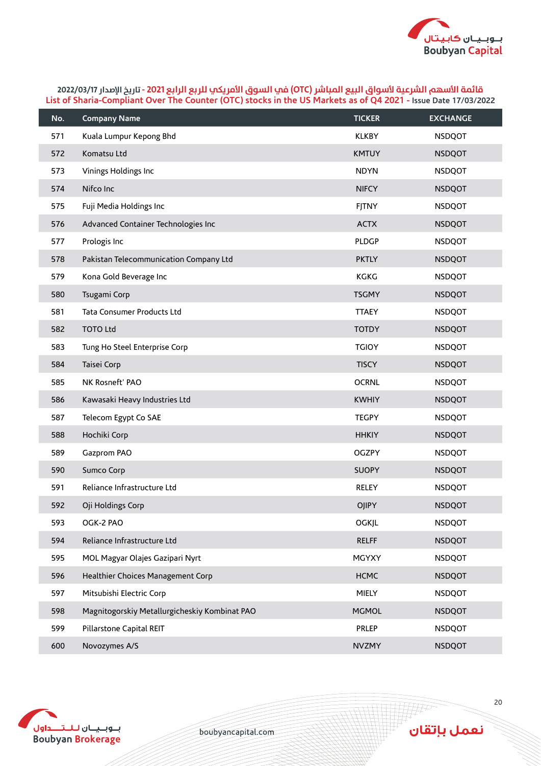

| No. | <b>Company Name</b>                           | <b>TICKER</b> | <b>EXCHANGE</b> |
|-----|-----------------------------------------------|---------------|-----------------|
| 571 | Kuala Lumpur Kepong Bhd                       | <b>KLKBY</b>  | <b>NSDQOT</b>   |
| 572 | Komatsu Ltd                                   | <b>KMTUY</b>  | <b>NSDQOT</b>   |
| 573 | Vinings Holdings Inc                          | <b>NDYN</b>   | <b>NSDQOT</b>   |
| 574 | Nifco Inc                                     | <b>NIFCY</b>  | <b>NSDQOT</b>   |
| 575 | Fuji Media Holdings Inc                       | <b>FJTNY</b>  | <b>NSDQOT</b>   |
| 576 | Advanced Container Technologies Inc           | <b>ACTX</b>   | <b>NSDQOT</b>   |
| 577 | Prologis Inc                                  | <b>PLDGP</b>  | <b>NSDQOT</b>   |
| 578 | Pakistan Telecommunication Company Ltd        | <b>PKTLY</b>  | <b>NSDQOT</b>   |
| 579 | Kona Gold Beverage Inc                        | <b>KGKG</b>   | <b>NSDQOT</b>   |
| 580 | Tsugami Corp                                  | <b>TSGMY</b>  | <b>NSDQOT</b>   |
| 581 | Tata Consumer Products Ltd                    | <b>TTAEY</b>  | <b>NSDQOT</b>   |
| 582 | <b>TOTO Ltd</b>                               | <b>TOTDY</b>  | <b>NSDQOT</b>   |
| 583 | Tung Ho Steel Enterprise Corp                 | <b>TGIOY</b>  | <b>NSDQOT</b>   |
| 584 | Taisei Corp                                   | <b>TISCY</b>  | <b>NSDQOT</b>   |
| 585 | NK Rosneft' PAO                               | <b>OCRNL</b>  | <b>NSDQOT</b>   |
| 586 | Kawasaki Heavy Industries Ltd                 | <b>KWHIY</b>  | <b>NSDQOT</b>   |
| 587 | Telecom Egypt Co SAE                          | <b>TEGPY</b>  | <b>NSDQOT</b>   |
| 588 | Hochiki Corp                                  | <b>HHKIY</b>  | <b>NSDQOT</b>   |
| 589 | Gazprom PAO                                   | <b>OGZPY</b>  | <b>NSDQOT</b>   |
| 590 | Sumco Corp                                    | <b>SUOPY</b>  | <b>NSDQOT</b>   |
| 591 | Reliance Infrastructure Ltd                   | <b>RELEY</b>  | <b>NSDQOT</b>   |
| 592 | Oji Holdings Corp                             | <b>OJIPY</b>  | <b>NSDQOT</b>   |
| 593 | OGK-2 PAO                                     | <b>OGKJL</b>  | <b>NSDQOT</b>   |
| 594 | Reliance Infrastructure Ltd                   | <b>RELFF</b>  | <b>NSDQOT</b>   |
| 595 | MOL Magyar Olajes Gazipari Nyrt               | <b>MGYXY</b>  | <b>NSDQOT</b>   |
| 596 | Healthier Choices Management Corp             | <b>HCMC</b>   | <b>NSDQOT</b>   |
| 597 | Mitsubishi Electric Corp                      | MIELY         | <b>NSDQOT</b>   |
| 598 | Magnitogorskiy Metallurgicheskiy Kombinat PAO | <b>MGMOL</b>  | <b>NSDQOT</b>   |
| 599 | Pillarstone Capital REIT                      | <b>PRLEP</b>  | <b>NSDQOT</b>   |
| 600 | Novozymes A/S                                 | <b>NVZMY</b>  | <b>NSDQOT</b>   |



boubyancapital.com

**APP**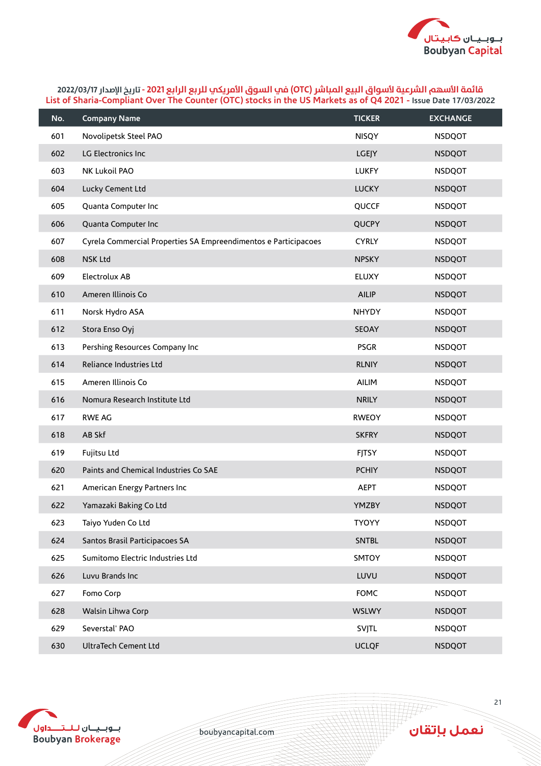

| No. | <b>Company Name</b>                                             | <b>TICKER</b> | <b>EXCHANGE</b> |
|-----|-----------------------------------------------------------------|---------------|-----------------|
| 601 | Novolipetsk Steel PAO                                           | <b>NISQY</b>  | <b>NSDQOT</b>   |
| 602 | LG Electronics Inc                                              | <b>LGEJY</b>  | <b>NSDQOT</b>   |
| 603 | NK Lukoil PAO                                                   | <b>LUKFY</b>  | <b>NSDQOT</b>   |
| 604 | Lucky Cement Ltd                                                | <b>LUCKY</b>  | <b>NSDQOT</b>   |
| 605 | Quanta Computer Inc                                             | QUCCF         | <b>NSDQOT</b>   |
| 606 | Quanta Computer Inc                                             | QUCPY         | <b>NSDQOT</b>   |
| 607 | Cyrela Commercial Properties SA Empreendimentos e Participacoes | <b>CYRLY</b>  | <b>NSDQOT</b>   |
| 608 | <b>NSK Ltd</b>                                                  | <b>NPSKY</b>  | <b>NSDQOT</b>   |
| 609 | Electrolux AB                                                   | <b>ELUXY</b>  | <b>NSDQOT</b>   |
| 610 | Ameren Illinois Co                                              | <b>AILIP</b>  | <b>NSDQOT</b>   |
| 611 | Norsk Hydro ASA                                                 | NHYDY         | <b>NSDQOT</b>   |
| 612 | Stora Enso Oyj                                                  | SEOAY         | <b>NSDQOT</b>   |
| 613 | Pershing Resources Company Inc                                  | <b>PSGR</b>   | <b>NSDQOT</b>   |
| 614 | Reliance Industries Ltd                                         | <b>RLNIY</b>  | <b>NSDQOT</b>   |
| 615 | Ameren Illinois Co                                              | AILIM         | <b>NSDQOT</b>   |
| 616 | Nomura Research Institute Ltd                                   | <b>NRILY</b>  | <b>NSDQOT</b>   |
| 617 | <b>RWE AG</b>                                                   | <b>RWEOY</b>  | <b>NSDQOT</b>   |
| 618 | AB Skf                                                          | <b>SKFRY</b>  | <b>NSDQOT</b>   |
| 619 | Fujitsu Ltd                                                     | <b>FJTSY</b>  | <b>NSDQOT</b>   |
| 620 | Paints and Chemical Industries Co SAE                           | <b>PCHIY</b>  | <b>NSDQOT</b>   |
| 621 | American Energy Partners Inc                                    | <b>AEPT</b>   | <b>NSDQOT</b>   |
| 622 | Yamazaki Baking Co Ltd                                          | <b>YMZBY</b>  | <b>NSDQOT</b>   |
| 623 | Taiyo Yuden Co Ltd                                              | <b>TYOYY</b>  | <b>NSDQOT</b>   |
| 624 | Santos Brasil Participacoes SA                                  | <b>SNTBL</b>  | <b>NSDQOT</b>   |
| 625 | Sumitomo Electric Industries Ltd                                | SMTOY         | <b>NSDQOT</b>   |
| 626 | Luvu Brands Inc                                                 | LUVU          | <b>NSDQOT</b>   |
| 627 | Fomo Corp                                                       | <b>FOMC</b>   | <b>NSDQOT</b>   |
| 628 | Walsin Lihwa Corp                                               | <b>WSLWY</b>  | <b>NSDQOT</b>   |
| 629 | Severstal' PAO                                                  | SVJTL         | <b>NSDQOT</b>   |
| 630 | UltraTech Cement Ltd                                            | <b>UCLQF</b>  | <b>NSDQOT</b>   |



boubyancapital.com

**THP**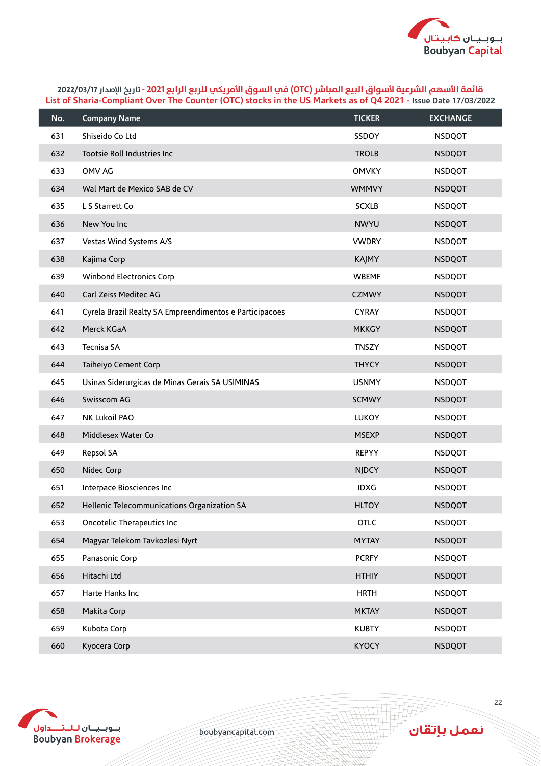

| No. | <b>Company Name</b>                                     | <b>TICKER</b> | <b>EXCHANGE</b> |
|-----|---------------------------------------------------------|---------------|-----------------|
| 631 | Shiseido Co Ltd                                         | SSDOY         | <b>NSDQOT</b>   |
| 632 | Tootsie Roll Industries Inc                             | <b>TROLB</b>  | <b>NSDQOT</b>   |
| 633 | OMV AG                                                  | <b>OMVKY</b>  | <b>NSDQOT</b>   |
| 634 | Wal Mart de Mexico SAB de CV                            | <b>WMMVY</b>  | <b>NSDQOT</b>   |
| 635 | L S Starrett Co                                         | <b>SCXLB</b>  | <b>NSDQOT</b>   |
| 636 | New You Inc                                             | <b>NWYU</b>   | <b>NSDQOT</b>   |
| 637 | Vestas Wind Systems A/S                                 | <b>VWDRY</b>  | <b>NSDQOT</b>   |
| 638 | Kajima Corp                                             | <b>KAJMY</b>  | <b>NSDQOT</b>   |
| 639 | Winbond Electronics Corp                                | <b>WBEMF</b>  | <b>NSDQOT</b>   |
| 640 | Carl Zeiss Meditec AG                                   | <b>CZMWY</b>  | <b>NSDQOT</b>   |
| 641 | Cyrela Brazil Realty SA Empreendimentos e Participacoes | <b>CYRAY</b>  | <b>NSDQOT</b>   |
| 642 | Merck KGaA                                              | <b>MKKGY</b>  | <b>NSDQOT</b>   |
| 643 | Tecnisa SA                                              | <b>TNSZY</b>  | <b>NSDQOT</b>   |
| 644 | Taiheiyo Cement Corp                                    | <b>THYCY</b>  | <b>NSDQOT</b>   |
| 645 | Usinas Siderurgicas de Minas Gerais SA USIMINAS         | <b>USNMY</b>  | <b>NSDQOT</b>   |
| 646 | Swisscom AG                                             | <b>SCMWY</b>  | <b>NSDQOT</b>   |
| 647 | NK Lukoil PAO                                           | LUKOY         | <b>NSDQOT</b>   |
| 648 | Middlesex Water Co                                      | <b>MSEXP</b>  | <b>NSDQOT</b>   |
| 649 | Repsol SA                                               | <b>REPYY</b>  | <b>NSDQOT</b>   |
| 650 | Nidec Corp                                              | <b>NJDCY</b>  | <b>NSDQOT</b>   |
| 651 | Interpace Biosciences Inc                               | <b>IDXG</b>   | <b>NSDQOT</b>   |
| 652 | Hellenic Telecommunications Organization SA             | <b>HLTOY</b>  | <b>NSDQOT</b>   |
| 653 | Oncotelic Therapeutics Inc                              | <b>OTLC</b>   | <b>NSDQOT</b>   |
| 654 | Magyar Telekom Tavkozlesi Nyrt                          | <b>MYTAY</b>  | <b>NSDQOT</b>   |
| 655 | Panasonic Corp                                          | <b>PCRFY</b>  | <b>NSDQOT</b>   |
| 656 | Hitachi Ltd                                             | <b>HTHIY</b>  | <b>NSDQOT</b>   |
| 657 | Harte Hanks Inc                                         | <b>HRTH</b>   | <b>NSDQOT</b>   |
| 658 | Makita Corp                                             | <b>MKTAY</b>  | <b>NSDQOT</b>   |
| 659 | Kubota Corp                                             | <b>KUBTY</b>  | <b>NSDQOT</b>   |
| 660 | Kyocera Corp                                            | <b>KYOCY</b>  | <b>NSDQOT</b>   |



boubyancapital.com

**THP** 

نعمل بإتقان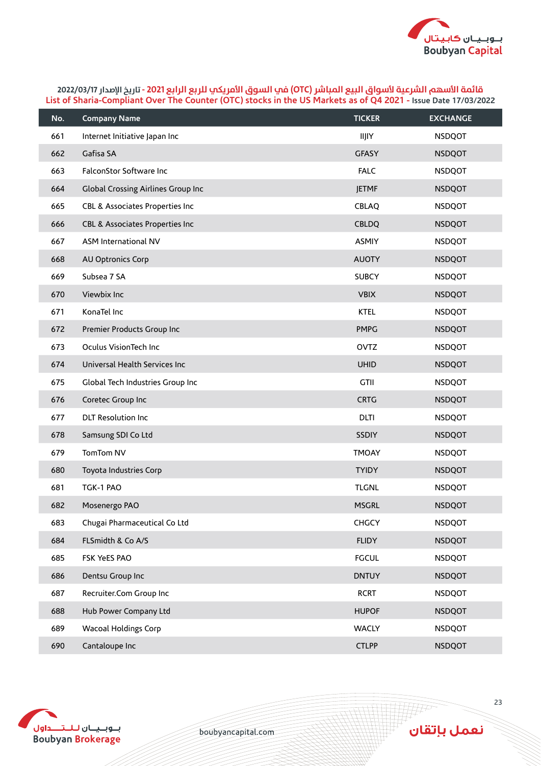

| No. | <b>Company Name</b>                       | <b>TICKER</b> | <b>EXCHANGE</b> |
|-----|-------------------------------------------|---------------|-----------------|
| 661 | Internet Initiative Japan Inc             | <b>IIJIY</b>  | <b>NSDQOT</b>   |
| 662 | Gafisa SA                                 | <b>GFASY</b>  | <b>NSDQOT</b>   |
| 663 | FalconStor Software Inc                   | <b>FALC</b>   | <b>NSDQOT</b>   |
| 664 | <b>Global Crossing Airlines Group Inc</b> | <b>JETMF</b>  | <b>NSDQOT</b>   |
| 665 | CBL & Associates Properties Inc           | CBLAQ         | <b>NSDQOT</b>   |
| 666 | CBL & Associates Properties Inc           | <b>CBLDQ</b>  | <b>NSDQOT</b>   |
| 667 | ASM International NV                      | <b>ASMIY</b>  | <b>NSDQOT</b>   |
| 668 | AU Optronics Corp                         | <b>AUOTY</b>  | <b>NSDQOT</b>   |
| 669 | Subsea 7 SA                               | <b>SUBCY</b>  | <b>NSDQOT</b>   |
| 670 | Viewbix Inc                               | <b>VBIX</b>   | <b>NSDQOT</b>   |
| 671 | KonaTel Inc                               | <b>KTEL</b>   | <b>NSDQOT</b>   |
| 672 | Premier Products Group Inc                | <b>PMPG</b>   | <b>NSDQOT</b>   |
| 673 | Oculus VisionTech Inc                     | <b>OVTZ</b>   | <b>NSDQOT</b>   |
| 674 | Universal Health Services Inc             | <b>UHID</b>   | <b>NSDQOT</b>   |
| 675 | Global Tech Industries Group Inc          | <b>GTII</b>   | <b>NSDQOT</b>   |
| 676 | Coretec Group Inc                         | <b>CRTG</b>   | <b>NSDQOT</b>   |
| 677 | <b>DLT Resolution Inc</b>                 | <b>DLTI</b>   | <b>NSDQOT</b>   |
| 678 | Samsung SDI Co Ltd                        | <b>SSDIY</b>  | <b>NSDQOT</b>   |
| 679 | TomTom NV                                 | <b>TMOAY</b>  | <b>NSDQOT</b>   |
| 680 | Toyota Industries Corp                    | <b>TYIDY</b>  | <b>NSDQOT</b>   |
| 681 | TGK-1 PAO                                 | <b>TLGNL</b>  | <b>NSDQOT</b>   |
| 682 | Mosenergo PAO                             | <b>MSGRL</b>  | <b>NSDQOT</b>   |
| 683 | Chugai Pharmaceutical Co Ltd              | <b>CHGCY</b>  | <b>NSDQOT</b>   |
| 684 | FLSmidth & Co A/S                         | <b>FLIDY</b>  | <b>NSDQOT</b>   |
| 685 | FSK YeES PAO                              | <b>FGCUL</b>  | <b>NSDQOT</b>   |
| 686 | Dentsu Group Inc                          | <b>DNTUY</b>  | <b>NSDQOT</b>   |
| 687 | Recruiter.Com Group Inc                   | <b>RCRT</b>   | <b>NSDQOT</b>   |
| 688 | Hub Power Company Ltd                     | <b>HUPOF</b>  | <b>NSDQOT</b>   |
| 689 | <b>Wacoal Holdings Corp</b>               | <b>WACLY</b>  | <b>NSDQOT</b>   |
| 690 | Cantaloupe Inc                            | <b>CTLPP</b>  | <b>NSDQOT</b>   |



boubyancapital.com

ِ<br>نعمل بإتقان

**APP**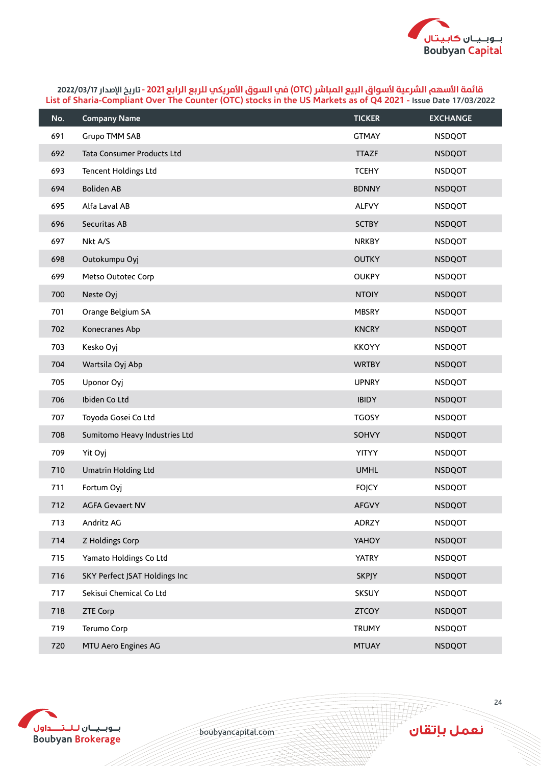

| No. | <b>Company Name</b>           | <b>TICKER</b> | <b>EXCHANGE</b> |
|-----|-------------------------------|---------------|-----------------|
| 691 | Grupo TMM SAB                 | <b>GTMAY</b>  | <b>NSDQOT</b>   |
| 692 | Tata Consumer Products Ltd    | <b>TTAZF</b>  | <b>NSDQOT</b>   |
| 693 | Tencent Holdings Ltd          | <b>TCEHY</b>  | <b>NSDQOT</b>   |
| 694 | <b>Boliden AB</b>             | <b>BDNNY</b>  | <b>NSDQOT</b>   |
| 695 | Alfa Laval AB                 | <b>ALFVY</b>  | <b>NSDQOT</b>   |
| 696 | Securitas AB                  | <b>SCTBY</b>  | <b>NSDQOT</b>   |
| 697 | Nkt A/S                       | <b>NRKBY</b>  | <b>NSDQOT</b>   |
| 698 | Outokumpu Oyj                 | <b>OUTKY</b>  | <b>NSDQOT</b>   |
| 699 | Metso Outotec Corp            | <b>OUKPY</b>  | <b>NSDQOT</b>   |
| 700 | Neste Oyj                     | <b>NTOIY</b>  | <b>NSDQOT</b>   |
| 701 | Orange Belgium SA             | <b>MBSRY</b>  | <b>NSDQOT</b>   |
| 702 | Konecranes Abp                | <b>KNCRY</b>  | <b>NSDQOT</b>   |
| 703 | Kesko Oyj                     | <b>KKOYY</b>  | <b>NSDQOT</b>   |
| 704 | Wartsila Oyj Abp              | <b>WRTBY</b>  | <b>NSDQOT</b>   |
| 705 | Uponor Oyj                    | <b>UPNRY</b>  | <b>NSDQOT</b>   |
| 706 | Ibiden Co Ltd                 | <b>IBIDY</b>  | <b>NSDQOT</b>   |
| 707 | Toyoda Gosei Co Ltd           | <b>TGOSY</b>  | <b>NSDQOT</b>   |
| 708 | Sumitomo Heavy Industries Ltd | SOHVY         | <b>NSDQOT</b>   |
| 709 | Yit Oyj                       | <b>YITYY</b>  | <b>NSDQOT</b>   |
| 710 | Umatrin Holding Ltd           | <b>UMHL</b>   | <b>NSDQOT</b>   |
| 711 | Fortum Oyj                    | <b>FOJCY</b>  | <b>NSDQOT</b>   |
| 712 | <b>AGFA Gevaert NV</b>        | <b>AFGVY</b>  | <b>NSDQOT</b>   |
| 713 | Andritz AG                    | ADRZY         | <b>NSDQOT</b>   |
| 714 | Z Holdings Corp               | YAHOY         | <b>NSDQOT</b>   |
| 715 | Yamato Holdings Co Ltd        | <b>YATRY</b>  | <b>NSDQOT</b>   |
| 716 | SKY Perfect JSAT Holdings Inc | <b>SKPJY</b>  | <b>NSDQOT</b>   |
| 717 | Sekisui Chemical Co Ltd       | SKSUY         | <b>NSDQOT</b>   |
| 718 | <b>ZTE Corp</b>               | <b>ZTCOY</b>  | <b>NSDQOT</b>   |
| 719 | Terumo Corp                   | <b>TRUMY</b>  | <b>NSDQOT</b>   |
| 720 | MTU Aero Engines AG           | <b>MTUAY</b>  | <b>NSDQOT</b>   |



boubyancapital.com

**THP** 

نعمل بإتقان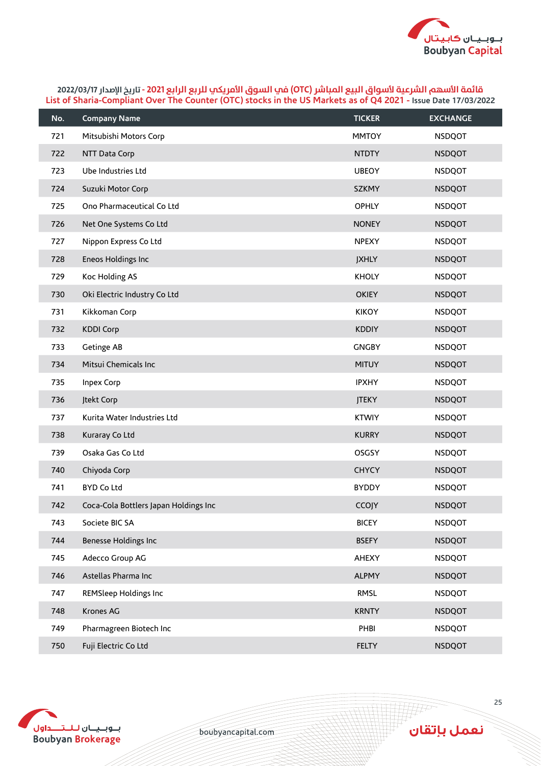

| No. | <b>Company Name</b>                   | <b>TICKER</b> | <b>EXCHANGE</b> |
|-----|---------------------------------------|---------------|-----------------|
| 721 | Mitsubishi Motors Corp                | <b>MMTOY</b>  | <b>NSDQOT</b>   |
| 722 | NTT Data Corp                         | <b>NTDTY</b>  | <b>NSDQOT</b>   |
| 723 | Ube Industries Ltd                    | <b>UBEOY</b>  | <b>NSDQOT</b>   |
| 724 | Suzuki Motor Corp                     | <b>SZKMY</b>  | <b>NSDQOT</b>   |
| 725 | Ono Pharmaceutical Co Ltd             | <b>OPHLY</b>  | <b>NSDQOT</b>   |
| 726 | Net One Systems Co Ltd                | <b>NONEY</b>  | <b>NSDQOT</b>   |
| 727 | Nippon Express Co Ltd                 | <b>NPEXY</b>  | <b>NSDQOT</b>   |
| 728 | Eneos Holdings Inc                    | <b>JXHLY</b>  | <b>NSDQOT</b>   |
| 729 | Koc Holding AS                        | <b>KHOLY</b>  | <b>NSDQOT</b>   |
| 730 | Oki Electric Industry Co Ltd          | <b>OKIEY</b>  | <b>NSDQOT</b>   |
| 731 | Kikkoman Corp                         | <b>KIKOY</b>  | <b>NSDQOT</b>   |
| 732 | <b>KDDI Corp</b>                      | <b>KDDIY</b>  | <b>NSDQOT</b>   |
| 733 | Getinge AB                            | <b>GNGBY</b>  | <b>NSDQOT</b>   |
| 734 | Mitsui Chemicals Inc                  | <b>MITUY</b>  | <b>NSDQOT</b>   |
| 735 | <b>Inpex Corp</b>                     | <b>IPXHY</b>  | <b>NSDQOT</b>   |
| 736 | Jtekt Corp                            | <b>JTEKY</b>  | <b>NSDQOT</b>   |
| 737 | Kurita Water Industries Ltd           | <b>KTWIY</b>  | <b>NSDQOT</b>   |
| 738 | Kuraray Co Ltd                        | <b>KURRY</b>  | <b>NSDQOT</b>   |
| 739 | Osaka Gas Co Ltd                      | <b>OSGSY</b>  | <b>NSDQOT</b>   |
| 740 | Chiyoda Corp                          | <b>CHYCY</b>  | <b>NSDQOT</b>   |
| 741 | <b>BYD Co Ltd</b>                     | <b>BYDDY</b>  | <b>NSDQOT</b>   |
| 742 | Coca-Cola Bottlers Japan Holdings Inc | CCOJY         | <b>NSDQOT</b>   |
| 743 | Societe BIC SA                        | <b>BICEY</b>  | <b>NSDQOT</b>   |
| 744 | Benesse Holdings Inc                  | <b>BSEFY</b>  | <b>NSDQOT</b>   |
| 745 | Adecco Group AG                       | <b>AHEXY</b>  | <b>NSDQOT</b>   |
| 746 | Astellas Pharma Inc                   | <b>ALPMY</b>  | <b>NSDQOT</b>   |
| 747 | <b>REMSleep Holdings Inc</b>          | RMSL          | <b>NSDQOT</b>   |
| 748 | Krones AG                             | <b>KRNTY</b>  | <b>NSDQOT</b>   |
| 749 | Pharmagreen Biotech Inc               | PHBI          | <b>NSDQOT</b>   |
| 750 | Fuji Electric Co Ltd                  | <b>FELTY</b>  | <b>NSDQOT</b>   |



boubyancapital.com

**THP** 

نعمل بإتقان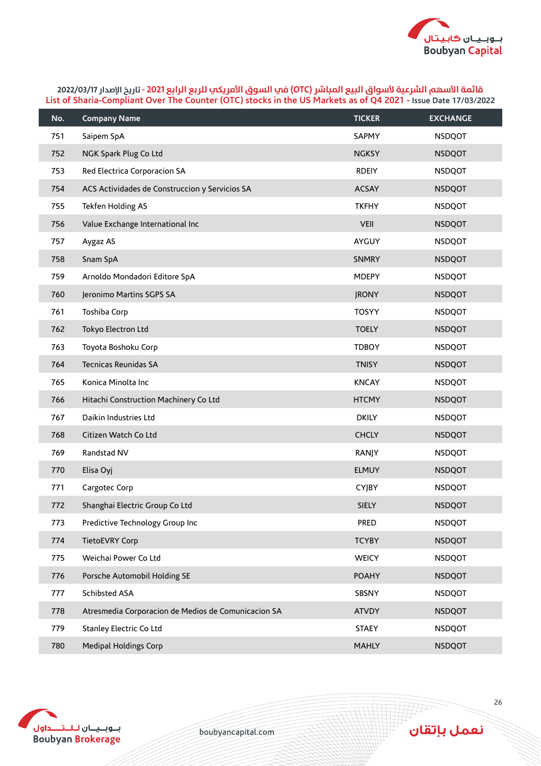

| No. | <b>Company Name</b>                                 | <b>TICKER</b> | <b>EXCHANGE</b> |
|-----|-----------------------------------------------------|---------------|-----------------|
| 751 | Saipem SpA                                          | SAPMY         | <b>NSDQOT</b>   |
| 752 | NGK Spark Plug Co Ltd                               | <b>NGKSY</b>  | <b>NSDQOT</b>   |
| 753 | Red Electrica Corporacion SA                        | <b>RDEIY</b>  | <b>NSDQOT</b>   |
| 754 | ACS Actividades de Construccion y Servicios SA      | <b>ACSAY</b>  | <b>NSDQOT</b>   |
| 755 | Tekfen Holding AS                                   | <b>TKFHY</b>  | <b>NSDQOT</b>   |
| 756 | Value Exchange International Inc                    | <b>VEII</b>   | <b>NSDQOT</b>   |
| 757 | Aygaz AS                                            | AYGUY         | <b>NSDQOT</b>   |
| 758 | Snam SpA                                            | <b>SNMRY</b>  | <b>NSDQOT</b>   |
| 759 | Arnoldo Mondadori Editore SpA                       | <b>MDEPY</b>  | <b>NSDQOT</b>   |
| 760 | Jeronimo Martins SGPS SA                            | <b>JRONY</b>  | <b>NSDQOT</b>   |
| 761 | Toshiba Corp                                        | <b>TOSYY</b>  | <b>NSDQOT</b>   |
| 762 | Tokyo Electron Ltd                                  | <b>TOELY</b>  | <b>NSDQOT</b>   |
| 763 | Toyota Boshoku Corp                                 | <b>TDBOY</b>  | <b>NSDQOT</b>   |
| 764 | Tecnicas Reunidas SA                                | <b>TNISY</b>  | <b>NSDQOT</b>   |
| 765 | Konica Minolta Inc                                  | <b>KNCAY</b>  | <b>NSDQOT</b>   |
| 766 | Hitachi Construction Machinery Co Ltd               | <b>HTCMY</b>  | <b>NSDQOT</b>   |
| 767 | Daikin Industries Ltd                               | <b>DKILY</b>  | <b>NSDQOT</b>   |
| 768 | Citizen Watch Co Ltd                                | <b>CHCLY</b>  | <b>NSDQOT</b>   |
| 769 | Randstad NV                                         | RANJY         | <b>NSDQOT</b>   |
| 770 | Elisa Oyj                                           | <b>ELMUY</b>  | <b>NSDQOT</b>   |
| 771 | Cargotec Corp                                       | <b>CYJBY</b>  | <b>NSDQOT</b>   |
| 772 | Shanghai Electric Group Co Ltd                      | <b>SIELY</b>  | <b>NSDQOT</b>   |
| 773 | Predictive Technology Group Inc                     | PRED          | <b>NSDQOT</b>   |
| 774 | TietoEVRY Corp                                      | <b>TCYBY</b>  | <b>NSDQOT</b>   |
| 775 | Weichai Power Co Ltd                                | <b>WEICY</b>  | <b>NSDQOT</b>   |
| 776 | Porsche Automobil Holding SE                        | <b>POAHY</b>  | <b>NSDQOT</b>   |
| 777 | Schibsted ASA                                       | SBSNY         | <b>NSDQOT</b>   |
| 778 | Atresmedia Corporacion de Medios de Comunicacion SA | <b>ATVDY</b>  | <b>NSDQOT</b>   |
| 779 | Stanley Electric Co Ltd                             | <b>STAEY</b>  | <b>NSDQOT</b>   |
| 780 | <b>Medipal Holdings Corp</b>                        | <b>MAHLY</b>  | <b>NSDQOT</b>   |



boubyancapital.com

**APP**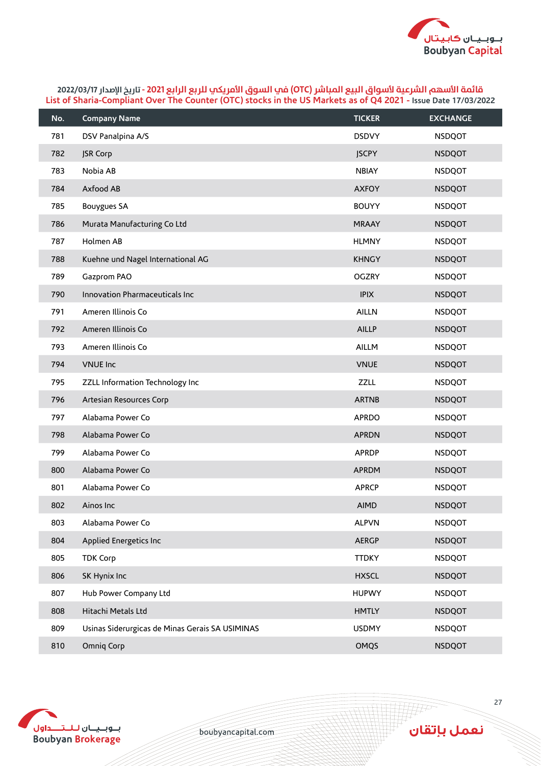

| No. | <b>Company Name</b>                             | <b>TICKER</b> | <b>EXCHANGE</b> |
|-----|-------------------------------------------------|---------------|-----------------|
| 781 | DSV Panalpina A/S                               | <b>DSDVY</b>  | <b>NSDQOT</b>   |
| 782 | JSR Corp                                        | <b>JSCPY</b>  | <b>NSDQOT</b>   |
| 783 | Nobia AB                                        | <b>NBIAY</b>  | <b>NSDQOT</b>   |
| 784 | Axfood AB                                       | <b>AXFOY</b>  | <b>NSDQOT</b>   |
| 785 | <b>Bouygues SA</b>                              | <b>BOUYY</b>  | <b>NSDQOT</b>   |
| 786 | Murata Manufacturing Co Ltd                     | <b>MRAAY</b>  | <b>NSDQOT</b>   |
| 787 | Holmen AB                                       | <b>HLMNY</b>  | <b>NSDQOT</b>   |
| 788 | Kuehne und Nagel International AG               | <b>KHNGY</b>  | <b>NSDQOT</b>   |
| 789 | Gazprom PAO                                     | <b>OGZRY</b>  | <b>NSDQOT</b>   |
| 790 | Innovation Pharmaceuticals Inc                  | <b>IPIX</b>   | <b>NSDQOT</b>   |
| 791 | Ameren Illinois Co                              | <b>AILLN</b>  | <b>NSDQOT</b>   |
| 792 | Ameren Illinois Co                              | <b>AILLP</b>  | <b>NSDQOT</b>   |
| 793 | Ameren Illinois Co                              | AILLM         | <b>NSDQOT</b>   |
| 794 | <b>VNUE Inc</b>                                 | <b>VNUE</b>   | <b>NSDQOT</b>   |
| 795 | ZZLL Information Technology Inc                 | <b>ZZLL</b>   | <b>NSDQOT</b>   |
| 796 | Artesian Resources Corp                         | <b>ARTNB</b>  | <b>NSDQOT</b>   |
| 797 | Alabama Power Co                                | <b>APRDO</b>  | <b>NSDQOT</b>   |
| 798 | Alabama Power Co                                | <b>APRDN</b>  | <b>NSDQOT</b>   |
| 799 | Alabama Power Co                                | <b>APRDP</b>  | <b>NSDQOT</b>   |
| 800 | Alabama Power Co                                | <b>APRDM</b>  | <b>NSDQOT</b>   |
| 801 | Alabama Power Co                                | <b>APRCP</b>  | <b>NSDQOT</b>   |
| 802 | Ainos Inc                                       | <b>AIMD</b>   | <b>NSDQOT</b>   |
| 803 | Alabama Power Co                                | <b>ALPVN</b>  | <b>NSDQOT</b>   |
| 804 | Applied Energetics Inc                          | <b>AERGP</b>  | <b>NSDQOT</b>   |
| 805 | <b>TDK Corp</b>                                 | <b>TTDKY</b>  | <b>NSDQOT</b>   |
| 806 | SK Hynix Inc                                    | <b>HXSCL</b>  | <b>NSDQOT</b>   |
| 807 | Hub Power Company Ltd                           | <b>HUPWY</b>  | <b>NSDQOT</b>   |
| 808 | Hitachi Metals Ltd                              | <b>HMTLY</b>  | <b>NSDQOT</b>   |
| 809 | Usinas Siderurgicas de Minas Gerais SA USIMINAS | <b>USDMY</b>  | <b>NSDQOT</b>   |
| 810 | Omniq Corp                                      | OMQS          | <b>NSDQOT</b>   |



boubyancapital.com

**THP**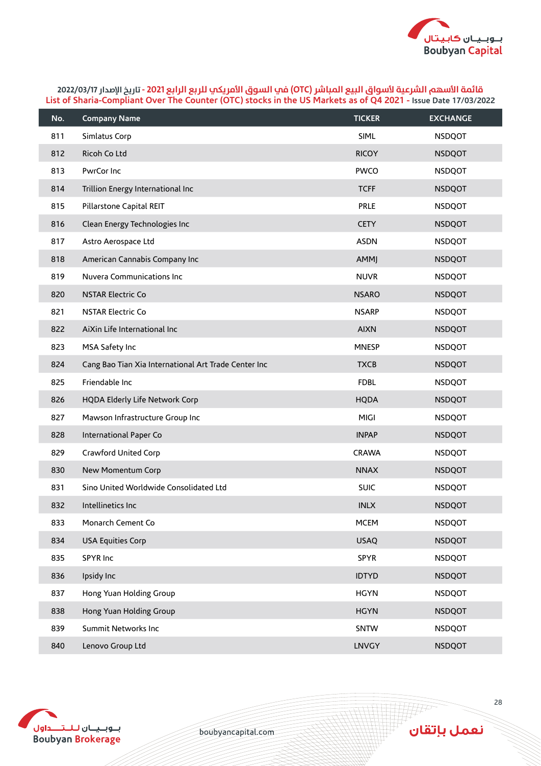

| No. | <b>Company Name</b>                                  | <b>TICKER</b> | <b>EXCHANGE</b> |
|-----|------------------------------------------------------|---------------|-----------------|
| 811 | Simlatus Corp                                        | <b>SIML</b>   | <b>NSDQOT</b>   |
| 812 | Ricoh Co Ltd                                         | <b>RICOY</b>  | <b>NSDQOT</b>   |
| 813 | PwrCor Inc                                           | <b>PWCO</b>   | <b>NSDQOT</b>   |
| 814 | Trillion Energy International Inc                    | <b>TCFF</b>   | <b>NSDQOT</b>   |
| 815 | Pillarstone Capital REIT                             | PRLE          | <b>NSDQOT</b>   |
| 816 | Clean Energy Technologies Inc                        | <b>CETY</b>   | <b>NSDQOT</b>   |
| 817 | Astro Aerospace Ltd                                  | <b>ASDN</b>   | <b>NSDQOT</b>   |
| 818 | American Cannabis Company Inc                        | <b>AMMJ</b>   | <b>NSDQOT</b>   |
| 819 | Nuvera Communications Inc                            | <b>NUVR</b>   | <b>NSDQOT</b>   |
| 820 | <b>NSTAR Electric Co</b>                             | <b>NSARO</b>  | <b>NSDQOT</b>   |
| 821 | <b>NSTAR Electric Co</b>                             | <b>NSARP</b>  | <b>NSDQOT</b>   |
| 822 | AiXin Life International Inc                         | <b>AIXN</b>   | <b>NSDQOT</b>   |
| 823 | MSA Safety Inc                                       | <b>MNESP</b>  | <b>NSDQOT</b>   |
| 824 | Cang Bao Tian Xia International Art Trade Center Inc | <b>TXCB</b>   | <b>NSDQOT</b>   |
| 825 | Friendable Inc                                       | <b>FDBL</b>   | <b>NSDQOT</b>   |
| 826 | HQDA Elderly Life Network Corp                       | <b>HQDA</b>   | <b>NSDQOT</b>   |
| 827 | Mawson Infrastructure Group Inc                      | MIGI          | <b>NSDQOT</b>   |
| 828 | International Paper Co                               | <b>INPAP</b>  | <b>NSDQOT</b>   |
| 829 | Crawford United Corp                                 | <b>CRAWA</b>  | <b>NSDQOT</b>   |
| 830 | New Momentum Corp                                    | <b>NNAX</b>   | <b>NSDQOT</b>   |
| 831 | Sino United Worldwide Consolidated Ltd               | <b>SUIC</b>   | <b>NSDQOT</b>   |
| 832 | Intellinetics Inc                                    | <b>INLX</b>   | <b>NSDQOT</b>   |
| 833 | Monarch Cement Co                                    | <b>MCEM</b>   | <b>NSDQOT</b>   |
| 834 | <b>USA Equities Corp</b>                             | <b>USAQ</b>   | <b>NSDQOT</b>   |
| 835 | SPYR Inc                                             | SPYR          | <b>NSDQOT</b>   |
| 836 | Ipsidy Inc                                           | <b>IDTYD</b>  | <b>NSDQOT</b>   |
| 837 | Hong Yuan Holding Group                              | <b>HGYN</b>   | <b>NSDQOT</b>   |
| 838 | Hong Yuan Holding Group                              | <b>HGYN</b>   | <b>NSDQOT</b>   |
| 839 | Summit Networks Inc                                  | SNTW          | <b>NSDQOT</b>   |
| 840 | Lenovo Group Ltd                                     | LNVGY         | <b>NSDQOT</b>   |



boubyancapital.com

**APP**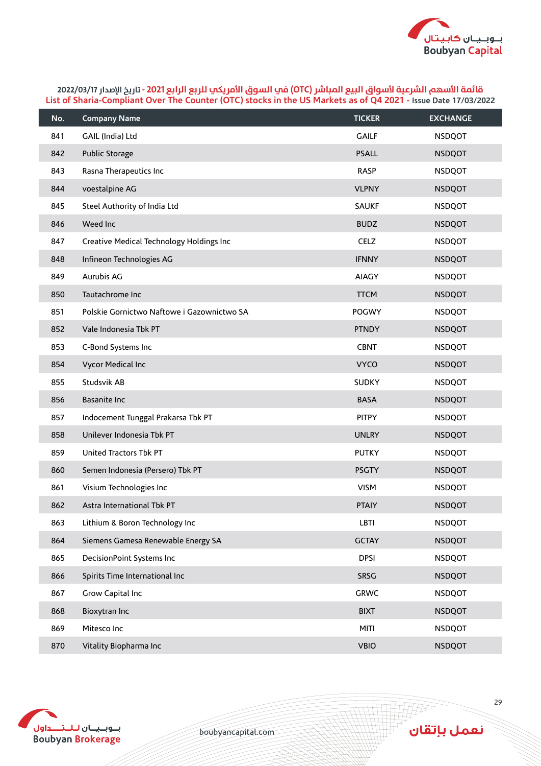

| No. | <b>Company Name</b>                        | <b>TICKER</b> | <b>EXCHANGE</b> |
|-----|--------------------------------------------|---------------|-----------------|
| 841 | GAIL (India) Ltd                           | <b>GAILF</b>  | <b>NSDQOT</b>   |
| 842 | Public Storage                             | <b>PSALL</b>  | <b>NSDQOT</b>   |
| 843 | Rasna Therapeutics Inc                     | <b>RASP</b>   | <b>NSDQOT</b>   |
| 844 | voestalpine AG                             | <b>VLPNY</b>  | <b>NSDQOT</b>   |
| 845 | Steel Authority of India Ltd               | <b>SAUKF</b>  | <b>NSDQOT</b>   |
| 846 | Weed Inc                                   | <b>BUDZ</b>   | <b>NSDQOT</b>   |
| 847 | Creative Medical Technology Holdings Inc   | <b>CELZ</b>   | <b>NSDQOT</b>   |
| 848 | Infineon Technologies AG                   | <b>IFNNY</b>  | <b>NSDQOT</b>   |
| 849 | Aurubis AG                                 | <b>AIAGY</b>  | <b>NSDQOT</b>   |
| 850 | Tautachrome Inc                            | <b>TTCM</b>   | <b>NSDQOT</b>   |
| 851 | Polskie Gornictwo Naftowe i Gazownictwo SA | POGWY         | <b>NSDQOT</b>   |
| 852 | Vale Indonesia Tbk PT                      | <b>PTNDY</b>  | <b>NSDQOT</b>   |
| 853 | C-Bond Systems Inc                         | <b>CBNT</b>   | <b>NSDQOT</b>   |
| 854 | Vycor Medical Inc                          | <b>VYCO</b>   | <b>NSDQOT</b>   |
| 855 | Studsvik AB                                | <b>SUDKY</b>  | <b>NSDQOT</b>   |
| 856 | Basanite Inc                               | <b>BASA</b>   | <b>NSDQOT</b>   |
| 857 | Indocement Tunggal Prakarsa Tbk PT         | <b>PITPY</b>  | <b>NSDQOT</b>   |
| 858 | Unilever Indonesia Tbk PT                  | <b>UNLRY</b>  | <b>NSDQOT</b>   |
| 859 | United Tractors Tbk PT                     | <b>PUTKY</b>  | <b>NSDQOT</b>   |
| 860 | Semen Indonesia (Persero) Tbk PT           | <b>PSGTY</b>  | <b>NSDQOT</b>   |
| 861 | Visium Technologies Inc                    | <b>VISM</b>   | <b>NSDQOT</b>   |
| 862 | Astra International Tbk PT                 | <b>PTAIY</b>  | <b>NSDQOT</b>   |
| 863 | Lithium & Boron Technology Inc             | LBTI          | <b>NSDQOT</b>   |
| 864 | Siemens Gamesa Renewable Energy SA         | <b>GCTAY</b>  | <b>NSDQOT</b>   |
| 865 | DecisionPoint Systems Inc                  | <b>DPSI</b>   | <b>NSDQOT</b>   |
| 866 | Spirits Time International Inc             | SRSG          | <b>NSDQOT</b>   |
| 867 | Grow Capital Inc                           | <b>GRWC</b>   | <b>NSDQOT</b>   |
| 868 | Bioxytran Inc                              | <b>BIXT</b>   | <b>NSDQOT</b>   |
| 869 | Mitesco Inc                                | <b>MITI</b>   | <b>NSDQOT</b>   |
| 870 | Vitality Biopharma Inc                     | <b>VBIO</b>   | <b>NSDQOT</b>   |



boubyancapital.com

**HF** 

نعمل بإتقان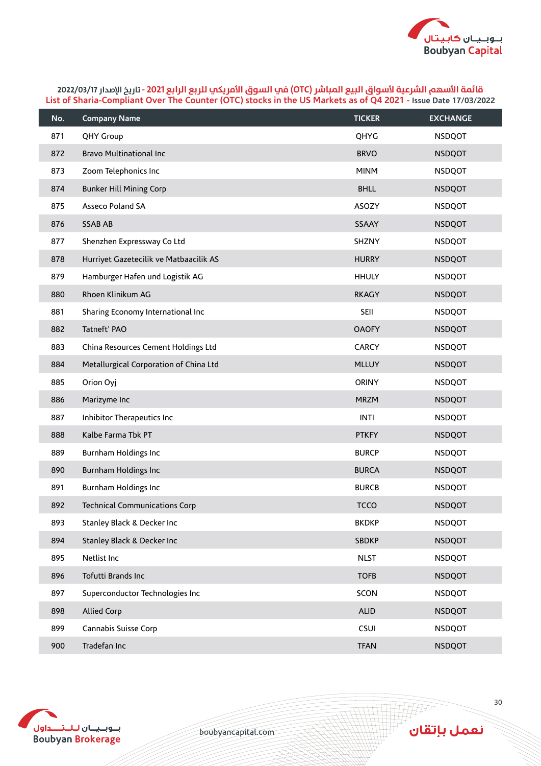

| No. | <b>Company Name</b>                    | <b>TICKER</b> | <b>EXCHANGE</b> |
|-----|----------------------------------------|---------------|-----------------|
| 871 | QHY Group                              | QHYG          | <b>NSDQOT</b>   |
| 872 | <b>Bravo Multinational Inc</b>         | <b>BRVO</b>   | <b>NSDQOT</b>   |
| 873 | Zoom Telephonics Inc                   | <b>MINM</b>   | <b>NSDQOT</b>   |
| 874 | <b>Bunker Hill Mining Corp</b>         | <b>BHLL</b>   | <b>NSDQOT</b>   |
| 875 | Asseco Poland SA                       | ASOZY         | <b>NSDQOT</b>   |
| 876 | <b>SSAB AB</b>                         | SSAAY         | <b>NSDQOT</b>   |
| 877 | Shenzhen Expressway Co Ltd             | SHZNY         | <b>NSDQOT</b>   |
| 878 | Hurriyet Gazetecilik ve Matbaacilik AS | <b>HURRY</b>  | <b>NSDQOT</b>   |
| 879 | Hamburger Hafen und Logistik AG        | <b>HHULY</b>  | <b>NSDQOT</b>   |
| 880 | Rhoen Klinikum AG                      | <b>RKAGY</b>  | <b>NSDQOT</b>   |
| 881 | Sharing Economy International Inc      | <b>SEII</b>   | <b>NSDQOT</b>   |
| 882 | Tatneft' PAO                           | <b>OAOFY</b>  | <b>NSDQOT</b>   |
| 883 | China Resources Cement Holdings Ltd    | <b>CARCY</b>  | <b>NSDQOT</b>   |
| 884 | Metallurgical Corporation of China Ltd | <b>MLLUY</b>  | <b>NSDQOT</b>   |
| 885 | Orion Oyj                              | <b>ORINY</b>  | <b>NSDQOT</b>   |
| 886 | Marizyme Inc                           | <b>MRZM</b>   | <b>NSDQOT</b>   |
| 887 | Inhibitor Therapeutics Inc             | <b>INTI</b>   | <b>NSDQOT</b>   |
| 888 | Kalbe Farma Tbk PT                     | <b>PTKFY</b>  | <b>NSDQOT</b>   |
| 889 | Burnham Holdings Inc                   | <b>BURCP</b>  | <b>NSDQOT</b>   |
| 890 | Burnham Holdings Inc                   | <b>BURCA</b>  | <b>NSDQOT</b>   |
| 891 | Burnham Holdings Inc                   | <b>BURCB</b>  | <b>NSDQOT</b>   |
| 892 | <b>Technical Communications Corp</b>   | <b>TCCO</b>   | <b>NSDQOT</b>   |
| 893 | Stanley Black & Decker Inc             | <b>BKDKP</b>  | <b>NSDQOT</b>   |
| 894 | Stanley Black & Decker Inc             | <b>SBDKP</b>  | <b>NSDQOT</b>   |
| 895 | Netlist Inc                            | <b>NLST</b>   | <b>NSDQOT</b>   |
| 896 | Tofutti Brands Inc                     | <b>TOFB</b>   | <b>NSDQOT</b>   |
| 897 | Superconductor Technologies Inc        | SCON          | <b>NSDQOT</b>   |
| 898 | <b>Allied Corp</b>                     | <b>ALID</b>   | <b>NSDQOT</b>   |
| 899 | Cannabis Suisse Corp                   | CSUI          | <b>NSDQOT</b>   |
| 900 | Tradefan Inc                           | <b>TFAN</b>   | <b>NSDQOT</b>   |



boubyancapital.com

**HF**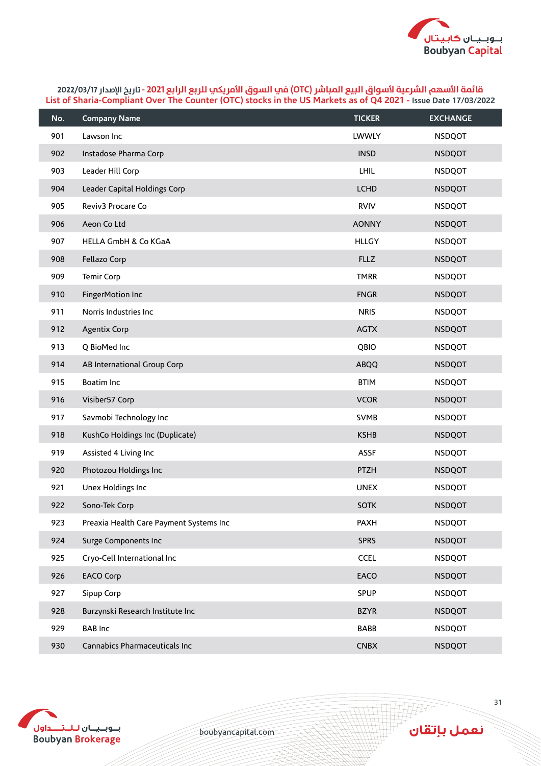

| No. | <b>Company Name</b>                     | <b>TICKER</b> | <b>EXCHANGE</b> |
|-----|-----------------------------------------|---------------|-----------------|
| 901 | Lawson Inc                              | LWWLY         | <b>NSDQOT</b>   |
| 902 | Instadose Pharma Corp                   | <b>INSD</b>   | <b>NSDQOT</b>   |
| 903 | Leader Hill Corp                        | LHIL          | <b>NSDQOT</b>   |
| 904 | Leader Capital Holdings Corp            | <b>LCHD</b>   | <b>NSDQOT</b>   |
| 905 | Reviv3 Procare Co                       | <b>RVIV</b>   | <b>NSDQOT</b>   |
| 906 | Aeon Co Ltd                             | <b>AONNY</b>  | <b>NSDQOT</b>   |
| 907 | HELLA GmbH & Co KGaA                    | <b>HLLGY</b>  | <b>NSDQOT</b>   |
| 908 | Fellazo Corp                            | <b>FLLZ</b>   | <b>NSDQOT</b>   |
| 909 | Temir Corp                              | <b>TMRR</b>   | <b>NSDQOT</b>   |
| 910 | FingerMotion Inc                        | <b>FNGR</b>   | <b>NSDQOT</b>   |
| 911 | Norris Industries Inc                   | <b>NRIS</b>   | <b>NSDQOT</b>   |
| 912 | <b>Agentix Corp</b>                     | <b>AGTX</b>   | <b>NSDQOT</b>   |
| 913 | Q BioMed Inc                            | QBIO          | <b>NSDQOT</b>   |
| 914 | AB International Group Corp             | <b>ABQQ</b>   | <b>NSDQOT</b>   |
| 915 | Boatim Inc                              | <b>BTIM</b>   | <b>NSDQOT</b>   |
| 916 | Visiber57 Corp                          | <b>VCOR</b>   | <b>NSDQOT</b>   |
| 917 | Savmobi Technology Inc                  | <b>SVMB</b>   | <b>NSDQOT</b>   |
| 918 | KushCo Holdings Inc (Duplicate)         | <b>KSHB</b>   | <b>NSDQOT</b>   |
| 919 | Assisted 4 Living Inc                   | <b>ASSF</b>   | <b>NSDQOT</b>   |
| 920 | Photozou Holdings Inc                   | PTZH          | <b>NSDQOT</b>   |
| 921 | Unex Holdings Inc                       | <b>UNEX</b>   | <b>NSDQOT</b>   |
| 922 | Sono-Tek Corp                           | <b>SOTK</b>   | <b>NSDQOT</b>   |
| 923 | Preaxia Health Care Payment Systems Inc | <b>PAXH</b>   | <b>NSDQOT</b>   |
| 924 | Surge Components Inc                    | <b>SPRS</b>   | <b>NSDQOT</b>   |
| 925 | Cryo-Cell International Inc             | <b>CCEL</b>   | <b>NSDQOT</b>   |
| 926 | <b>EACO Corp</b>                        | EACO          | <b>NSDQOT</b>   |
| 927 | Sipup Corp                              | <b>SPUP</b>   | <b>NSDQOT</b>   |
| 928 | Burzynski Research Institute Inc        | <b>BZYR</b>   | <b>NSDQOT</b>   |
| 929 | <b>BAB Inc</b>                          | BABB          | <b>NSDQOT</b>   |
| 930 | Cannabics Pharmaceuticals Inc           | <b>CNBX</b>   | <b>NSDQOT</b>   |



boubyancapital.com

**THP**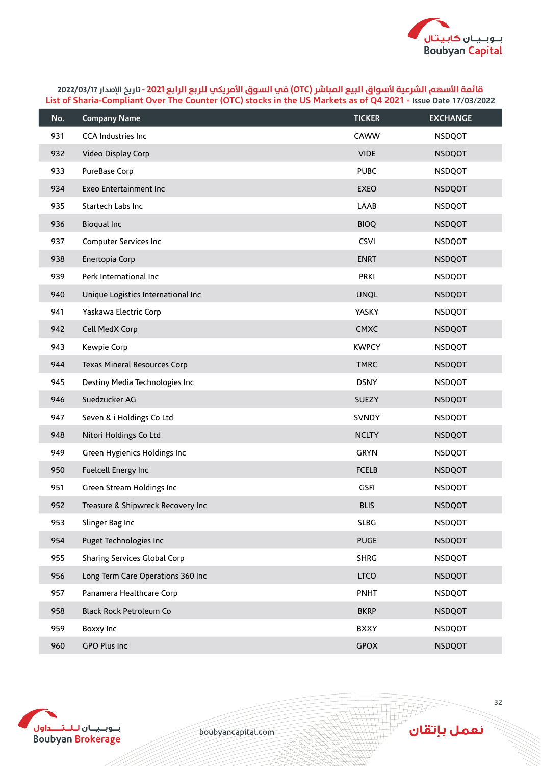

| No. | <b>Company Name</b>                | <b>TICKER</b> | <b>EXCHANGE</b> |
|-----|------------------------------------|---------------|-----------------|
| 931 | <b>CCA Industries Inc</b>          | CAWW          | <b>NSDQOT</b>   |
| 932 | Video Display Corp                 | <b>VIDE</b>   | <b>NSDQOT</b>   |
| 933 | PureBase Corp                      | <b>PUBC</b>   | <b>NSDQOT</b>   |
| 934 | Exeo Entertainment Inc             | <b>EXEO</b>   | <b>NSDQOT</b>   |
| 935 | Startech Labs Inc                  | LAAB          | <b>NSDQOT</b>   |
| 936 | Bioqual Inc                        | <b>BIOQ</b>   | <b>NSDQOT</b>   |
| 937 | Computer Services Inc              | <b>CSVI</b>   | <b>NSDQOT</b>   |
| 938 | Enertopia Corp                     | <b>ENRT</b>   | <b>NSDQOT</b>   |
| 939 | Perk International Inc             | <b>PRKI</b>   | <b>NSDQOT</b>   |
| 940 | Unique Logistics International Inc | <b>UNQL</b>   | <b>NSDQOT</b>   |
| 941 | Yaskawa Electric Corp              | YASKY         | <b>NSDQOT</b>   |
| 942 | Cell MedX Corp                     | <b>CMXC</b>   | <b>NSDQOT</b>   |
| 943 | Kewpie Corp                        | <b>KWPCY</b>  | <b>NSDQOT</b>   |
| 944 | Texas Mineral Resources Corp       | <b>TMRC</b>   | <b>NSDQOT</b>   |
| 945 | Destiny Media Technologies Inc     | <b>DSNY</b>   | <b>NSDQOT</b>   |
| 946 | Suedzucker AG                      | <b>SUEZY</b>  | <b>NSDQOT</b>   |
| 947 | Seven & i Holdings Co Ltd          | <b>SVNDY</b>  | <b>NSDQOT</b>   |
| 948 | Nitori Holdings Co Ltd             | <b>NCLTY</b>  | <b>NSDQOT</b>   |
| 949 | Green Hygienics Holdings Inc       | <b>GRYN</b>   | <b>NSDQOT</b>   |
| 950 | Fuelcell Energy Inc                | <b>FCELB</b>  | <b>NSDQOT</b>   |
| 951 | Green Stream Holdings Inc          | <b>GSFI</b>   | <b>NSDQOT</b>   |
| 952 | Treasure & Shipwreck Recovery Inc  | <b>BLIS</b>   | <b>NSDQOT</b>   |
| 953 | Slinger Bag Inc                    | <b>SLBG</b>   | <b>NSDQOT</b>   |
| 954 | Puget Technologies Inc             | <b>PUGE</b>   | <b>NSDQOT</b>   |
| 955 | Sharing Services Global Corp       | <b>SHRG</b>   | <b>NSDQOT</b>   |
| 956 | Long Term Care Operations 360 Inc  | <b>LTCO</b>   | <b>NSDQOT</b>   |
| 957 | Panamera Healthcare Corp           | <b>PNHT</b>   | <b>NSDQOT</b>   |
| 958 | <b>Black Rock Petroleum Co</b>     | <b>BKRP</b>   | <b>NSDQOT</b>   |
| 959 | Boxxy Inc                          | <b>BXXY</b>   | <b>NSDQOT</b>   |
| 960 | GPO Plus Inc                       | <b>GPOX</b>   | <b>NSDQOT</b>   |



boubyancapital.com

**APP**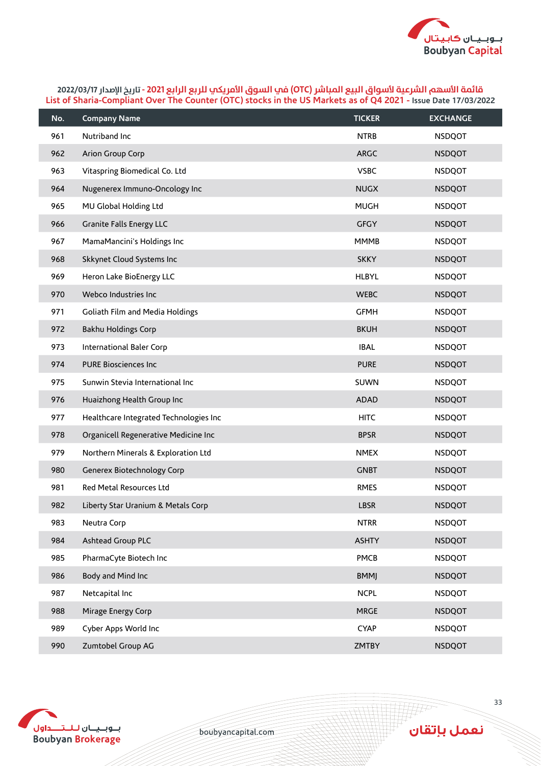

| No. | <b>Company Name</b>                    | <b>TICKER</b> | <b>EXCHANGE</b> |
|-----|----------------------------------------|---------------|-----------------|
| 961 | Nutriband Inc                          | <b>NTRB</b>   | <b>NSDQOT</b>   |
| 962 | Arion Group Corp                       | <b>ARGC</b>   | <b>NSDQOT</b>   |
| 963 | Vitaspring Biomedical Co. Ltd          | <b>VSBC</b>   | <b>NSDQOT</b>   |
| 964 | Nugenerex Immuno-Oncology Inc          | <b>NUGX</b>   | <b>NSDQOT</b>   |
| 965 | MU Global Holding Ltd                  | <b>MUGH</b>   | <b>NSDQOT</b>   |
| 966 | <b>Granite Falls Energy LLC</b>        | <b>GFGY</b>   | <b>NSDQOT</b>   |
| 967 | MamaMancini's Holdings Inc             | <b>MMMB</b>   | <b>NSDQOT</b>   |
| 968 | Skkynet Cloud Systems Inc              | <b>SKKY</b>   | <b>NSDQOT</b>   |
| 969 | Heron Lake BioEnergy LLC               | <b>HLBYL</b>  | <b>NSDQOT</b>   |
| 970 | Webco Industries Inc                   | <b>WEBC</b>   | <b>NSDQOT</b>   |
| 971 | Goliath Film and Media Holdings        | <b>GFMH</b>   | <b>NSDQOT</b>   |
| 972 | <b>Bakhu Holdings Corp</b>             | <b>BKUH</b>   | <b>NSDQOT</b>   |
| 973 | International Baler Corp               | <b>IBAL</b>   | <b>NSDQOT</b>   |
| 974 | <b>PURE Biosciences Inc</b>            | <b>PURE</b>   | <b>NSDQOT</b>   |
| 975 | Sunwin Stevia International Inc        | SUWN          | <b>NSDQOT</b>   |
| 976 | Huaizhong Health Group Inc             | <b>ADAD</b>   | <b>NSDQOT</b>   |
| 977 | Healthcare Integrated Technologies Inc | <b>HITC</b>   | <b>NSDQOT</b>   |
| 978 | Organicell Regenerative Medicine Inc   | <b>BPSR</b>   | <b>NSDQOT</b>   |
| 979 | Northern Minerals & Exploration Ltd    | <b>NMEX</b>   | <b>NSDQOT</b>   |
| 980 | Generex Biotechnology Corp             | <b>GNBT</b>   | <b>NSDQOT</b>   |
| 981 | Red Metal Resources Ltd                | <b>RMES</b>   | <b>NSDQOT</b>   |
| 982 | Liberty Star Uranium & Metals Corp     | <b>LBSR</b>   | <b>NSDQOT</b>   |
| 983 | Neutra Corp                            | <b>NTRR</b>   | <b>NSDQOT</b>   |
| 984 | Ashtead Group PLC                      | <b>ASHTY</b>  | <b>NSDQOT</b>   |
| 985 | PharmaCyte Biotech Inc                 | PMCB          | <b>NSDQOT</b>   |
| 986 | Body and Mind Inc                      | <b>BMMJ</b>   | <b>NSDQOT</b>   |
| 987 | Netcapital Inc                         | <b>NCPL</b>   | <b>NSDQOT</b>   |
| 988 | Mirage Energy Corp                     | <b>MRGE</b>   | <b>NSDQOT</b>   |
| 989 | Cyber Apps World Inc                   | <b>CYAP</b>   | <b>NSDQOT</b>   |
| 990 | Zumtobel Group AG                      | <b>ZMTBY</b>  | <b>NSDQOT</b>   |



boubyancapital.com

**THP** 

نعمل بإتقان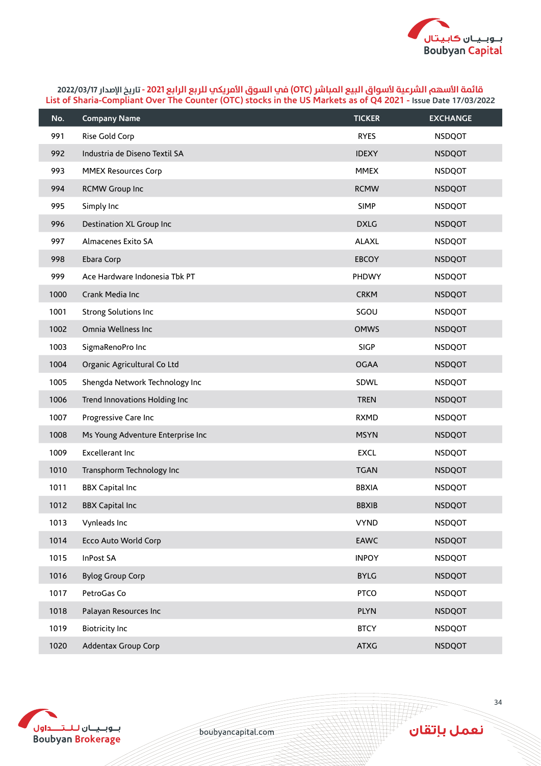

| No.  | <b>Company Name</b>               | <b>TICKER</b> | <b>EXCHANGE</b> |
|------|-----------------------------------|---------------|-----------------|
| 991  | Rise Gold Corp                    | <b>RYES</b>   | <b>NSDQOT</b>   |
| 992  | Industria de Diseno Textil SA     | <b>IDEXY</b>  | <b>NSDQOT</b>   |
| 993  | <b>MMEX Resources Corp</b>        | <b>MMEX</b>   | <b>NSDQOT</b>   |
| 994  | RCMW Group Inc                    | <b>RCMW</b>   | <b>NSDQOT</b>   |
| 995  | Simply Inc                        | <b>SIMP</b>   | <b>NSDQOT</b>   |
| 996  | Destination XL Group Inc          | <b>DXLG</b>   | <b>NSDQOT</b>   |
| 997  | Almacenes Exito SA                | <b>ALAXL</b>  | <b>NSDQOT</b>   |
| 998  | Ebara Corp                        | <b>EBCOY</b>  | <b>NSDQOT</b>   |
| 999  | Ace Hardware Indonesia Tbk PT     | PHDWY         | <b>NSDQOT</b>   |
| 1000 | Crank Media Inc                   | <b>CRKM</b>   | <b>NSDQOT</b>   |
| 1001 | Strong Solutions Inc              | SGOU          | <b>NSDQOT</b>   |
| 1002 | Omnia Wellness Inc                | <b>OMWS</b>   | <b>NSDQOT</b>   |
| 1003 | SigmaRenoPro Inc                  | <b>SIGP</b>   | <b>NSDQOT</b>   |
| 1004 | Organic Agricultural Co Ltd       | <b>OGAA</b>   | <b>NSDQOT</b>   |
| 1005 | Shengda Network Technology Inc    | SDWL          | <b>NSDQOT</b>   |
| 1006 | Trend Innovations Holding Inc     | <b>TREN</b>   | <b>NSDQOT</b>   |
| 1007 | Progressive Care Inc              | <b>RXMD</b>   | <b>NSDQOT</b>   |
| 1008 | Ms Young Adventure Enterprise Inc | <b>MSYN</b>   | <b>NSDQOT</b>   |
| 1009 | Excellerant Inc                   | <b>EXCL</b>   | <b>NSDQOT</b>   |
| 1010 | Transphorm Technology Inc         | <b>TGAN</b>   | <b>NSDQOT</b>   |
| 1011 | <b>BBX Capital Inc</b>            | <b>BBXIA</b>  | <b>NSDQOT</b>   |
| 1012 | <b>BBX Capital Inc</b>            | <b>BBXIB</b>  | <b>NSDQOT</b>   |
| 1013 | Vynleads Inc                      | <b>VYND</b>   | <b>NSDQOT</b>   |
| 1014 | <b>Ecco Auto World Corp</b>       | <b>EAWC</b>   | <b>NSDQOT</b>   |
| 1015 | InPost SA                         | <b>INPOY</b>  | <b>NSDQOT</b>   |
| 1016 | <b>Bylog Group Corp</b>           | <b>BYLG</b>   | <b>NSDQOT</b>   |
| 1017 | PetroGas Co                       | <b>PTCO</b>   | <b>NSDQOT</b>   |
| 1018 | Palayan Resources Inc             | <b>PLYN</b>   | <b>NSDQOT</b>   |
| 1019 | <b>Biotricity Inc</b>             | <b>BTCY</b>   | <b>NSDQOT</b>   |
| 1020 | Addentax Group Corp               | <b>ATXG</b>   | <b>NSDQOT</b>   |



boubyancapital.com

**APP**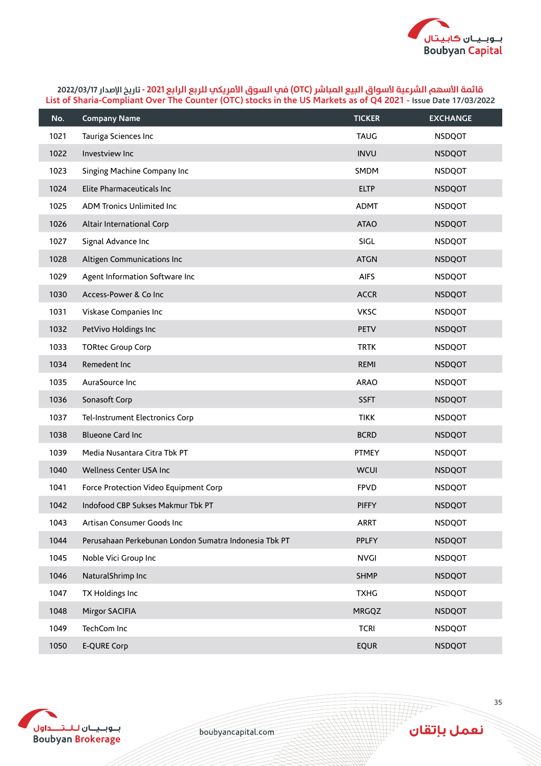

| No.  | <b>Company Name</b>                                   | <b>TICKER</b> | <b>EXCHANGE</b> |
|------|-------------------------------------------------------|---------------|-----------------|
| 1021 | Tauriga Sciences Inc                                  | <b>TAUG</b>   | <b>NSDQOT</b>   |
| 1022 | Investview Inc                                        | <b>INVU</b>   | <b>NSDQOT</b>   |
| 1023 | Singing Machine Company Inc                           | SMDM          | <b>NSDQOT</b>   |
| 1024 | Elite Pharmaceuticals Inc                             | <b>ELTP</b>   | <b>NSDQOT</b>   |
| 1025 | ADM Tronics Unlimited Inc                             | <b>ADMT</b>   | <b>NSDQOT</b>   |
| 1026 | Altair International Corp                             | <b>ATAO</b>   | <b>NSDQOT</b>   |
| 1027 | Signal Advance Inc                                    | SIGL          | <b>NSDQOT</b>   |
| 1028 | Altigen Communications Inc                            | <b>ATGN</b>   | <b>NSDQOT</b>   |
| 1029 | Agent Information Software Inc                        | <b>AIFS</b>   | <b>NSDQOT</b>   |
| 1030 | Access-Power & Co Inc                                 | <b>ACCR</b>   | <b>NSDQOT</b>   |
| 1031 | Viskase Companies Inc                                 | <b>VKSC</b>   | <b>NSDQOT</b>   |
| 1032 | PetVivo Holdings Inc                                  | <b>PETV</b>   | <b>NSDQOT</b>   |
| 1033 | <b>TORtec Group Corp</b>                              | <b>TRTK</b>   | <b>NSDQOT</b>   |
| 1034 | Remedent Inc                                          | REMI          | <b>NSDQOT</b>   |
| 1035 | AuraSource Inc                                        | <b>ARAO</b>   | <b>NSDQOT</b>   |
| 1036 | Sonasoft Corp                                         | <b>SSFT</b>   | <b>NSDQOT</b>   |
| 1037 | Tel-Instrument Electronics Corp                       | <b>TIKK</b>   | <b>NSDQOT</b>   |
| 1038 | <b>Blueone Card Inc</b>                               | <b>BCRD</b>   | <b>NSDQOT</b>   |
| 1039 | Media Nusantara Citra Tbk PT                          | <b>PTMEY</b>  | <b>NSDQOT</b>   |
| 1040 | Wellness Center USA Inc                               | <b>WCUI</b>   | <b>NSDQOT</b>   |
| 1041 | Force Protection Video Equipment Corp                 | <b>FPVD</b>   | <b>NSDQOT</b>   |
| 1042 | Indofood CBP Sukses Makmur Tbk PT                     | <b>PIFFY</b>  | <b>NSDQOT</b>   |
| 1043 | Artisan Consumer Goods Inc                            | <b>ARRT</b>   | <b>NSDQOT</b>   |
| 1044 | Perusahaan Perkebunan London Sumatra Indonesia Tbk PT | <b>PPLFY</b>  | <b>NSDQOT</b>   |
| 1045 | Noble Vici Group Inc                                  | <b>NVGI</b>   | <b>NSDQOT</b>   |
| 1046 | NaturalShrimp Inc                                     | <b>SHMP</b>   | <b>NSDQOT</b>   |
| 1047 | TX Holdings Inc                                       | <b>TXHG</b>   | <b>NSDQOT</b>   |
| 1048 | Mirgor SACIFIA                                        | <b>MRGQZ</b>  | <b>NSDQOT</b>   |
| 1049 | TechCom Inc                                           | <b>TCRI</b>   | <b>NSDQOT</b>   |
| 1050 | <b>E-QURE Corp</b>                                    | <b>EQUR</b>   | <b>NSDQOT</b>   |



boubyancapital.com

**THP** 

نعمل بإتقان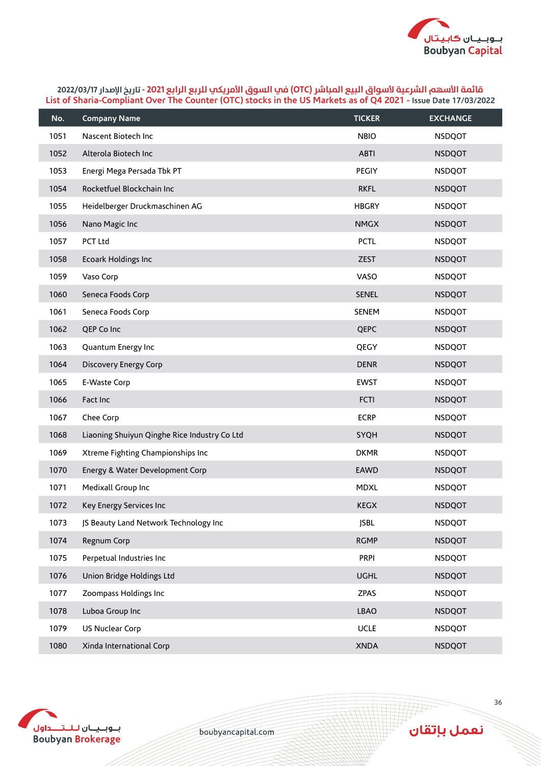

| No.  | <b>Company Name</b>                          | <b>TICKER</b> | <b>EXCHANGE</b> |
|------|----------------------------------------------|---------------|-----------------|
| 1051 | Nascent Biotech Inc                          | <b>NBIO</b>   | <b>NSDQOT</b>   |
| 1052 | Alterola Biotech Inc                         | <b>ABTI</b>   | <b>NSDQOT</b>   |
| 1053 | Energi Mega Persada Tbk PT                   | PEGIY         | <b>NSDQOT</b>   |
| 1054 | Rocketfuel Blockchain Inc                    | <b>RKFL</b>   | <b>NSDQOT</b>   |
| 1055 | Heidelberger Druckmaschinen AG               | <b>HBGRY</b>  | <b>NSDQOT</b>   |
| 1056 | Nano Magic Inc                               | <b>NMGX</b>   | <b>NSDQOT</b>   |
| 1057 | PCT Ltd                                      | <b>PCTL</b>   | <b>NSDQOT</b>   |
| 1058 | Ecoark Holdings Inc                          | <b>ZEST</b>   | <b>NSDQOT</b>   |
| 1059 | Vaso Corp                                    | <b>VASO</b>   | <b>NSDQOT</b>   |
| 1060 | Seneca Foods Corp                            | <b>SENEL</b>  | <b>NSDQOT</b>   |
| 1061 | Seneca Foods Corp                            | <b>SENEM</b>  | <b>NSDQOT</b>   |
| 1062 | QEP Co Inc                                   | QEPC          | <b>NSDQOT</b>   |
| 1063 | Quantum Energy Inc                           | QEGY          | <b>NSDQOT</b>   |
| 1064 | <b>Discovery Energy Corp</b>                 | <b>DENR</b>   | <b>NSDQOT</b>   |
| 1065 | E-Waste Corp                                 | <b>EWST</b>   | <b>NSDQOT</b>   |
| 1066 | Fact Inc                                     | <b>FCTI</b>   | <b>NSDQOT</b>   |
| 1067 | Chee Corp                                    | <b>ECRP</b>   | <b>NSDQOT</b>   |
| 1068 | Liaoning Shuiyun Qinghe Rice Industry Co Ltd | SYQH          | <b>NSDQOT</b>   |
| 1069 | Xtreme Fighting Championships Inc            | <b>DKMR</b>   | <b>NSDQOT</b>   |
| 1070 | Energy & Water Development Corp              | <b>EAWD</b>   | <b>NSDQOT</b>   |
| 1071 | Medixall Group Inc                           | <b>MDXL</b>   | <b>NSDQOT</b>   |
| 1072 | Key Energy Services Inc                      | <b>KEGX</b>   | <b>NSDQOT</b>   |
| 1073 | JS Beauty Land Network Technology Inc        | <b>JSBL</b>   | <b>NSDQOT</b>   |
| 1074 | Regnum Corp                                  | <b>RGMP</b>   | <b>NSDQOT</b>   |
| 1075 | Perpetual Industries Inc                     | <b>PRPI</b>   | <b>NSDQOT</b>   |
| 1076 | Union Bridge Holdings Ltd                    | <b>UGHL</b>   | <b>NSDQOT</b>   |
| 1077 | Zoompass Holdings Inc                        | <b>ZPAS</b>   | <b>NSDQOT</b>   |
| 1078 | Luboa Group Inc                              | LBAO          | <b>NSDQOT</b>   |
| 1079 | <b>US Nuclear Corp</b>                       | UCLE          | <b>NSDQOT</b>   |
| 1080 | Xinda International Corp                     | <b>XNDA</b>   | <b>NSDQOT</b>   |



boubyancapital.com

**APP**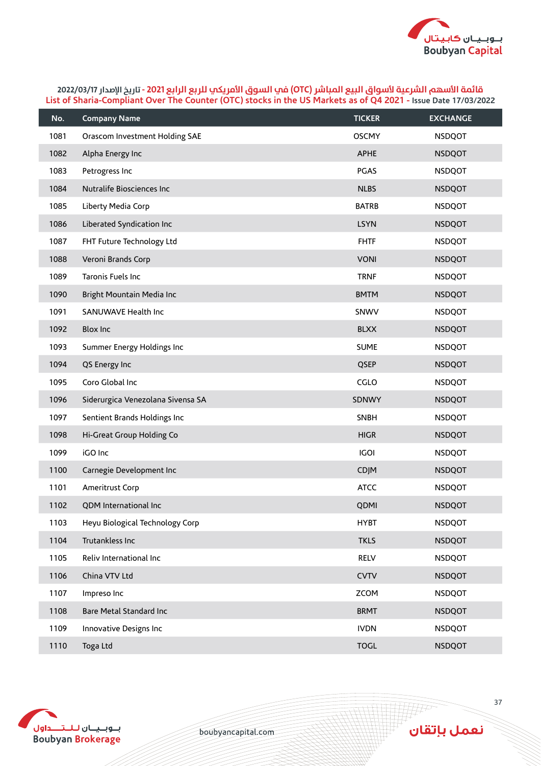

| No.  | <b>Company Name</b>               | <b>TICKER</b> | <b>EXCHANGE</b> |
|------|-----------------------------------|---------------|-----------------|
| 1081 | Orascom Investment Holding SAE    | <b>OSCMY</b>  | <b>NSDQOT</b>   |
| 1082 | Alpha Energy Inc                  | <b>APHE</b>   | <b>NSDQOT</b>   |
| 1083 | Petrogress Inc                    | <b>PGAS</b>   | <b>NSDQOT</b>   |
| 1084 | Nutralife Biosciences Inc         | <b>NLBS</b>   | <b>NSDQOT</b>   |
| 1085 | Liberty Media Corp                | <b>BATRB</b>  | <b>NSDQOT</b>   |
| 1086 | Liberated Syndication Inc         | <b>LSYN</b>   | <b>NSDQOT</b>   |
| 1087 | FHT Future Technology Ltd         | <b>FHTF</b>   | <b>NSDQOT</b>   |
| 1088 | Veroni Brands Corp                | <b>VONI</b>   | <b>NSDQOT</b>   |
| 1089 | Taronis Fuels Inc                 | <b>TRNF</b>   | <b>NSDQOT</b>   |
| 1090 | Bright Mountain Media Inc         | <b>BMTM</b>   | <b>NSDQOT</b>   |
| 1091 | SANUWAVE Health Inc               | SNWV          | <b>NSDQOT</b>   |
| 1092 | <b>Blox Inc</b>                   | <b>BLXX</b>   | <b>NSDQOT</b>   |
| 1093 | Summer Energy Holdings Inc        | <b>SUME</b>   | <b>NSDQOT</b>   |
| 1094 | QS Energy Inc                     | QSEP          | <b>NSDQOT</b>   |
| 1095 | Coro Global Inc                   | CGLO          | <b>NSDQOT</b>   |
| 1096 | Siderurgica Venezolana Sivensa SA | SDNWY         | <b>NSDQOT</b>   |
| 1097 | Sentient Brands Holdings Inc      | <b>SNBH</b>   | <b>NSDQOT</b>   |
| 1098 | Hi-Great Group Holding Co         | <b>HIGR</b>   | <b>NSDQOT</b>   |
| 1099 | iGO Inc                           | <b>IGOI</b>   | <b>NSDQOT</b>   |
| 1100 | Carnegie Development Inc          | <b>CDJM</b>   | <b>NSDQOT</b>   |
| 1101 | Ameritrust Corp                   | <b>ATCC</b>   | <b>NSDQOT</b>   |
| 1102 | QDM International Inc             | QDMI          | <b>NSDQOT</b>   |
| 1103 | Heyu Biological Technology Corp   | <b>HYBT</b>   | <b>NSDQOT</b>   |
| 1104 | Trutankless Inc                   | <b>TKLS</b>   | <b>NSDQOT</b>   |
| 1105 | Reliv International Inc           | RELV          | <b>NSDQOT</b>   |
| 1106 | China VTV Ltd                     | <b>CVTV</b>   | <b>NSDQOT</b>   |
| 1107 | Impreso Inc                       | <b>ZCOM</b>   | <b>NSDQOT</b>   |
| 1108 | Bare Metal Standard Inc           | <b>BRMT</b>   | <b>NSDQOT</b>   |
| 1109 | Innovative Designs Inc            | <b>IVDN</b>   | <b>NSDQOT</b>   |
| 1110 | Toga Ltd                          | <b>TOGL</b>   | <b>NSDQOT</b>   |



boubyancapital.com

**APP**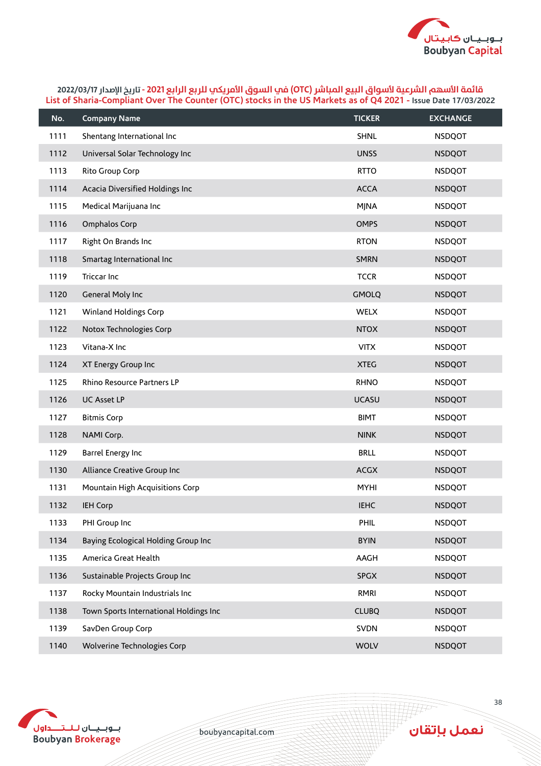

| No.  | <b>Company Name</b>                    | <b>TICKER</b> | <b>EXCHANGE</b> |
|------|----------------------------------------|---------------|-----------------|
| 1111 | Shentang International Inc             | SHNL          | <b>NSDQOT</b>   |
| 1112 | Universal Solar Technology Inc         | <b>UNSS</b>   | <b>NSDQOT</b>   |
| 1113 | Rito Group Corp                        | <b>RTTO</b>   | <b>NSDQOT</b>   |
| 1114 | Acacia Diversified Holdings Inc        | <b>ACCA</b>   | <b>NSDQOT</b>   |
| 1115 | Medical Marijuana Inc                  | <b>MJNA</b>   | <b>NSDQOT</b>   |
| 1116 | Omphalos Corp                          | <b>OMPS</b>   | <b>NSDQOT</b>   |
| 1117 | Right On Brands Inc                    | <b>RTON</b>   | <b>NSDQOT</b>   |
| 1118 | Smartag International Inc              | <b>SMRN</b>   | <b>NSDQOT</b>   |
| 1119 | <b>Triccar Inc</b>                     | <b>TCCR</b>   | <b>NSDQOT</b>   |
| 1120 | General Moly Inc                       | <b>GMOLQ</b>  | <b>NSDQOT</b>   |
| 1121 | <b>Winland Holdings Corp</b>           | WELX          | <b>NSDQOT</b>   |
| 1122 | Notox Technologies Corp                | <b>NTOX</b>   | <b>NSDQOT</b>   |
| 1123 | Vitana-X Inc                           | <b>VITX</b>   | <b>NSDQOT</b>   |
| 1124 | XT Energy Group Inc                    | <b>XTEG</b>   | <b>NSDQOT</b>   |
| 1125 | Rhino Resource Partners LP             | <b>RHNO</b>   | <b>NSDQOT</b>   |
| 1126 | <b>UC Asset LP</b>                     | <b>UCASU</b>  | <b>NSDQOT</b>   |
| 1127 | <b>Bitmis Corp</b>                     | <b>BIMT</b>   | <b>NSDQOT</b>   |
| 1128 | NAMI Corp.                             | <b>NINK</b>   | <b>NSDQOT</b>   |
| 1129 | Barrel Energy Inc                      | <b>BRLL</b>   | <b>NSDQOT</b>   |
| 1130 | Alliance Creative Group Inc            | <b>ACGX</b>   | <b>NSDQOT</b>   |
| 1131 | Mountain High Acquisitions Corp        | <b>MYHI</b>   | <b>NSDQOT</b>   |
| 1132 | <b>IEH Corp</b>                        | <b>IEHC</b>   | <b>NSDQOT</b>   |
| 1133 | PHI Group Inc                          | PHIL          | <b>NSDQOT</b>   |
| 1134 | Baying Ecological Holding Group Inc    | <b>BYIN</b>   | <b>NSDQOT</b>   |
| 1135 | America Great Health                   | AAGH          | <b>NSDQOT</b>   |
| 1136 | Sustainable Projects Group Inc         | <b>SPGX</b>   | <b>NSDQOT</b>   |
| 1137 | Rocky Mountain Industrials Inc         | RMRI          | <b>NSDQOT</b>   |
| 1138 | Town Sports International Holdings Inc | <b>CLUBQ</b>  | <b>NSDQOT</b>   |
| 1139 | SavDen Group Corp                      | <b>SVDN</b>   | <b>NSDQOT</b>   |
| 1140 | Wolverine Technologies Corp            | <b>WOLV</b>   | <b>NSDQOT</b>   |



boubyancapital.com

**APP** 

ِ<br>نعمل بإتقان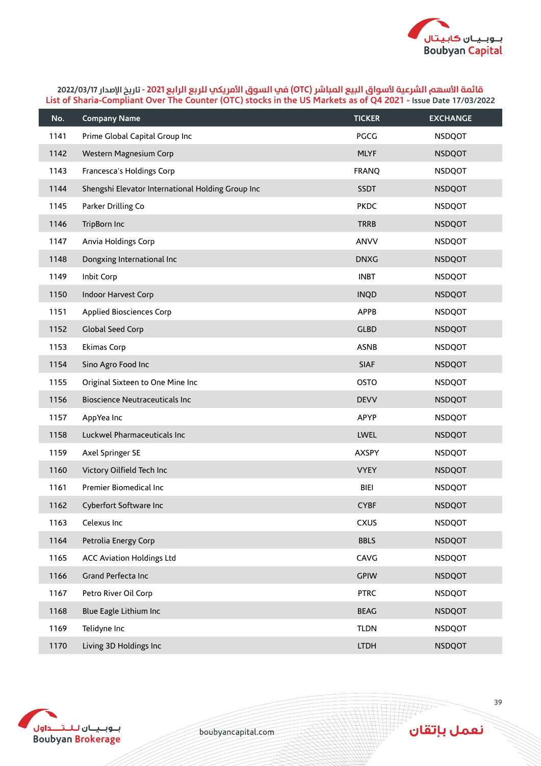

| No.  | <b>Company Name</b>                               | <b>TICKER</b> | <b>EXCHANGE</b> |
|------|---------------------------------------------------|---------------|-----------------|
| 1141 | Prime Global Capital Group Inc                    | <b>PGCG</b>   | <b>NSDQOT</b>   |
| 1142 | Western Magnesium Corp                            | <b>MLYF</b>   | <b>NSDQOT</b>   |
| 1143 | Francesca's Holdings Corp                         | <b>FRANQ</b>  | <b>NSDQOT</b>   |
| 1144 | Shengshi Elevator International Holding Group Inc | <b>SSDT</b>   | <b>NSDQOT</b>   |
| 1145 | Parker Drilling Co                                | <b>PKDC</b>   | <b>NSDQOT</b>   |
| 1146 | TripBorn Inc                                      | <b>TRRB</b>   | <b>NSDQOT</b>   |
| 1147 | Anvia Holdings Corp                               | ANVV          | <b>NSDQOT</b>   |
| 1148 | Dongxing International Inc                        | <b>DNXG</b>   | <b>NSDQOT</b>   |
| 1149 | Inbit Corp                                        | <b>INBT</b>   | <b>NSDQOT</b>   |
| 1150 | Indoor Harvest Corp                               | <b>INQD</b>   | <b>NSDQOT</b>   |
| 1151 | Applied Biosciences Corp                          | <b>APPB</b>   | <b>NSDQOT</b>   |
| 1152 | Global Seed Corp                                  | <b>GLBD</b>   | <b>NSDQOT</b>   |
| 1153 | Ekimas Corp                                       | <b>ASNB</b>   | <b>NSDQOT</b>   |
| 1154 | Sino Agro Food Inc                                | <b>SIAF</b>   | <b>NSDQOT</b>   |
| 1155 | Original Sixteen to One Mine Inc                  | <b>OSTO</b>   | <b>NSDQOT</b>   |
| 1156 | <b>Bioscience Neutraceuticals Inc</b>             | <b>DEVV</b>   | <b>NSDQOT</b>   |
| 1157 | AppYea Inc                                        | <b>APYP</b>   | <b>NSDQOT</b>   |
| 1158 | Luckwel Pharmaceuticals Inc                       | <b>LWEL</b>   | <b>NSDQOT</b>   |
| 1159 | Axel Springer SE                                  | <b>AXSPY</b>  | <b>NSDQOT</b>   |
| 1160 | Victory Oilfield Tech Inc                         | <b>VYEY</b>   | <b>NSDQOT</b>   |
| 1161 | Premier Biomedical Inc                            | BIEI          | <b>NSDQOT</b>   |
| 1162 | Cyberfort Software Inc                            | <b>CYBF</b>   | <b>NSDQOT</b>   |
| 1163 | Celexus Inc                                       | <b>CXUS</b>   | <b>NSDQOT</b>   |
| 1164 | Petrolia Energy Corp                              | <b>BBLS</b>   | <b>NSDQOT</b>   |
| 1165 | <b>ACC Aviation Holdings Ltd</b>                  | CAVG          | <b>NSDQOT</b>   |
| 1166 | Grand Perfecta Inc                                | <b>GPIW</b>   | <b>NSDQOT</b>   |
| 1167 | Petro River Oil Corp                              | <b>PTRC</b>   | <b>NSDQOT</b>   |
| 1168 | Blue Eagle Lithium Inc                            | <b>BEAG</b>   | <b>NSDQOT</b>   |
| 1169 | Telidyne Inc                                      | <b>TLDN</b>   | <b>NSDQOT</b>   |
| 1170 | Living 3D Holdings Inc                            | <b>LTDH</b>   | <b>NSDQOT</b>   |



boubyancapital.com

**APP**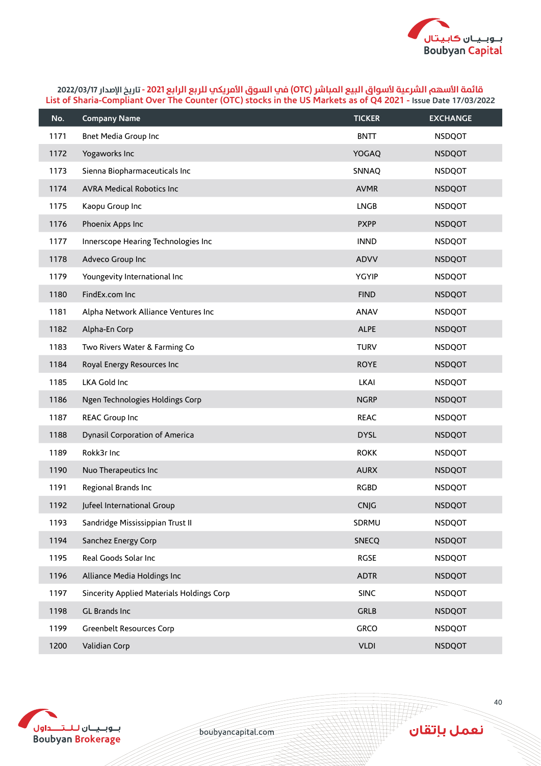

| No.  | <b>Company Name</b>                       | <b>TICKER</b> | <b>EXCHANGE</b> |
|------|-------------------------------------------|---------------|-----------------|
| 1171 | Bnet Media Group Inc                      | <b>BNTT</b>   | <b>NSDQOT</b>   |
| 1172 | Yogaworks Inc                             | <b>YOGAQ</b>  | <b>NSDQOT</b>   |
| 1173 | Sienna Biopharmaceuticals Inc             | SNNAQ         | <b>NSDQOT</b>   |
| 1174 | <b>AVRA Medical Robotics Inc</b>          | <b>AVMR</b>   | <b>NSDQOT</b>   |
| 1175 | Kaopu Group Inc                           | <b>LNGB</b>   | <b>NSDQOT</b>   |
| 1176 | Phoenix Apps Inc                          | <b>PXPP</b>   | <b>NSDQOT</b>   |
| 1177 | Innerscope Hearing Technologies Inc       | <b>INND</b>   | <b>NSDQOT</b>   |
| 1178 | Adveco Group Inc                          | <b>ADVV</b>   | <b>NSDQOT</b>   |
| 1179 | Youngevity International Inc              | <b>YGYIP</b>  | <b>NSDQOT</b>   |
| 1180 | FindEx.com Inc                            | <b>FIND</b>   | <b>NSDQOT</b>   |
| 1181 | Alpha Network Alliance Ventures Inc       | ANAV          | <b>NSDQOT</b>   |
| 1182 | Alpha-En Corp                             | <b>ALPE</b>   | <b>NSDQOT</b>   |
| 1183 | Two Rivers Water & Farming Co             | <b>TURV</b>   | <b>NSDQOT</b>   |
| 1184 | Royal Energy Resources Inc                | <b>ROYE</b>   | <b>NSDQOT</b>   |
| 1185 | LKA Gold Inc                              | <b>LKAI</b>   | <b>NSDQOT</b>   |
| 1186 | Ngen Technologies Holdings Corp           | <b>NGRP</b>   | <b>NSDQOT</b>   |
| 1187 | <b>REAC Group Inc</b>                     | <b>REAC</b>   | <b>NSDQOT</b>   |
| 1188 | Dynasil Corporation of America            | <b>DYSL</b>   | <b>NSDQOT</b>   |
| 1189 | Rokk3r Inc                                | <b>ROKK</b>   | <b>NSDQOT</b>   |
| 1190 | Nuo Therapeutics Inc                      | <b>AURX</b>   | <b>NSDQOT</b>   |
| 1191 | Regional Brands Inc                       | <b>RGBD</b>   | <b>NSDQOT</b>   |
| 1192 | Jufeel International Group                | <b>CNJG</b>   | <b>NSDQOT</b>   |
| 1193 | Sandridge Mississippian Trust II          | SDRMU         | <b>NSDQOT</b>   |
| 1194 | Sanchez Energy Corp                       | <b>SNECQ</b>  | <b>NSDQOT</b>   |
| 1195 | Real Goods Solar Inc                      | <b>RGSE</b>   | <b>NSDQOT</b>   |
| 1196 | Alliance Media Holdings Inc               | <b>ADTR</b>   | <b>NSDQOT</b>   |
| 1197 | Sincerity Applied Materials Holdings Corp | <b>SINC</b>   | <b>NSDQOT</b>   |
| 1198 | GL Brands Inc                             | <b>GRLB</b>   | <b>NSDQOT</b>   |
| 1199 | Greenbelt Resources Corp                  | GRCO          | <b>NSDQOT</b>   |
| 1200 | Validian Corp                             | <b>VLDI</b>   | <b>NSDQOT</b>   |



boubyancapital.com

**THP** 

نعمل بإتقان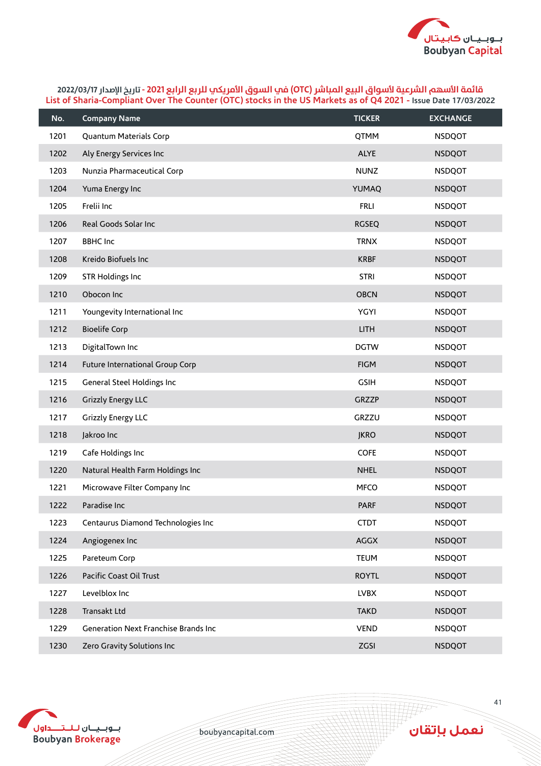

| No.  | <b>Company Name</b>                  | <b>TICKER</b> | <b>EXCHANGE</b> |
|------|--------------------------------------|---------------|-----------------|
| 1201 | Quantum Materials Corp               | QTMM          | <b>NSDQOT</b>   |
| 1202 | Aly Energy Services Inc              | <b>ALYE</b>   | <b>NSDQOT</b>   |
| 1203 | Nunzia Pharmaceutical Corp           | <b>NUNZ</b>   | <b>NSDQOT</b>   |
| 1204 | Yuma Energy Inc                      | YUMAQ         | <b>NSDQOT</b>   |
| 1205 | Frelii Inc                           | <b>FRLI</b>   | <b>NSDQOT</b>   |
| 1206 | Real Goods Solar Inc                 | <b>RGSEQ</b>  | <b>NSDQOT</b>   |
| 1207 | <b>BBHC</b> Inc                      | <b>TRNX</b>   | <b>NSDQOT</b>   |
| 1208 | Kreido Biofuels Inc                  | <b>KRBF</b>   | <b>NSDQOT</b>   |
| 1209 | <b>STR Holdings Inc</b>              | <b>STRI</b>   | <b>NSDQOT</b>   |
| 1210 | Obocon Inc                           | <b>OBCN</b>   | <b>NSDQOT</b>   |
| 1211 | Youngevity International Inc         | <b>YGYI</b>   | <b>NSDQOT</b>   |
| 1212 | <b>Bioelife Corp</b>                 | <b>LITH</b>   | <b>NSDQOT</b>   |
| 1213 | DigitalTown Inc                      | <b>DGTW</b>   | <b>NSDQOT</b>   |
| 1214 | Future International Group Corp      | <b>FIGM</b>   | <b>NSDQOT</b>   |
| 1215 | General Steel Holdings Inc           | <b>GSIH</b>   | <b>NSDQOT</b>   |
| 1216 | <b>Grizzly Energy LLC</b>            | <b>GRZZP</b>  | <b>NSDQOT</b>   |
| 1217 | <b>Grizzly Energy LLC</b>            | GRZZU         | <b>NSDQOT</b>   |
| 1218 | Jakroo Inc                           | <b>JKRO</b>   | <b>NSDQOT</b>   |
| 1219 | Cafe Holdings Inc                    | <b>COFE</b>   | <b>NSDQOT</b>   |
| 1220 | Natural Health Farm Holdings Inc     | <b>NHEL</b>   | <b>NSDQOT</b>   |
| 1221 | Microwave Filter Company Inc         | <b>MFCO</b>   | <b>NSDQOT</b>   |
| 1222 | Paradise Inc                         | <b>PARF</b>   | <b>NSDQOT</b>   |
| 1223 | Centaurus Diamond Technologies Inc   | <b>CTDT</b>   | <b>NSDQOT</b>   |
| 1224 | Angiogenex Inc                       | <b>AGGX</b>   | <b>NSDQOT</b>   |
| 1225 | Pareteum Corp                        | <b>TEUM</b>   | <b>NSDQOT</b>   |
| 1226 | Pacific Coast Oil Trust              | <b>ROYTL</b>  | <b>NSDQOT</b>   |
| 1227 | Levelblox Inc                        | <b>LVBX</b>   | <b>NSDQOT</b>   |
| 1228 | Transakt Ltd                         | <b>TAKD</b>   | <b>NSDQOT</b>   |
| 1229 | Generation Next Franchise Brands Inc | <b>VEND</b>   | <b>NSDQOT</b>   |
| 1230 | Zero Gravity Solutions Inc           | ZGSI          | <b>NSDQOT</b>   |



boubyancapital.com

**THP** 

نعمل بإتقان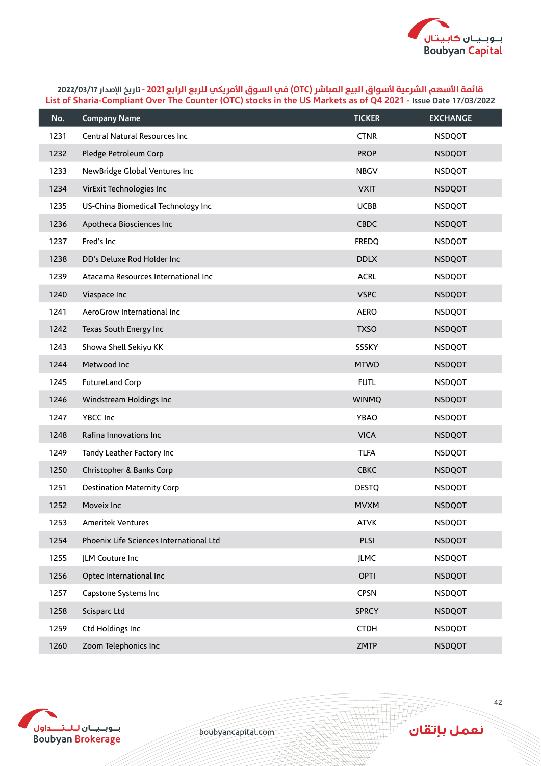

| No.  | <b>Company Name</b>                     | <b>TICKER</b> | <b>EXCHANGE</b> |
|------|-----------------------------------------|---------------|-----------------|
| 1231 | Central Natural Resources Inc           | <b>CTNR</b>   | <b>NSDQOT</b>   |
| 1232 | Pledge Petroleum Corp                   | <b>PROP</b>   | <b>NSDQOT</b>   |
| 1233 | NewBridge Global Ventures Inc           | <b>NBGV</b>   | <b>NSDQOT</b>   |
| 1234 | VirExit Technologies Inc                | <b>VXIT</b>   | <b>NSDQOT</b>   |
| 1235 | US-China Biomedical Technology Inc      | <b>UCBB</b>   | <b>NSDQOT</b>   |
| 1236 | Apotheca Biosciences Inc                | <b>CBDC</b>   | <b>NSDQOT</b>   |
| 1237 | Fred's Inc                              | <b>FREDQ</b>  | <b>NSDQOT</b>   |
| 1238 | DD's Deluxe Rod Holder Inc              | <b>DDLX</b>   | <b>NSDQOT</b>   |
| 1239 | Atacama Resources International Inc     | <b>ACRL</b>   | <b>NSDQOT</b>   |
| 1240 | Viaspace Inc                            | <b>VSPC</b>   | <b>NSDQOT</b>   |
| 1241 | AeroGrow International Inc              | <b>AERO</b>   | <b>NSDQOT</b>   |
| 1242 | Texas South Energy Inc                  | <b>TXSO</b>   | <b>NSDQOT</b>   |
| 1243 | Showa Shell Sekiyu KK                   | SSSKY         | <b>NSDQOT</b>   |
| 1244 | Metwood Inc                             | <b>MTWD</b>   | <b>NSDQOT</b>   |
| 1245 | FutureLand Corp                         | <b>FUTL</b>   | <b>NSDQOT</b>   |
| 1246 | Windstream Holdings Inc                 | <b>WINMQ</b>  | <b>NSDQOT</b>   |
| 1247 | YBCC Inc                                | YBAO          | <b>NSDQOT</b>   |
| 1248 | Rafina Innovations Inc                  | <b>VICA</b>   | <b>NSDQOT</b>   |
| 1249 | Tandy Leather Factory Inc               | <b>TLFA</b>   | <b>NSDQOT</b>   |
| 1250 | Christopher & Banks Corp                | <b>CBKC</b>   | <b>NSDQOT</b>   |
| 1251 | <b>Destination Maternity Corp</b>       | <b>DESTQ</b>  | <b>NSDQOT</b>   |
| 1252 | Moveix Inc                              | <b>MVXM</b>   | <b>NSDQOT</b>   |
| 1253 | Ameritek Ventures                       | <b>ATVK</b>   | <b>NSDQOT</b>   |
| 1254 | Phoenix Life Sciences International Ltd | PLSI          | <b>NSDQOT</b>   |
| 1255 | JLM Couture Inc                         | <b>JLMC</b>   | <b>NSDQOT</b>   |
| 1256 | Optec International Inc                 | <b>OPTI</b>   | <b>NSDQOT</b>   |
| 1257 | Capstone Systems Inc                    | <b>CPSN</b>   | <b>NSDQOT</b>   |
| 1258 | Scisparc Ltd                            | <b>SPRCY</b>  | <b>NSDQOT</b>   |
| 1259 | Ctd Holdings Inc                        | <b>CTDH</b>   | <b>NSDQOT</b>   |
| 1260 | Zoom Telephonics Inc                    | <b>ZMTP</b>   | <b>NSDQOT</b>   |



boubyancapital.com

**APP**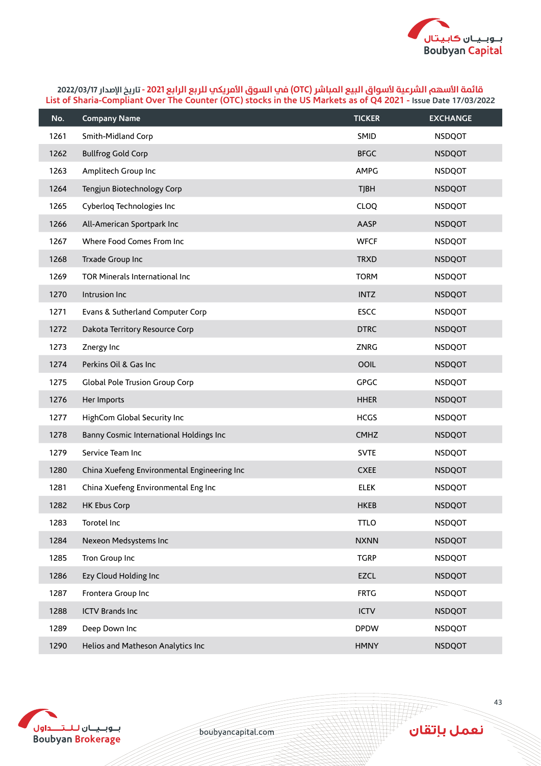

| No.  | <b>Company Name</b>                         | <b>TICKER</b> | <b>EXCHANGE</b> |
|------|---------------------------------------------|---------------|-----------------|
| 1261 | Smith-Midland Corp                          | <b>SMID</b>   | <b>NSDQOT</b>   |
| 1262 | <b>Bullfrog Gold Corp</b>                   | <b>BFGC</b>   | <b>NSDQOT</b>   |
| 1263 | Amplitech Group Inc                         | AMPG          | <b>NSDQOT</b>   |
| 1264 | Tengjun Biotechnology Corp                  | <b>TJBH</b>   | <b>NSDQOT</b>   |
| 1265 | Cyberlog Technologies Inc                   | <b>CLOQ</b>   | <b>NSDQOT</b>   |
| 1266 | All-American Sportpark Inc                  | AASP          | <b>NSDQOT</b>   |
| 1267 | Where Food Comes From Inc                   | <b>WFCF</b>   | <b>NSDQOT</b>   |
| 1268 | Trxade Group Inc                            | <b>TRXD</b>   | <b>NSDQOT</b>   |
| 1269 | TOR Minerals International Inc              | <b>TORM</b>   | <b>NSDQOT</b>   |
| 1270 | Intrusion Inc                               | <b>INTZ</b>   | <b>NSDQOT</b>   |
| 1271 | Evans & Sutherland Computer Corp            | <b>ESCC</b>   | <b>NSDQOT</b>   |
| 1272 | Dakota Territory Resource Corp              | <b>DTRC</b>   | <b>NSDQOT</b>   |
| 1273 | Znergy Inc                                  | ZNRG          | <b>NSDQOT</b>   |
| 1274 | Perkins Oil & Gas Inc                       | OOIL          | <b>NSDQOT</b>   |
| 1275 | Global Pole Trusion Group Corp              | <b>GPGC</b>   | <b>NSDQOT</b>   |
| 1276 | Her Imports                                 | <b>HHER</b>   | <b>NSDQOT</b>   |
| 1277 | HighCom Global Security Inc                 | <b>HCGS</b>   | <b>NSDQOT</b>   |
| 1278 | Banny Cosmic International Holdings Inc     | <b>CMHZ</b>   | <b>NSDQOT</b>   |
| 1279 | Service Team Inc                            | <b>SVTE</b>   | <b>NSDQOT</b>   |
| 1280 | China Xuefeng Environmental Engineering Inc | <b>CXEE</b>   | <b>NSDQOT</b>   |
| 1281 | China Xuefeng Environmental Eng Inc         | <b>ELEK</b>   | <b>NSDQOT</b>   |
| 1282 | <b>HK Ebus Corp</b>                         | <b>HKEB</b>   | <b>NSDQOT</b>   |
| 1283 | Torotel Inc                                 | <b>TTLO</b>   | <b>NSDQOT</b>   |
| 1284 | Nexeon Medsystems Inc                       | <b>NXNN</b>   | <b>NSDQOT</b>   |
| 1285 | Tron Group Inc                              | <b>TGRP</b>   | <b>NSDQOT</b>   |
| 1286 | Ezy Cloud Holding Inc                       | <b>EZCL</b>   | <b>NSDQOT</b>   |
| 1287 | Frontera Group Inc                          | <b>FRTG</b>   | <b>NSDQOT</b>   |
| 1288 | <b>ICTV Brands Inc</b>                      | <b>ICTV</b>   | <b>NSDQOT</b>   |
| 1289 | Deep Down Inc                               | <b>DPDW</b>   | <b>NSDQOT</b>   |
| 1290 | Helios and Matheson Analytics Inc           | <b>HMNY</b>   | <b>NSDQOT</b>   |



boubyancapital.com

**APP**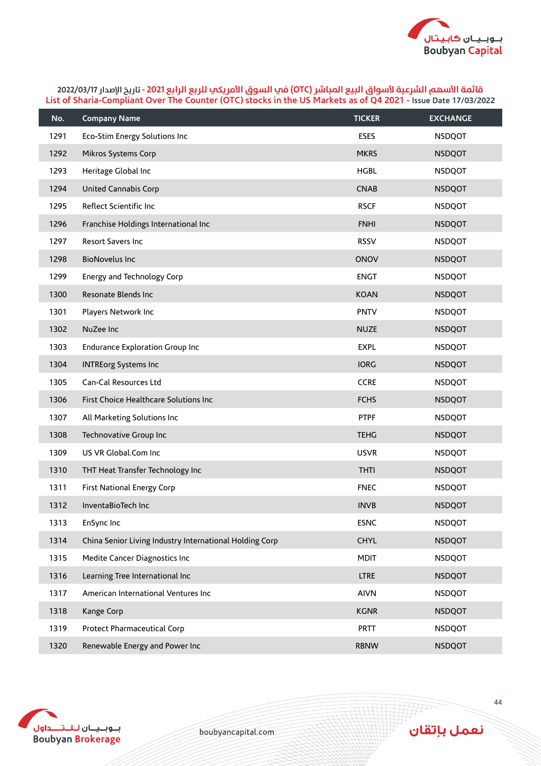

| No.  | <b>Company Name</b>                                     | <b>TICKER</b> | <b>EXCHANGE</b> |
|------|---------------------------------------------------------|---------------|-----------------|
| 1291 | Eco-Stim Energy Solutions Inc                           | <b>ESES</b>   | <b>NSDQOT</b>   |
| 1292 | Mikros Systems Corp                                     | <b>MKRS</b>   | <b>NSDQOT</b>   |
| 1293 | Heritage Global Inc                                     | <b>HGBL</b>   | <b>NSDQOT</b>   |
| 1294 | <b>United Cannabis Corp</b>                             | <b>CNAB</b>   | <b>NSDQOT</b>   |
| 1295 | Reflect Scientific Inc                                  | <b>RSCF</b>   | <b>NSDQOT</b>   |
| 1296 | Franchise Holdings International Inc                    | <b>FNHI</b>   | <b>NSDQOT</b>   |
| 1297 | <b>Resort Savers Inc.</b>                               | <b>RSSV</b>   | <b>NSDQOT</b>   |
| 1298 | <b>BioNovelus Inc</b>                                   | ONOV          | <b>NSDQOT</b>   |
| 1299 | Energy and Technology Corp                              | <b>ENGT</b>   | <b>NSDQOT</b>   |
| 1300 | Resonate Blends Inc                                     | <b>KOAN</b>   | <b>NSDQOT</b>   |
| 1301 | Players Network Inc                                     | <b>PNTV</b>   | <b>NSDQOT</b>   |
| 1302 | NuZee Inc                                               | <b>NUZE</b>   | <b>NSDQOT</b>   |
| 1303 | <b>Endurance Exploration Group Inc</b>                  | <b>EXPL</b>   | <b>NSDQOT</b>   |
| 1304 | <b>INTREorg Systems Inc</b>                             | <b>IORG</b>   | <b>NSDQOT</b>   |
| 1305 | Can-Cal Resources Ltd                                   | <b>CCRE</b>   | <b>NSDQOT</b>   |
| 1306 | First Choice Healthcare Solutions Inc                   | <b>FCHS</b>   | <b>NSDQOT</b>   |
| 1307 | All Marketing Solutions Inc                             | <b>PTPF</b>   | <b>NSDQOT</b>   |
| 1308 | Technovative Group Inc                                  | <b>TEHG</b>   | <b>NSDQOT</b>   |
| 1309 | US VR Global.Com Inc                                    | <b>USVR</b>   | <b>NSDQOT</b>   |
| 1310 | THT Heat Transfer Technology Inc                        | <b>THTI</b>   | <b>NSDQOT</b>   |
| 1311 | First National Energy Corp                              | <b>FNEC</b>   | <b>NSDQOT</b>   |
| 1312 | InventaBioTech Inc                                      | <b>INVB</b>   | <b>NSDQOT</b>   |
| 1313 | EnSync Inc                                              | <b>ESNC</b>   | <b>NSDQOT</b>   |
| 1314 | China Senior Living Industry International Holding Corp | <b>CHYL</b>   | <b>NSDQOT</b>   |
| 1315 | Medite Cancer Diagnostics Inc                           | <b>MDIT</b>   | <b>NSDQOT</b>   |
| 1316 | Learning Tree International Inc                         | <b>LTRE</b>   | <b>NSDQOT</b>   |
| 1317 | American International Ventures Inc                     | <b>AIVN</b>   | <b>NSDQOT</b>   |
| 1318 | Kange Corp                                              | <b>KGNR</b>   | <b>NSDQOT</b>   |
| 1319 | Protect Pharmaceutical Corp                             | <b>PRTT</b>   | <b>NSDQOT</b>   |
| 1320 | Renewable Energy and Power Inc                          | <b>RBNW</b>   | <b>NSDQOT</b>   |



boubyancapital.com

**THP**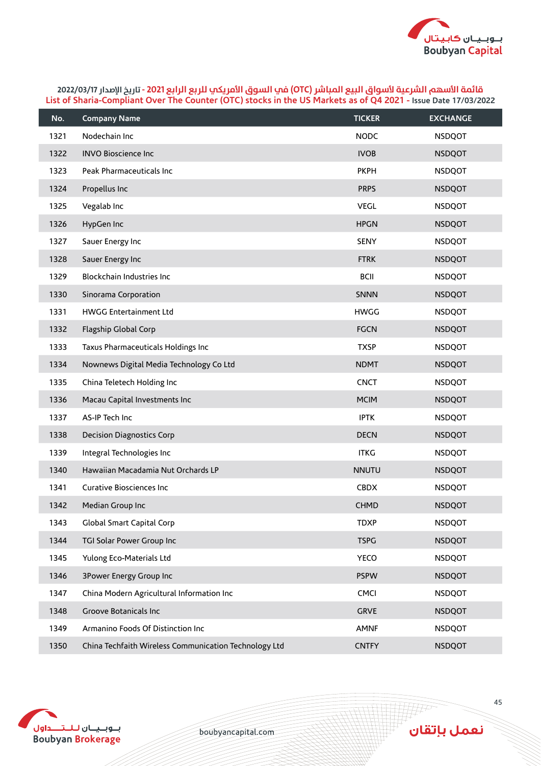

| No.  | <b>Company Name</b>                                   | <b>TICKER</b> | <b>EXCHANGE</b> |
|------|-------------------------------------------------------|---------------|-----------------|
| 1321 | Nodechain Inc                                         | <b>NODC</b>   | <b>NSDQOT</b>   |
| 1322 | <b>INVO Bioscience Inc</b>                            | <b>IVOB</b>   | <b>NSDQOT</b>   |
| 1323 | Peak Pharmaceuticals Inc                              | <b>PKPH</b>   | <b>NSDQOT</b>   |
| 1324 | Propellus Inc                                         | <b>PRPS</b>   | <b>NSDQOT</b>   |
| 1325 | Vegalab Inc                                           | <b>VEGL</b>   | <b>NSDQOT</b>   |
| 1326 | HypGen Inc                                            | <b>HPGN</b>   | <b>NSDQOT</b>   |
| 1327 | Sauer Energy Inc                                      | <b>SENY</b>   | <b>NSDQOT</b>   |
| 1328 | Sauer Energy Inc                                      | <b>FTRK</b>   | <b>NSDQOT</b>   |
| 1329 | Blockchain Industries Inc                             | <b>BCII</b>   | <b>NSDQOT</b>   |
| 1330 | Sinorama Corporation                                  | <b>SNNN</b>   | <b>NSDQOT</b>   |
| 1331 | <b>HWGG Entertainment Ltd</b>                         | <b>HWGG</b>   | <b>NSDQOT</b>   |
| 1332 | Flagship Global Corp                                  | <b>FGCN</b>   | <b>NSDQOT</b>   |
| 1333 | Taxus Pharmaceuticals Holdings Inc                    | <b>TXSP</b>   | <b>NSDQOT</b>   |
| 1334 | Nownews Digital Media Technology Co Ltd               | <b>NDMT</b>   | <b>NSDQOT</b>   |
| 1335 | China Teletech Holding Inc                            | <b>CNCT</b>   | <b>NSDQOT</b>   |
| 1336 | Macau Capital Investments Inc                         | <b>MCIM</b>   | <b>NSDQOT</b>   |
| 1337 | AS-IP Tech Inc                                        | <b>IPTK</b>   | <b>NSDQOT</b>   |
| 1338 | <b>Decision Diagnostics Corp</b>                      | <b>DECN</b>   | <b>NSDQOT</b>   |
| 1339 | Integral Technologies Inc                             | <b>ITKG</b>   | <b>NSDQOT</b>   |
| 1340 | Hawaiian Macadamia Nut Orchards LP                    | <b>NNUTU</b>  | <b>NSDQOT</b>   |
| 1341 | Curative Biosciences Inc                              | <b>CBDX</b>   | <b>NSDQOT</b>   |
| 1342 | Median Group Inc                                      | <b>CHMD</b>   | <b>NSDQOT</b>   |
| 1343 | Global Smart Capital Corp                             | <b>TDXP</b>   | <b>NSDQOT</b>   |
| 1344 | TGI Solar Power Group Inc                             | <b>TSPG</b>   | <b>NSDQOT</b>   |
| 1345 | Yulong Eco-Materials Ltd                              | <b>YECO</b>   | <b>NSDQOT</b>   |
| 1346 | 3Power Energy Group Inc                               | <b>PSPW</b>   | <b>NSDQOT</b>   |
| 1347 | China Modern Agricultural Information Inc             | CMCI          | <b>NSDQOT</b>   |
| 1348 | Groove Botanicals Inc                                 | <b>GRVE</b>   | <b>NSDQOT</b>   |
| 1349 | Armanino Foods Of Distinction Inc                     | <b>AMNF</b>   | <b>NSDQOT</b>   |
| 1350 | China Techfaith Wireless Communication Technology Ltd | <b>CNTFY</b>  | <b>NSDQOT</b>   |



boubyancapital.com

**HF**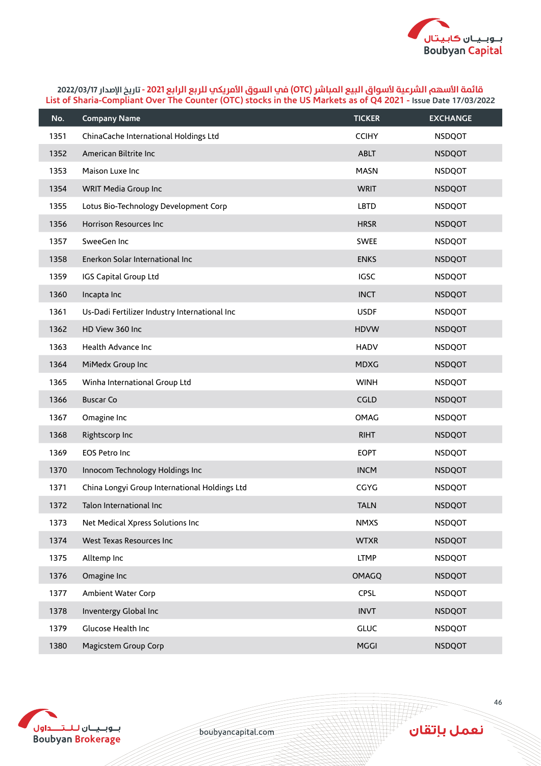

| No.  | <b>Company Name</b>                           | <b>TICKER</b> | <b>EXCHANGE</b> |
|------|-----------------------------------------------|---------------|-----------------|
| 1351 | ChinaCache International Holdings Ltd         | <b>CCIHY</b>  | <b>NSDQOT</b>   |
| 1352 | American Biltrite Inc                         | <b>ABLT</b>   | <b>NSDQOT</b>   |
| 1353 | Maison Luxe Inc                               | <b>MASN</b>   | <b>NSDQOT</b>   |
| 1354 | WRIT Media Group Inc                          | <b>WRIT</b>   | <b>NSDQOT</b>   |
| 1355 | Lotus Bio-Technology Development Corp         | LBTD          | <b>NSDQOT</b>   |
| 1356 | Horrison Resources Inc                        | <b>HRSR</b>   | <b>NSDQOT</b>   |
| 1357 | SweeGen Inc                                   | <b>SWEE</b>   | <b>NSDQOT</b>   |
| 1358 | Enerkon Solar International Inc               | <b>ENKS</b>   | <b>NSDQOT</b>   |
| 1359 | IGS Capital Group Ltd                         | <b>IGSC</b>   | <b>NSDQOT</b>   |
| 1360 | Incapta Inc                                   | <b>INCT</b>   | <b>NSDQOT</b>   |
| 1361 | Us-Dadi Fertilizer Industry International Inc | <b>USDF</b>   | <b>NSDQOT</b>   |
| 1362 | HD View 360 Inc                               | <b>HDVW</b>   | <b>NSDQOT</b>   |
| 1363 | Health Advance Inc                            | <b>HADV</b>   | <b>NSDQOT</b>   |
| 1364 | MiMedx Group Inc                              | <b>MDXG</b>   | <b>NSDQOT</b>   |
| 1365 | Winha International Group Ltd                 | <b>WINH</b>   | <b>NSDQOT</b>   |
| 1366 | <b>Buscar Co</b>                              | CGLD          | <b>NSDQOT</b>   |
| 1367 | Omagine Inc                                   | OMAG          | <b>NSDQOT</b>   |
| 1368 | Rightscorp Inc                                | <b>RIHT</b>   | <b>NSDQOT</b>   |
| 1369 | <b>EOS Petro Inc</b>                          | <b>EOPT</b>   | <b>NSDQOT</b>   |
| 1370 | Innocom Technology Holdings Inc               | <b>INCM</b>   | <b>NSDQOT</b>   |
| 1371 | China Longyi Group International Holdings Ltd | CGYG          | <b>NSDQOT</b>   |
| 1372 | Talon International Inc                       | <b>TALN</b>   | <b>NSDQOT</b>   |
| 1373 | Net Medical Xpress Solutions Inc              | <b>NMXS</b>   | <b>NSDQOT</b>   |
| 1374 | West Texas Resources Inc                      | <b>WTXR</b>   | <b>NSDQOT</b>   |
| 1375 | Alltemp Inc                                   | <b>LTMP</b>   | <b>NSDQOT</b>   |
| 1376 | Omagine Inc                                   | <b>OMAGQ</b>  | <b>NSDQOT</b>   |
| 1377 | Ambient Water Corp                            | CPSL          | <b>NSDQOT</b>   |
| 1378 | Inventergy Global Inc                         | <b>INVT</b>   | <b>NSDQOT</b>   |
| 1379 | Glucose Health Inc                            | <b>GLUC</b>   | <b>NSDQOT</b>   |
| 1380 | Magicstem Group Corp                          | <b>MGGI</b>   | <b>NSDQOT</b>   |



boubyancapital.com

**TAP**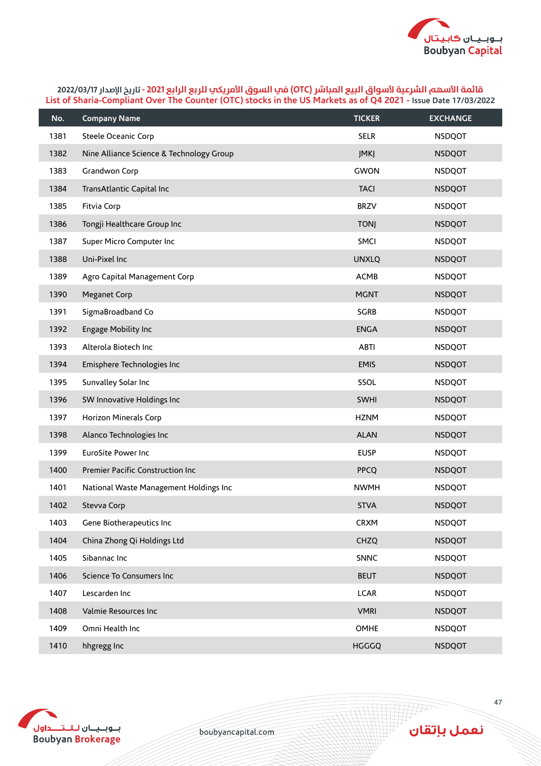

| No.  | <b>Company Name</b>                      | <b>TICKER</b> | <b>EXCHANGE</b> |
|------|------------------------------------------|---------------|-----------------|
| 1381 | Steele Oceanic Corp                      | <b>SELR</b>   | <b>NSDQOT</b>   |
| 1382 | Nine Alliance Science & Technology Group | JMKJ          | <b>NSDQOT</b>   |
| 1383 | Grandwon Corp                            | <b>GWON</b>   | <b>NSDQOT</b>   |
| 1384 | TransAtlantic Capital Inc                | <b>TACI</b>   | <b>NSDQOT</b>   |
| 1385 | Fitvia Corp                              | <b>BRZV</b>   | <b>NSDQOT</b>   |
| 1386 | Tongji Healthcare Group Inc              | <b>TONJ</b>   | <b>NSDQOT</b>   |
| 1387 | Super Micro Computer Inc                 | SMCI          | <b>NSDQOT</b>   |
| 1388 | Uni-Pixel Inc                            | <b>UNXLQ</b>  | <b>NSDQOT</b>   |
| 1389 | Agro Capital Management Corp             | <b>ACMB</b>   | <b>NSDQOT</b>   |
| 1390 | Meganet Corp                             | <b>MGNT</b>   | <b>NSDQOT</b>   |
| 1391 | SigmaBroadband Co                        | <b>SGRB</b>   | <b>NSDQOT</b>   |
| 1392 | Engage Mobility Inc                      | <b>ENGA</b>   | <b>NSDQOT</b>   |
| 1393 | Alterola Biotech Inc                     | <b>ABTI</b>   | <b>NSDQOT</b>   |
| 1394 | Emisphere Technologies Inc               | <b>EMIS</b>   | <b>NSDQOT</b>   |
| 1395 | Sunvalley Solar Inc                      | SSOL          | <b>NSDQOT</b>   |
| 1396 | SW Innovative Holdings Inc               | <b>SWHI</b>   | <b>NSDQOT</b>   |
| 1397 | Horizon Minerals Corp                    | <b>HZNM</b>   | <b>NSDQOT</b>   |
| 1398 | Alanco Technologies Inc                  | <b>ALAN</b>   | <b>NSDQOT</b>   |
| 1399 | EuroSite Power Inc                       | <b>EUSP</b>   | <b>NSDQOT</b>   |
| 1400 | Premier Pacific Construction Inc         | <b>PPCQ</b>   | <b>NSDQOT</b>   |
| 1401 | National Waste Management Holdings Inc   | <b>NWMH</b>   | <b>NSDQOT</b>   |
| 1402 | Stevva Corp                              | <b>STVA</b>   | <b>NSDQOT</b>   |
| 1403 | Gene Biotherapeutics Inc                 | <b>CRXM</b>   | <b>NSDQOT</b>   |
| 1404 | China Zhong Qi Holdings Ltd              | <b>CHZQ</b>   | <b>NSDQOT</b>   |
| 1405 | Sibannac Inc                             | SNNC          | <b>NSDQOT</b>   |
| 1406 | Science To Consumers Inc                 | <b>BEUT</b>   | <b>NSDQOT</b>   |
| 1407 | Lescarden Inc                            | <b>LCAR</b>   | <b>NSDQOT</b>   |
| 1408 | Valmie Resources Inc                     | <b>VMRI</b>   | <b>NSDQOT</b>   |
| 1409 | Omni Health Inc                          | <b>OMHE</b>   | <b>NSDQOT</b>   |
| 1410 | hhgregg Inc                              | HGGGQ         | <b>NSDQOT</b>   |



boubyancapital.com

**THP**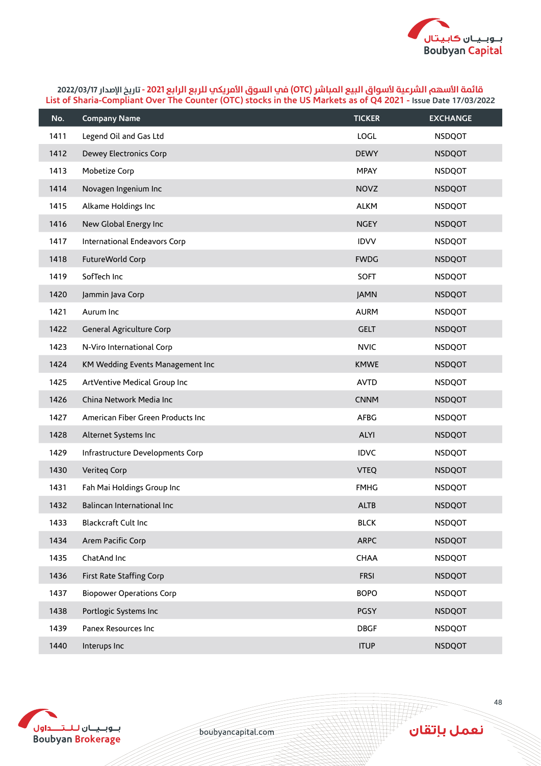

| No.  | <b>Company Name</b>               | <b>TICKER</b> | <b>EXCHANGE</b> |
|------|-----------------------------------|---------------|-----------------|
| 1411 | Legend Oil and Gas Ltd            | LOGL          | <b>NSDQOT</b>   |
| 1412 | Dewey Electronics Corp            | <b>DEWY</b>   | <b>NSDQOT</b>   |
| 1413 | Mobetize Corp                     | <b>MPAY</b>   | <b>NSDQOT</b>   |
| 1414 | Novagen Ingenium Inc              | <b>NOVZ</b>   | <b>NSDQOT</b>   |
| 1415 | Alkame Holdings Inc               | <b>ALKM</b>   | <b>NSDQOT</b>   |
| 1416 | New Global Energy Inc             | <b>NGEY</b>   | <b>NSDQOT</b>   |
| 1417 | International Endeavors Corp      | <b>IDVV</b>   | <b>NSDQOT</b>   |
| 1418 | FutureWorld Corp                  | <b>FWDG</b>   | <b>NSDQOT</b>   |
| 1419 | SofTech Inc                       | <b>SOFT</b>   | <b>NSDQOT</b>   |
| 1420 | Jammin Java Corp                  | <b>JAMN</b>   | <b>NSDQOT</b>   |
| 1421 | Aurum Inc                         | <b>AURM</b>   | <b>NSDQOT</b>   |
| 1422 | General Agriculture Corp          | <b>GELT</b>   | <b>NSDQOT</b>   |
| 1423 | N-Viro International Corp         | <b>NVIC</b>   | <b>NSDQOT</b>   |
| 1424 | KM Wedding Events Management Inc  | <b>KMWE</b>   | <b>NSDQOT</b>   |
| 1425 | ArtVentive Medical Group Inc      | <b>AVTD</b>   | <b>NSDQOT</b>   |
| 1426 | China Network Media Inc           | <b>CNNM</b>   | <b>NSDQOT</b>   |
| 1427 | American Fiber Green Products Inc | <b>AFBG</b>   | <b>NSDQOT</b>   |
| 1428 | Alternet Systems Inc              | <b>ALYI</b>   | <b>NSDQOT</b>   |
| 1429 | Infrastructure Developments Corp  | <b>IDVC</b>   | <b>NSDQOT</b>   |
| 1430 | Veriteq Corp                      | <b>VTEQ</b>   | <b>NSDQOT</b>   |
| 1431 | Fah Mai Holdings Group Inc        | <b>FMHG</b>   | <b>NSDQOT</b>   |
| 1432 | Balincan International Inc        | <b>ALTB</b>   | <b>NSDQOT</b>   |
| 1433 | Blackcraft Cult Inc               | <b>BLCK</b>   | <b>NSDQOT</b>   |
| 1434 | Arem Pacific Corp                 | <b>ARPC</b>   | <b>NSDQOT</b>   |
| 1435 | ChatAnd Inc                       | CHAA          | <b>NSDQOT</b>   |
| 1436 | First Rate Staffing Corp          | <b>FRSI</b>   | <b>NSDQOT</b>   |
| 1437 | <b>Biopower Operations Corp</b>   | <b>BOPO</b>   | <b>NSDQOT</b>   |
| 1438 | Portlogic Systems Inc             | PGSY          | <b>NSDQOT</b>   |
| 1439 | Panex Resources Inc               | <b>DBGF</b>   | <b>NSDQOT</b>   |
| 1440 | Interups Inc                      | <b>ITUP</b>   | <b>NSDQOT</b>   |



boubyancapital.com

**HF** 

نعمل بإتقان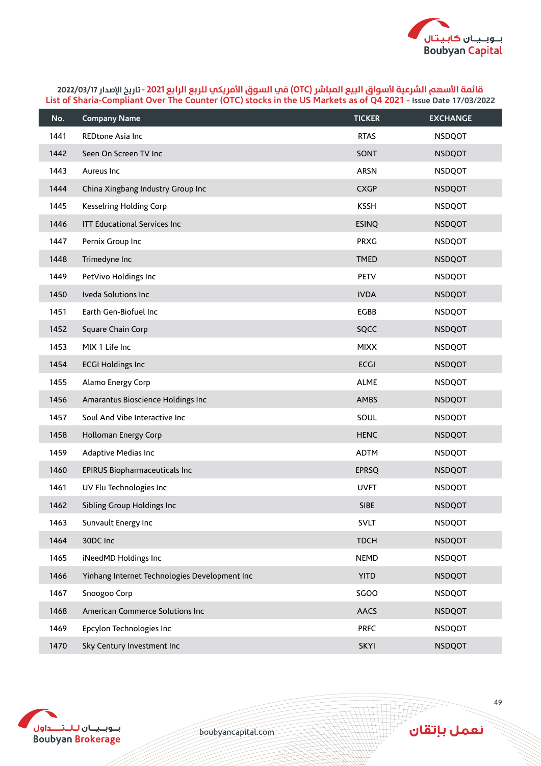

| No.  | <b>Company Name</b>                           | <b>TICKER</b> | <b>EXCHANGE</b> |
|------|-----------------------------------------------|---------------|-----------------|
| 1441 | REDtone Asia Inc                              | <b>RTAS</b>   | <b>NSDQOT</b>   |
| 1442 | Seen On Screen TV Inc                         | SONT          | <b>NSDQOT</b>   |
| 1443 | Aureus Inc                                    | <b>ARSN</b>   | <b>NSDQOT</b>   |
| 1444 | China Xingbang Industry Group Inc             | <b>CXGP</b>   | <b>NSDQOT</b>   |
| 1445 | Kesselring Holding Corp                       | <b>KSSH</b>   | <b>NSDQOT</b>   |
| 1446 | <b>ITT Educational Services Inc</b>           | <b>ESINQ</b>  | <b>NSDQOT</b>   |
| 1447 | Pernix Group Inc                              | <b>PRXG</b>   | <b>NSDQOT</b>   |
| 1448 | Trimedyne Inc                                 | <b>TMED</b>   | <b>NSDQOT</b>   |
| 1449 | PetVivo Holdings Inc                          | <b>PETV</b>   | <b>NSDQOT</b>   |
| 1450 | Iveda Solutions Inc                           | <b>IVDA</b>   | <b>NSDQOT</b>   |
| 1451 | Earth Gen-Biofuel Inc                         | <b>EGBB</b>   | <b>NSDQOT</b>   |
| 1452 | Square Chain Corp                             | SQCC          | <b>NSDQOT</b>   |
| 1453 | MIX 1 Life Inc                                | <b>MIXX</b>   | <b>NSDQOT</b>   |
| 1454 | <b>ECGI Holdings Inc</b>                      | <b>ECGI</b>   | <b>NSDQOT</b>   |
| 1455 | Alamo Energy Corp                             | <b>ALME</b>   | <b>NSDQOT</b>   |
| 1456 | Amarantus Bioscience Holdings Inc             | AMBS          | <b>NSDQOT</b>   |
| 1457 | Soul And Vibe Interactive Inc                 | SOUL          | <b>NSDQOT</b>   |
| 1458 | Holloman Energy Corp                          | <b>HENC</b>   | <b>NSDQOT</b>   |
| 1459 | Adaptive Medias Inc                           | <b>ADTM</b>   | <b>NSDQOT</b>   |
| 1460 | EPIRUS Biopharmaceuticals Inc                 | <b>EPRSQ</b>  | <b>NSDQOT</b>   |
| 1461 | UV Flu Technologies Inc                       | <b>UVFT</b>   | <b>NSDQOT</b>   |
| 1462 | Sibling Group Holdings Inc                    | SIBE          | <b>NSDQOT</b>   |
| 1463 | Sunvault Energy Inc                           | <b>SVLT</b>   | <b>NSDQOT</b>   |
| 1464 | 30DC Inc                                      | <b>TDCH</b>   | <b>NSDQOT</b>   |
| 1465 | iNeedMD Holdings Inc                          | <b>NEMD</b>   | <b>NSDQOT</b>   |
| 1466 | Yinhang Internet Technologies Development Inc | <b>YITD</b>   | <b>NSDQOT</b>   |
| 1467 | Snoogoo Corp                                  | SGOO          | <b>NSDQOT</b>   |
| 1468 | American Commerce Solutions Inc               | <b>AACS</b>   | <b>NSDQOT</b>   |
| 1469 | Epcylon Technologies Inc                      | <b>PRFC</b>   | <b>NSDQOT</b>   |
| 1470 | Sky Century Investment Inc                    | <b>SKYI</b>   | <b>NSDQOT</b>   |



boubyancapital.com

**HF**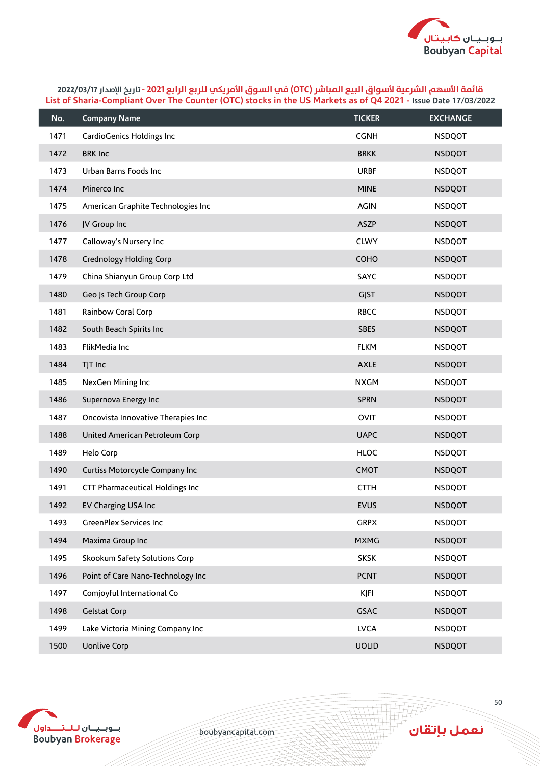

| No.  | <b>Company Name</b>                | <b>TICKER</b> | <b>EXCHANGE</b> |
|------|------------------------------------|---------------|-----------------|
| 1471 | CardioGenics Holdings Inc          | <b>CGNH</b>   | <b>NSDQOT</b>   |
| 1472 | <b>BRK Inc</b>                     | <b>BRKK</b>   | <b>NSDQOT</b>   |
| 1473 | Urban Barns Foods Inc              | <b>URBF</b>   | <b>NSDQOT</b>   |
| 1474 | Minerco Inc                        | <b>MINE</b>   | <b>NSDQOT</b>   |
| 1475 | American Graphite Technologies Inc | <b>AGIN</b>   | <b>NSDQOT</b>   |
| 1476 | JV Group Inc                       | <b>ASZP</b>   | <b>NSDQOT</b>   |
| 1477 | Calloway's Nursery Inc             | <b>CLWY</b>   | <b>NSDQOT</b>   |
| 1478 | Crednology Holding Corp            | COHO          | <b>NSDQOT</b>   |
| 1479 | China Shianyun Group Corp Ltd      | SAYC          | <b>NSDQOT</b>   |
| 1480 | Geo Js Tech Group Corp             | <b>GJST</b>   | <b>NSDQOT</b>   |
| 1481 | Rainbow Coral Corp                 | <b>RBCC</b>   | <b>NSDQOT</b>   |
| 1482 | South Beach Spirits Inc            | <b>SBES</b>   | <b>NSDQOT</b>   |
| 1483 | FlikMedia Inc                      | <b>FLKM</b>   | <b>NSDQOT</b>   |
| 1484 | TJT Inc                            | <b>AXLE</b>   | <b>NSDQOT</b>   |
| 1485 | NexGen Mining Inc                  | <b>NXGM</b>   | <b>NSDQOT</b>   |
| 1486 | Supernova Energy Inc               | <b>SPRN</b>   | <b>NSDQOT</b>   |
| 1487 | Oncovista Innovative Therapies Inc | <b>OVIT</b>   | <b>NSDQOT</b>   |
| 1488 | United American Petroleum Corp     | <b>UAPC</b>   | <b>NSDQOT</b>   |
| 1489 | Helo Corp                          | <b>HLOC</b>   | <b>NSDQOT</b>   |
| 1490 | Curtiss Motorcycle Company Inc     | <b>CMOT</b>   | <b>NSDQOT</b>   |
| 1491 | CTT Pharmaceutical Holdings Inc    | <b>CTTH</b>   | <b>NSDQOT</b>   |
| 1492 | EV Charging USA Inc                | <b>EVUS</b>   | <b>NSDQOT</b>   |
| 1493 | GreenPlex Services Inc             | <b>GRPX</b>   | <b>NSDQOT</b>   |
| 1494 | Maxima Group Inc                   | <b>MXMG</b>   | <b>NSDQOT</b>   |
| 1495 | Skookum Safety Solutions Corp      | <b>SKSK</b>   | <b>NSDQOT</b>   |
| 1496 | Point of Care Nano-Technology Inc  | <b>PCNT</b>   | <b>NSDQOT</b>   |
| 1497 | Comjoyful International Co         | <b>KJFI</b>   | <b>NSDQOT</b>   |
| 1498 | Gelstat Corp                       | <b>GSAC</b>   | <b>NSDQOT</b>   |
| 1499 | Lake Victoria Mining Company Inc   | <b>LVCA</b>   | <b>NSDQOT</b>   |
| 1500 | <b>Uonlive Corp</b>                | <b>UOLID</b>  | <b>NSDQOT</b>   |



boubyancapital.com

**THP** 

نعمل بإتقان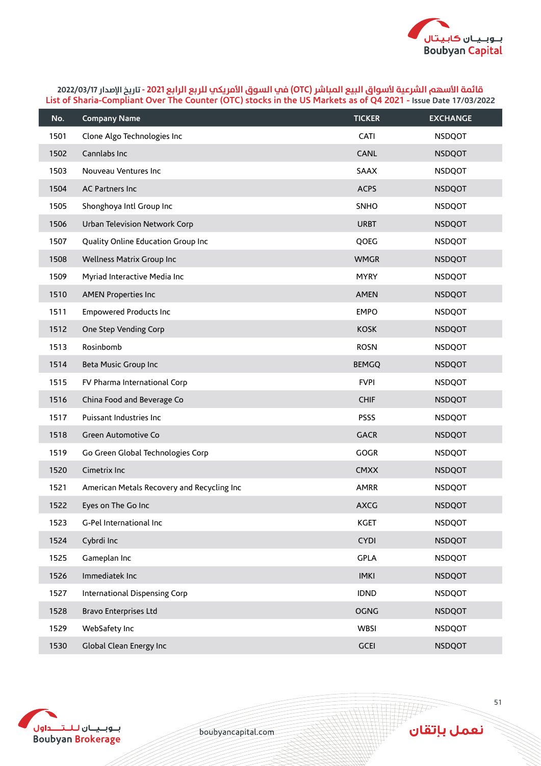

| No.  | <b>Company Name</b>                        | <b>TICKER</b> | <b>EXCHANGE</b> |
|------|--------------------------------------------|---------------|-----------------|
| 1501 | Clone Algo Technologies Inc                | CATI          | <b>NSDQOT</b>   |
| 1502 | Cannlabs Inc                               | <b>CANL</b>   | <b>NSDQOT</b>   |
| 1503 | Nouveau Ventures Inc                       | SAAX          | <b>NSDQOT</b>   |
| 1504 | AC Partners Inc                            | <b>ACPS</b>   | <b>NSDQOT</b>   |
| 1505 | Shonghoya Intl Group Inc                   | SNHO          | <b>NSDQOT</b>   |
| 1506 | Urban Television Network Corp              | <b>URBT</b>   | <b>NSDQOT</b>   |
| 1507 | Quality Online Education Group Inc         | QOEG          | <b>NSDQOT</b>   |
| 1508 | Wellness Matrix Group Inc                  | <b>WMGR</b>   | <b>NSDQOT</b>   |
| 1509 | Myriad Interactive Media Inc               | <b>MYRY</b>   | <b>NSDQOT</b>   |
| 1510 | <b>AMEN Properties Inc</b>                 | <b>AMEN</b>   | <b>NSDQOT</b>   |
| 1511 | <b>Empowered Products Inc</b>              | <b>EMPO</b>   | <b>NSDQOT</b>   |
| 1512 | One Step Vending Corp                      | <b>KOSK</b>   | <b>NSDQOT</b>   |
| 1513 | Rosinbomb                                  | <b>ROSN</b>   | <b>NSDQOT</b>   |
| 1514 | Beta Music Group Inc                       | <b>BEMGQ</b>  | <b>NSDQOT</b>   |
| 1515 | FV Pharma International Corp               | <b>FVPI</b>   | <b>NSDQOT</b>   |
| 1516 | China Food and Beverage Co                 | <b>CHIF</b>   | <b>NSDQOT</b>   |
| 1517 | Puissant Industries Inc                    | <b>PSSS</b>   | <b>NSDQOT</b>   |
| 1518 | Green Automotive Co                        | <b>GACR</b>   | <b>NSDQOT</b>   |
| 1519 | Go Green Global Technologies Corp          | <b>GOGR</b>   | <b>NSDQOT</b>   |
| 1520 | Cimetrix Inc                               | <b>CMXX</b>   | <b>NSDQOT</b>   |
| 1521 | American Metals Recovery and Recycling Inc | AMRR          | <b>NSDQOT</b>   |
| 1522 | Eyes on The Go Inc                         | <b>AXCG</b>   | <b>NSDQOT</b>   |
| 1523 | G-Pel International Inc                    | <b>KGET</b>   | <b>NSDQOT</b>   |
| 1524 | Cybrdi Inc                                 | <b>CYDI</b>   | <b>NSDQOT</b>   |
| 1525 | Gameplan Inc                               | <b>GPLA</b>   | <b>NSDQOT</b>   |
| 1526 | Immediatek Inc                             | <b>IMKI</b>   | <b>NSDQOT</b>   |
| 1527 | International Dispensing Corp              | <b>IDND</b>   | <b>NSDQOT</b>   |
| 1528 | <b>Bravo Enterprises Ltd</b>               | <b>OGNG</b>   | <b>NSDQOT</b>   |
| 1529 | WebSafety Inc                              | WBSI          | <b>NSDQOT</b>   |
| 1530 | Global Clean Energy Inc                    | <b>GCEI</b>   | <b>NSDQOT</b>   |



boubyancapital.com

**APP**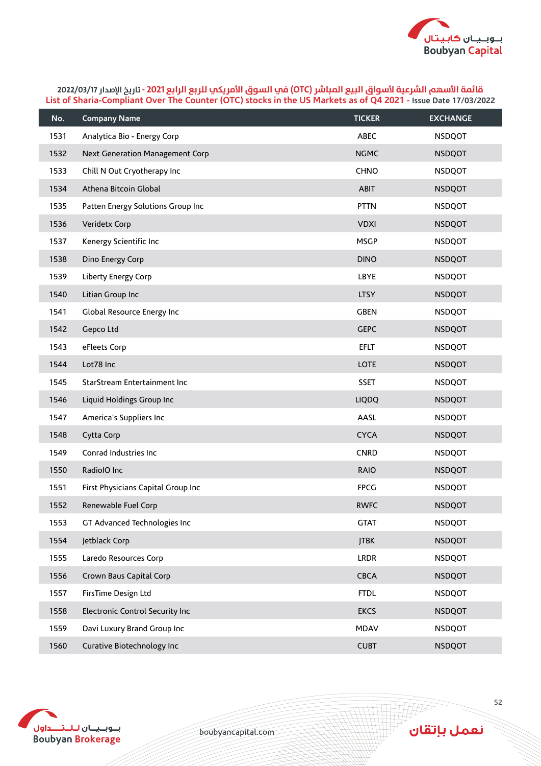

| No.  | <b>Company Name</b>                | <b>TICKER</b> | <b>EXCHANGE</b> |
|------|------------------------------------|---------------|-----------------|
| 1531 | Analytica Bio - Energy Corp        | ABEC          | <b>NSDQOT</b>   |
| 1532 | Next Generation Management Corp    | <b>NGMC</b>   | <b>NSDQOT</b>   |
| 1533 | Chill N Out Cryotherapy Inc        | CHNO          | <b>NSDQOT</b>   |
| 1534 | Athena Bitcoin Global              | <b>ABIT</b>   | <b>NSDQOT</b>   |
| 1535 | Patten Energy Solutions Group Inc  | <b>PTTN</b>   | <b>NSDQOT</b>   |
| 1536 | Veridetx Corp                      | <b>VDXI</b>   | <b>NSDQOT</b>   |
| 1537 | Kenergy Scientific Inc             | <b>MSGP</b>   | <b>NSDQOT</b>   |
| 1538 | Dino Energy Corp                   | <b>DINO</b>   | <b>NSDQOT</b>   |
| 1539 | Liberty Energy Corp                | LBYE          | <b>NSDQOT</b>   |
| 1540 | Litian Group Inc                   | <b>LTSY</b>   | <b>NSDQOT</b>   |
| 1541 | Global Resource Energy Inc         | <b>GBEN</b>   | <b>NSDQOT</b>   |
| 1542 | Gepco Ltd                          | <b>GEPC</b>   | <b>NSDQOT</b>   |
| 1543 | eFleets Corp                       | <b>EFLT</b>   | <b>NSDQOT</b>   |
| 1544 | Lot78 Inc                          | <b>LOTE</b>   | <b>NSDQOT</b>   |
| 1545 | StarStream Entertainment Inc       | <b>SSET</b>   | <b>NSDQOT</b>   |
| 1546 | Liquid Holdings Group Inc          | <b>LIQDQ</b>  | <b>NSDQOT</b>   |
| 1547 | America's Suppliers Inc            | AASL          | <b>NSDQOT</b>   |
| 1548 | Cytta Corp                         | <b>CYCA</b>   | <b>NSDQOT</b>   |
| 1549 | Conrad Industries Inc              | <b>CNRD</b>   | <b>NSDQOT</b>   |
| 1550 | RadiolO Inc                        | <b>RAIO</b>   | <b>NSDQOT</b>   |
| 1551 | First Physicians Capital Group Inc | <b>FPCG</b>   | <b>NSDQOT</b>   |
| 1552 | Renewable Fuel Corp                | <b>RWFC</b>   | <b>NSDQOT</b>   |
| 1553 | GT Advanced Technologies Inc       | <b>GTAT</b>   | <b>NSDQOT</b>   |
| 1554 | Jetblack Corp                      | <b>JTBK</b>   | <b>NSDQOT</b>   |
| 1555 | Laredo Resources Corp              | <b>LRDR</b>   | <b>NSDQOT</b>   |
| 1556 | Crown Baus Capital Corp            | <b>CBCA</b>   | <b>NSDQOT</b>   |
| 1557 | FirsTime Design Ltd                | <b>FTDL</b>   | <b>NSDQOT</b>   |
| 1558 | Electronic Control Security Inc    | <b>EKCS</b>   | <b>NSDQOT</b>   |
| 1559 | Davi Luxury Brand Group Inc        | <b>MDAV</b>   | <b>NSDQOT</b>   |
| 1560 | Curative Biotechnology Inc         | <b>CUBT</b>   | <b>NSDQOT</b>   |



boubyancapital.com

**APP**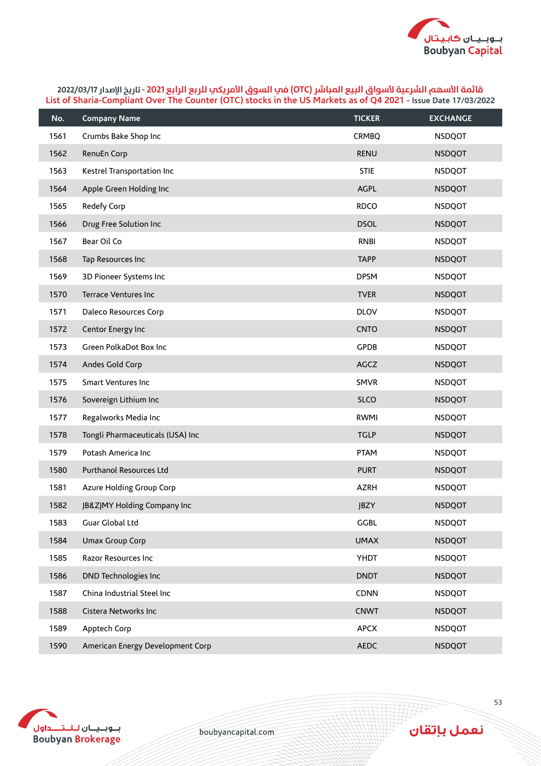

| No.  | <b>Company Name</b>              | <b>TICKER</b> | <b>EXCHANGE</b> |
|------|----------------------------------|---------------|-----------------|
| 1561 | Crumbs Bake Shop Inc             | <b>CRMBQ</b>  | <b>NSDQOT</b>   |
| 1562 | RenuEn Corp                      | <b>RENU</b>   | <b>NSDQOT</b>   |
| 1563 | Kestrel Transportation Inc       | <b>STIE</b>   | <b>NSDQOT</b>   |
| 1564 | Apple Green Holding Inc          | AGPL          | <b>NSDQOT</b>   |
| 1565 | Redefy Corp                      | <b>RDCO</b>   | <b>NSDQOT</b>   |
| 1566 | Drug Free Solution Inc           | <b>DSOL</b>   | <b>NSDQOT</b>   |
| 1567 | Bear Oil Co                      | <b>RNBI</b>   | <b>NSDQOT</b>   |
| 1568 | Tap Resources Inc                | <b>TAPP</b>   | <b>NSDQOT</b>   |
| 1569 | 3D Pioneer Systems Inc           | <b>DPSM</b>   | <b>NSDQOT</b>   |
| 1570 | Terrace Ventures Inc             | <b>TVER</b>   | <b>NSDQOT</b>   |
| 1571 | Daleco Resources Corp            | <b>DLOV</b>   | <b>NSDQOT</b>   |
| 1572 | Centor Energy Inc                | <b>CNTO</b>   | <b>NSDQOT</b>   |
| 1573 | Green PolkaDot Box Inc           | <b>GPDB</b>   | <b>NSDQOT</b>   |
| 1574 | Andes Gold Corp                  | AGCZ          | <b>NSDQOT</b>   |
| 1575 | <b>Smart Ventures Inc</b>        | <b>SMVR</b>   | <b>NSDQOT</b>   |
| 1576 | Sovereign Lithium Inc            | <b>SLCO</b>   | <b>NSDQOT</b>   |
| 1577 | Regalworks Media Inc             | <b>RWMI</b>   | <b>NSDQOT</b>   |
| 1578 | Tongli Pharmaceuticals (USA) Inc | <b>TGLP</b>   | <b>NSDQOT</b>   |
| 1579 | Potash America Inc               | <b>PTAM</b>   | <b>NSDQOT</b>   |
| 1580 | Purthanol Resources Ltd          | <b>PURT</b>   | <b>NSDQOT</b>   |
| 1581 | Azure Holding Group Corp         | <b>AZRH</b>   | <b>NSDQOT</b>   |
| 1582 | JB&ZJMY Holding Company Inc      | <b>JBZY</b>   | <b>NSDQOT</b>   |
| 1583 | Guar Global Ltd                  | <b>GGBL</b>   | <b>NSDQOT</b>   |
| 1584 | Umax Group Corp                  | <b>UMAX</b>   | <b>NSDQOT</b>   |
| 1585 | Razor Resources Inc              | YHDT          | <b>NSDQOT</b>   |
| 1586 | DND Technologies Inc             | <b>DNDT</b>   | <b>NSDQOT</b>   |
| 1587 | China Industrial Steel Inc       | CDNN          | <b>NSDQOT</b>   |
| 1588 | Cistera Networks Inc             | <b>CNWT</b>   | <b>NSDQOT</b>   |
| 1589 | Apptech Corp                     | <b>APCX</b>   | <b>NSDQOT</b>   |
| 1590 | American Energy Development Corp | <b>AEDC</b>   | <b>NSDQOT</b>   |



boubyancapital.com

**THP**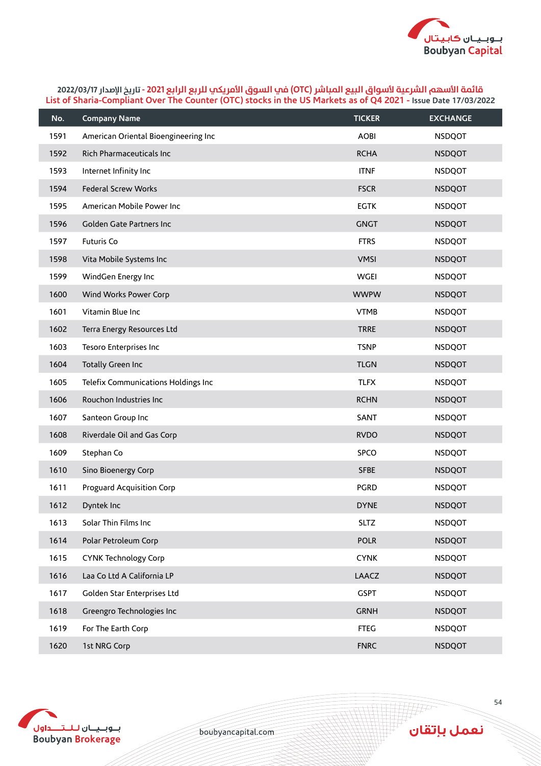

| No.  | <b>Company Name</b>                  | <b>TICKER</b> | <b>EXCHANGE</b> |
|------|--------------------------------------|---------------|-----------------|
| 1591 | American Oriental Bioengineering Inc | <b>AOBI</b>   | <b>NSDQOT</b>   |
| 1592 | Rich Pharmaceuticals Inc             | <b>RCHA</b>   | <b>NSDQOT</b>   |
| 1593 | Internet Infinity Inc                | <b>ITNF</b>   | <b>NSDQOT</b>   |
| 1594 | <b>Federal Screw Works</b>           | <b>FSCR</b>   | <b>NSDQOT</b>   |
| 1595 | American Mobile Power Inc            | <b>EGTK</b>   | <b>NSDQOT</b>   |
| 1596 | Golden Gate Partners Inc             | <b>GNGT</b>   | <b>NSDQOT</b>   |
| 1597 | Futuris Co                           | <b>FTRS</b>   | <b>NSDQOT</b>   |
| 1598 | Vita Mobile Systems Inc              | <b>VMSI</b>   | <b>NSDQOT</b>   |
| 1599 | WindGen Energy Inc                   | <b>WGEI</b>   | <b>NSDQOT</b>   |
| 1600 | Wind Works Power Corp                | <b>WWPW</b>   | <b>NSDQOT</b>   |
| 1601 | Vitamin Blue Inc                     | <b>VTMB</b>   | <b>NSDQOT</b>   |
| 1602 | Terra Energy Resources Ltd           | <b>TRRE</b>   | <b>NSDQOT</b>   |
| 1603 | Tesoro Enterprises Inc               | <b>TSNP</b>   | <b>NSDQOT</b>   |
| 1604 | <b>Totally Green Inc</b>             | <b>TLGN</b>   | <b>NSDQOT</b>   |
| 1605 | Telefix Communications Holdings Inc  | <b>TLFX</b>   | <b>NSDQOT</b>   |
| 1606 | Rouchon Industries Inc               | <b>RCHN</b>   | <b>NSDQOT</b>   |
| 1607 | Santeon Group Inc                    | SANT          | <b>NSDQOT</b>   |
| 1608 | Riverdale Oil and Gas Corp           | <b>RVDO</b>   | <b>NSDQOT</b>   |
| 1609 | Stephan Co                           | <b>SPCO</b>   | <b>NSDQOT</b>   |
| 1610 | Sino Bioenergy Corp                  | <b>SFBE</b>   | <b>NSDQOT</b>   |
| 1611 | Proguard Acquisition Corp            | <b>PGRD</b>   | <b>NSDQOT</b>   |
| 1612 | Dyntek Inc                           | <b>DYNE</b>   | <b>NSDQOT</b>   |
| 1613 | Solar Thin Films Inc                 | <b>SLTZ</b>   | <b>NSDQOT</b>   |
| 1614 | Polar Petroleum Corp                 | <b>POLR</b>   | <b>NSDQOT</b>   |
| 1615 | <b>CYNK Technology Corp</b>          | <b>CYNK</b>   | <b>NSDQOT</b>   |
| 1616 | Laa Co Ltd A California LP           | LAACZ         | <b>NSDQOT</b>   |
| 1617 | Golden Star Enterprises Ltd          | <b>GSPT</b>   | <b>NSDQOT</b>   |
| 1618 | Greengro Technologies Inc            | <b>GRNH</b>   | <b>NSDQOT</b>   |
| 1619 | For The Earth Corp                   | <b>FTEG</b>   | <b>NSDQOT</b>   |
| 1620 | 1st NRG Corp                         | <b>FNRC</b>   | <b>NSDQOT</b>   |



boubyancapital.com

**TAP**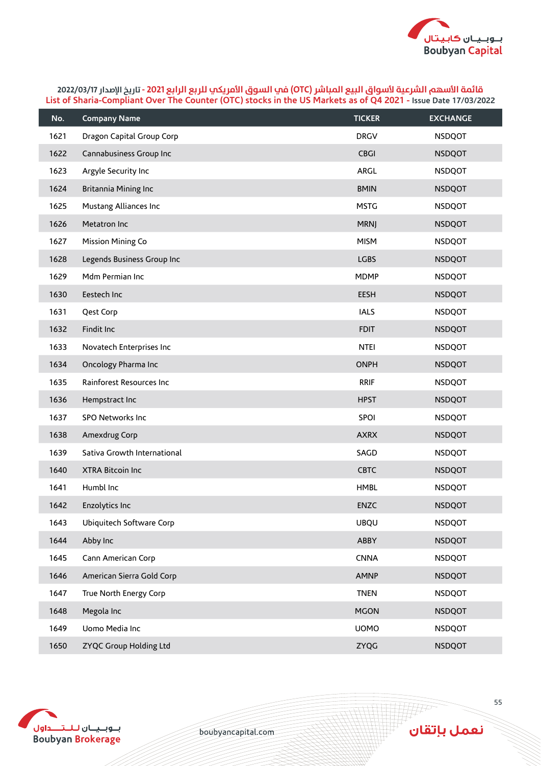

| No.  | <b>Company Name</b>         | <b>TICKER</b> | <b>EXCHANGE</b> |
|------|-----------------------------|---------------|-----------------|
| 1621 | Dragon Capital Group Corp   | <b>DRGV</b>   | <b>NSDQOT</b>   |
| 1622 | Cannabusiness Group Inc     | <b>CBGI</b>   | <b>NSDQOT</b>   |
| 1623 | Argyle Security Inc         | ARGL          | <b>NSDQOT</b>   |
| 1624 | Britannia Mining Inc        | <b>BMIN</b>   | <b>NSDQOT</b>   |
| 1625 | Mustang Alliances Inc       | <b>MSTG</b>   | <b>NSDQOT</b>   |
| 1626 | Metatron Inc                | <b>MRNJ</b>   | <b>NSDQOT</b>   |
| 1627 | <b>Mission Mining Co</b>    | <b>MISM</b>   | <b>NSDQOT</b>   |
| 1628 | Legends Business Group Inc  | <b>LGBS</b>   | <b>NSDQOT</b>   |
| 1629 | Mdm Permian Inc             | <b>MDMP</b>   | <b>NSDQOT</b>   |
| 1630 | Eestech Inc                 | <b>EESH</b>   | <b>NSDQOT</b>   |
| 1631 | Qest Corp                   | <b>IALS</b>   | <b>NSDQOT</b>   |
| 1632 | Findit Inc                  | <b>FDIT</b>   | <b>NSDQOT</b>   |
| 1633 | Novatech Enterprises Inc    | <b>NTEI</b>   | <b>NSDQOT</b>   |
| 1634 | Oncology Pharma Inc         | <b>ONPH</b>   | <b>NSDQOT</b>   |
| 1635 | Rainforest Resources Inc    | <b>RRIF</b>   | <b>NSDQOT</b>   |
| 1636 | Hempstract Inc              | <b>HPST</b>   | <b>NSDQOT</b>   |
| 1637 | SPO Networks Inc            | SPOI          | <b>NSDQOT</b>   |
| 1638 | Amexdrug Corp               | <b>AXRX</b>   | <b>NSDQOT</b>   |
| 1639 | Sativa Growth International | SAGD          | <b>NSDQOT</b>   |
| 1640 | <b>XTRA Bitcoin Inc</b>     | <b>CBTC</b>   | <b>NSDQOT</b>   |
| 1641 | Humbl Inc                   | <b>HMBL</b>   | <b>NSDQOT</b>   |
| 1642 | Enzolytics Inc              | <b>ENZC</b>   | <b>NSDQOT</b>   |
| 1643 | Ubiquitech Software Corp    | <b>UBQU</b>   | <b>NSDQOT</b>   |
| 1644 | Abby Inc                    | ABBY          | <b>NSDQOT</b>   |
| 1645 | Cann American Corp          | <b>CNNA</b>   | <b>NSDQOT</b>   |
| 1646 | American Sierra Gold Corp   | <b>AMNP</b>   | <b>NSDQOT</b>   |
| 1647 | True North Energy Corp      | <b>TNEN</b>   | <b>NSDQOT</b>   |
| 1648 | Megola Inc                  | <b>MGON</b>   | <b>NSDQOT</b>   |
| 1649 | Uomo Media Inc              | <b>UOMO</b>   | <b>NSDQOT</b>   |
| 1650 | ZYQC Group Holding Ltd      | ZYQG          | <b>NSDQOT</b>   |



boubyancapital.com

**HF**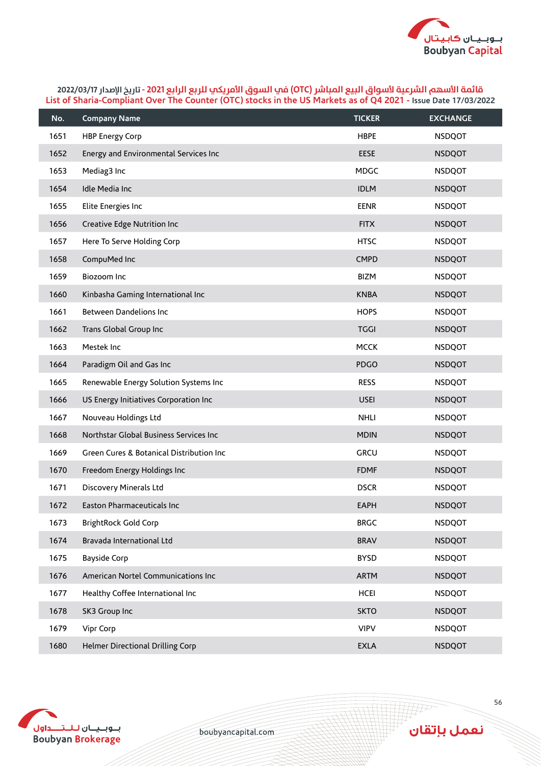

| No.  | <b>Company Name</b>                      | <b>TICKER</b> | <b>EXCHANGE</b> |
|------|------------------------------------------|---------------|-----------------|
| 1651 | <b>HBP Energy Corp</b>                   | <b>HBPE</b>   | <b>NSDQOT</b>   |
| 1652 | Energy and Environmental Services Inc    | <b>EESE</b>   | <b>NSDQOT</b>   |
| 1653 | Mediag3 Inc                              | <b>MDGC</b>   | <b>NSDQOT</b>   |
| 1654 | Idle Media Inc                           | <b>IDLM</b>   | <b>NSDQOT</b>   |
| 1655 | Elite Energies Inc                       | <b>EENR</b>   | <b>NSDQOT</b>   |
| 1656 | Creative Edge Nutrition Inc              | <b>FITX</b>   | <b>NSDQOT</b>   |
| 1657 | Here To Serve Holding Corp               | <b>HTSC</b>   | <b>NSDQOT</b>   |
| 1658 | CompuMed Inc                             | <b>CMPD</b>   | <b>NSDQOT</b>   |
| 1659 | Biozoom Inc                              | <b>BIZM</b>   | <b>NSDQOT</b>   |
| 1660 | Kinbasha Gaming International Inc        | <b>KNBA</b>   | <b>NSDQOT</b>   |
| 1661 | Between Dandelions Inc                   | <b>HOPS</b>   | <b>NSDQOT</b>   |
| 1662 | Trans Global Group Inc                   | <b>TGGI</b>   | <b>NSDQOT</b>   |
| 1663 | Mestek Inc                               | <b>MCCK</b>   | <b>NSDQOT</b>   |
| 1664 | Paradigm Oil and Gas Inc                 | <b>PDGO</b>   | <b>NSDQOT</b>   |
| 1665 | Renewable Energy Solution Systems Inc    | <b>RESS</b>   | <b>NSDQOT</b>   |
| 1666 | US Energy Initiatives Corporation Inc    | <b>USEI</b>   | <b>NSDQOT</b>   |
| 1667 | Nouveau Holdings Ltd                     | <b>NHLI</b>   | <b>NSDQOT</b>   |
| 1668 | Northstar Global Business Services Inc   | <b>MDIN</b>   | <b>NSDQOT</b>   |
| 1669 | Green Cures & Botanical Distribution Inc | <b>GRCU</b>   | <b>NSDQOT</b>   |
| 1670 | Freedom Energy Holdings Inc              | <b>FDMF</b>   | <b>NSDQOT</b>   |
| 1671 | Discovery Minerals Ltd                   | <b>DSCR</b>   | <b>NSDQOT</b>   |
| 1672 | Easton Pharmaceuticals Inc               | <b>EAPH</b>   | <b>NSDQOT</b>   |
| 1673 | <b>BrightRock Gold Corp</b>              | <b>BRGC</b>   | <b>NSDQOT</b>   |
| 1674 | Bravada International Ltd                | <b>BRAV</b>   | <b>NSDQOT</b>   |
| 1675 | <b>Bayside Corp</b>                      | <b>BYSD</b>   | <b>NSDQOT</b>   |
| 1676 | American Nortel Communications Inc       | <b>ARTM</b>   | <b>NSDQOT</b>   |
| 1677 | Healthy Coffee International Inc         | <b>HCEI</b>   | <b>NSDQOT</b>   |
| 1678 | SK3 Group Inc                            | <b>SKTO</b>   | <b>NSDQOT</b>   |
| 1679 | Vipr Corp                                | <b>VIPV</b>   | <b>NSDQOT</b>   |
| 1680 | Helmer Directional Drilling Corp         | <b>EXLA</b>   | <b>NSDQOT</b>   |



boubyancapital.com

**APP**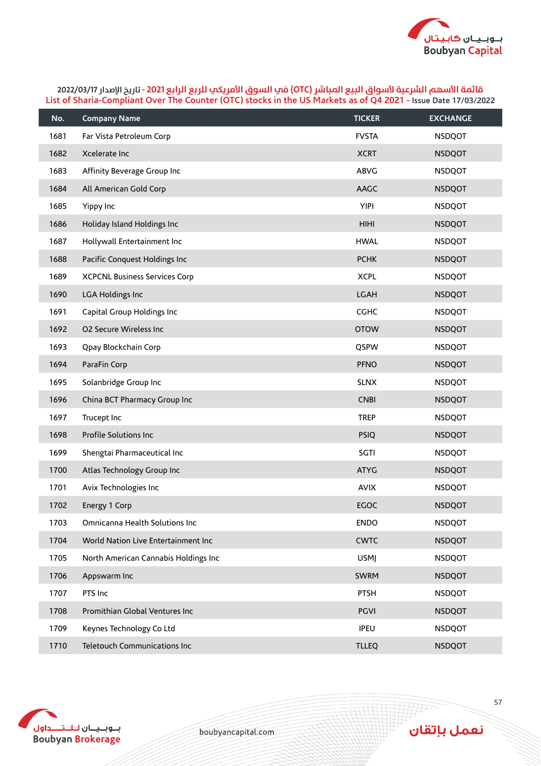

| No.  | <b>Company Name</b>                  | <b>TICKER</b> | <b>EXCHANGE</b> |
|------|--------------------------------------|---------------|-----------------|
| 1681 | Far Vista Petroleum Corp             | <b>FVSTA</b>  | <b>NSDQOT</b>   |
| 1682 | Xcelerate Inc                        | <b>XCRT</b>   | <b>NSDQOT</b>   |
| 1683 | Affinity Beverage Group Inc          | ABVG          | <b>NSDQOT</b>   |
| 1684 | All American Gold Corp               | AAGC          | <b>NSDQOT</b>   |
| 1685 | Yippy Inc                            | <b>YIPI</b>   | <b>NSDQOT</b>   |
| 1686 | Holiday Island Holdings Inc          | <b>HIHI</b>   | <b>NSDQOT</b>   |
| 1687 | Hollywall Entertainment Inc          | <b>HWAL</b>   | <b>NSDQOT</b>   |
| 1688 | Pacific Conquest Holdings Inc        | <b>PCHK</b>   | <b>NSDQOT</b>   |
| 1689 | <b>XCPCNL Business Services Corp</b> | <b>XCPL</b>   | <b>NSDQOT</b>   |
| 1690 | LGA Holdings Inc                     | <b>LGAH</b>   | <b>NSDQOT</b>   |
| 1691 | Capital Group Holdings Inc           | <b>CGHC</b>   | <b>NSDQOT</b>   |
| 1692 | <b>O2 Secure Wireless Inc</b>        | <b>OTOW</b>   | <b>NSDQOT</b>   |
| 1693 | Qpay Blockchain Corp                 | QSPW          | <b>NSDQOT</b>   |
| 1694 | ParaFin Corp                         | <b>PFNO</b>   | <b>NSDQOT</b>   |
| 1695 | Solanbridge Group Inc                | <b>SLNX</b>   | <b>NSDQOT</b>   |
| 1696 | China BCT Pharmacy Group Inc         | <b>CNBI</b>   | <b>NSDQOT</b>   |
| 1697 | Trucept Inc                          | <b>TREP</b>   | <b>NSDQOT</b>   |
| 1698 | Profile Solutions Inc                | <b>PSIQ</b>   | <b>NSDQOT</b>   |
| 1699 | Shengtai Pharmaceutical Inc          | SGTI          | <b>NSDQOT</b>   |
| 1700 | Atlas Technology Group Inc           | <b>ATYG</b>   | <b>NSDQOT</b>   |
| 1701 | Avix Technologies Inc                | <b>AVIX</b>   | <b>NSDQOT</b>   |
| 1702 | Energy 1 Corp                        | <b>EGOC</b>   | <b>NSDQOT</b>   |
| 1703 | Omnicanna Health Solutions Inc       | <b>ENDO</b>   | <b>NSDQOT</b>   |
| 1704 | World Nation Live Entertainment Inc  | <b>CWTC</b>   | <b>NSDQOT</b>   |
| 1705 | North American Cannabis Holdings Inc | <b>USMJ</b>   | <b>NSDQOT</b>   |
| 1706 | Appswarm Inc                         | <b>SWRM</b>   | <b>NSDQOT</b>   |
| 1707 | PTS Inc                              | <b>PTSH</b>   | <b>NSDQOT</b>   |
| 1708 | Promithian Global Ventures Inc       | <b>PGVI</b>   | <b>NSDQOT</b>   |
| 1709 | Keynes Technology Co Ltd             | <b>IPEU</b>   | <b>NSDQOT</b>   |
| 1710 | Teletouch Communications Inc         | <b>TLLEQ</b>  | <b>NSDQOT</b>   |



boubyancapital.com

**THP**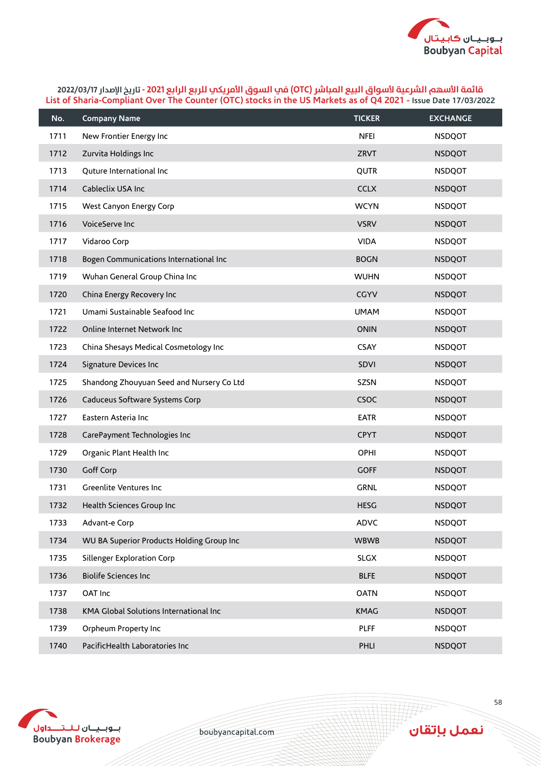

| No.  | <b>Company Name</b>                       | <b>TICKER</b> | <b>EXCHANGE</b> |
|------|-------------------------------------------|---------------|-----------------|
| 1711 | New Frontier Energy Inc                   | <b>NFEI</b>   | <b>NSDQOT</b>   |
| 1712 | Zurvita Holdings Inc                      | <b>ZRVT</b>   | <b>NSDQOT</b>   |
| 1713 | Quture International Inc                  | QUTR          | <b>NSDQOT</b>   |
| 1714 | Cableclix USA Inc                         | <b>CCLX</b>   | <b>NSDQOT</b>   |
| 1715 | West Canyon Energy Corp                   | <b>WCYN</b>   | <b>NSDQOT</b>   |
| 1716 | VoiceServe Inc                            | <b>VSRV</b>   | <b>NSDQOT</b>   |
| 1717 | Vidaroo Corp                              | <b>VIDA</b>   | <b>NSDQOT</b>   |
| 1718 | Bogen Communications International Inc    | <b>BOGN</b>   | <b>NSDQOT</b>   |
| 1719 | Wuhan General Group China Inc             | <b>WUHN</b>   | <b>NSDQOT</b>   |
| 1720 | China Energy Recovery Inc                 | <b>CGYV</b>   | <b>NSDQOT</b>   |
| 1721 | Umami Sustainable Seafood Inc             | <b>UMAM</b>   | <b>NSDQOT</b>   |
| 1722 | Online Internet Network Inc               | <b>ONIN</b>   | <b>NSDQOT</b>   |
| 1723 | China Shesays Medical Cosmetology Inc     | <b>CSAY</b>   | <b>NSDQOT</b>   |
| 1724 | Signature Devices Inc                     | SDVI          | <b>NSDQOT</b>   |
| 1725 | Shandong Zhouyuan Seed and Nursery Co Ltd | SZSN          | <b>NSDQOT</b>   |
| 1726 | Caduceus Software Systems Corp            | CSOC          | <b>NSDQOT</b>   |
| 1727 | Eastern Asteria Inc                       | <b>EATR</b>   | <b>NSDQOT</b>   |
| 1728 | CarePayment Technologies Inc              | <b>CPYT</b>   | <b>NSDQOT</b>   |
| 1729 | Organic Plant Health Inc                  | OPHI          | <b>NSDQOT</b>   |
| 1730 | Goff Corp                                 | <b>GOFF</b>   | <b>NSDQOT</b>   |
| 1731 | Greenlite Ventures Inc                    | <b>GRNL</b>   | <b>NSDQOT</b>   |
| 1732 | Health Sciences Group Inc                 | <b>HESG</b>   | <b>NSDQOT</b>   |
| 1733 | Advant-e Corp                             | ADVC          | <b>NSDQOT</b>   |
| 1734 | WU BA Superior Products Holding Group Inc | <b>WBWB</b>   | <b>NSDQOT</b>   |
| 1735 | Sillenger Exploration Corp                | <b>SLGX</b>   | <b>NSDQOT</b>   |
| 1736 | <b>Biolife Sciences Inc</b>               | <b>BLFE</b>   | <b>NSDQOT</b>   |
| 1737 | OAT Inc                                   | <b>OATN</b>   | <b>NSDQOT</b>   |
| 1738 | KMA Global Solutions International Inc    | <b>KMAG</b>   | <b>NSDQOT</b>   |
| 1739 | Orpheum Property Inc                      | <b>PLFF</b>   | <b>NSDQOT</b>   |
| 1740 | PacificHealth Laboratories Inc            | PHLI          | <b>NSDQOT</b>   |



boubyancapital.com

**APP**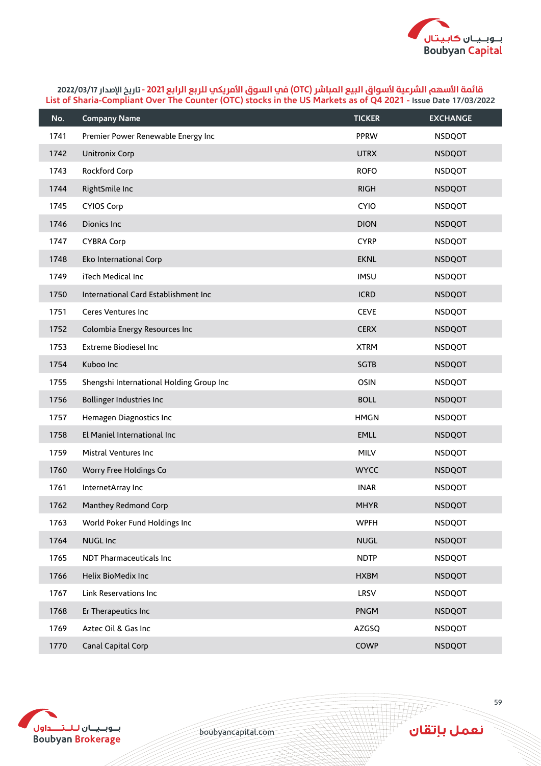

| No.  | <b>Company Name</b>                      | <b>TICKER</b> | <b>EXCHANGE</b> |
|------|------------------------------------------|---------------|-----------------|
| 1741 | Premier Power Renewable Energy Inc       | <b>PPRW</b>   | <b>NSDQOT</b>   |
| 1742 | Unitronix Corp                           | <b>UTRX</b>   | <b>NSDQOT</b>   |
| 1743 | Rockford Corp                            | <b>ROFO</b>   | <b>NSDQOT</b>   |
| 1744 | RightSmile Inc                           | <b>RIGH</b>   | <b>NSDQOT</b>   |
| 1745 | <b>CYIOS Corp</b>                        | <b>CYIO</b>   | <b>NSDQOT</b>   |
| 1746 | Dionics Inc                              | <b>DION</b>   | <b>NSDQOT</b>   |
| 1747 | <b>CYBRA Corp</b>                        | <b>CYRP</b>   | <b>NSDQOT</b>   |
| 1748 | Eko International Corp                   | <b>EKNL</b>   | <b>NSDQOT</b>   |
| 1749 | iTech Medical Inc                        | <b>IMSU</b>   | <b>NSDQOT</b>   |
| 1750 | International Card Establishment Inc     | <b>ICRD</b>   | <b>NSDQOT</b>   |
| 1751 | Ceres Ventures Inc                       | <b>CEVE</b>   | <b>NSDQOT</b>   |
| 1752 | Colombia Energy Resources Inc            | <b>CERX</b>   | <b>NSDQOT</b>   |
| 1753 | <b>Extreme Biodiesel Inc</b>             | <b>XTRM</b>   | <b>NSDQOT</b>   |
| 1754 | Kuboo Inc                                | <b>SGTB</b>   | <b>NSDQOT</b>   |
| 1755 | Shengshi International Holding Group Inc | <b>OSIN</b>   | <b>NSDQOT</b>   |
| 1756 | Bollinger Industries Inc                 | <b>BOLL</b>   | <b>NSDQOT</b>   |
| 1757 | Hemagen Diagnostics Inc                  | <b>HMGN</b>   | <b>NSDQOT</b>   |
| 1758 | El Maniel International Inc              | <b>EMLL</b>   | <b>NSDQOT</b>   |
| 1759 | Mistral Ventures Inc                     | <b>MILV</b>   | <b>NSDQOT</b>   |
| 1760 | Worry Free Holdings Co                   | <b>WYCC</b>   | <b>NSDQOT</b>   |
| 1761 | InternetArray Inc                        | <b>INAR</b>   | <b>NSDQOT</b>   |
| 1762 | Manthey Redmond Corp                     | <b>MHYR</b>   | <b>NSDQOT</b>   |
| 1763 | World Poker Fund Holdings Inc            | <b>WPFH</b>   | <b>NSDQOT</b>   |
| 1764 | <b>NUGL Inc</b>                          | <b>NUGL</b>   | <b>NSDQOT</b>   |
| 1765 | NDT Pharmaceuticals Inc                  | <b>NDTP</b>   | <b>NSDQOT</b>   |
| 1766 | Helix BioMedix Inc                       | <b>HXBM</b>   | <b>NSDQOT</b>   |
| 1767 | Link Reservations Inc                    | LRSV          | <b>NSDQOT</b>   |
| 1768 | Er Therapeutics Inc                      | PNGM          | <b>NSDQOT</b>   |
| 1769 | Aztec Oil & Gas Inc                      | AZGSQ         | <b>NSDQOT</b>   |
| 1770 | Canal Capital Corp                       | COWP          | <b>NSDQOT</b>   |



boubyancapital.com

**APP**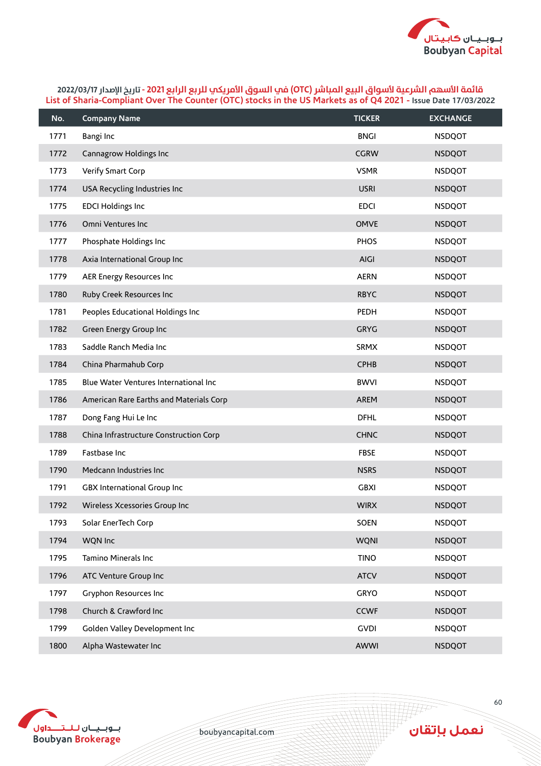

| No.  | <b>Company Name</b>                     | <b>TICKER</b> | <b>EXCHANGE</b> |
|------|-----------------------------------------|---------------|-----------------|
| 1771 | Bangi Inc                               | <b>BNGI</b>   | <b>NSDQOT</b>   |
| 1772 | Cannagrow Holdings Inc                  | <b>CGRW</b>   | <b>NSDQOT</b>   |
| 1773 | Verify Smart Corp                       | <b>VSMR</b>   | <b>NSDQOT</b>   |
| 1774 | USA Recycling Industries Inc            | <b>USRI</b>   | <b>NSDQOT</b>   |
| 1775 | <b>EDCI Holdings Inc</b>                | <b>EDCI</b>   | <b>NSDQOT</b>   |
| 1776 | Omni Ventures Inc                       | <b>OMVE</b>   | <b>NSDQOT</b>   |
| 1777 | Phosphate Holdings Inc                  | <b>PHOS</b>   | <b>NSDQOT</b>   |
| 1778 | Axia International Group Inc            | AIGI          | <b>NSDQOT</b>   |
| 1779 | AER Energy Resources Inc                | <b>AERN</b>   | <b>NSDQOT</b>   |
| 1780 | Ruby Creek Resources Inc                | <b>RBYC</b>   | <b>NSDQOT</b>   |
| 1781 | Peoples Educational Holdings Inc        | PEDH          | <b>NSDQOT</b>   |
| 1782 | Green Energy Group Inc                  | <b>GRYG</b>   | <b>NSDQOT</b>   |
| 1783 | Saddle Ranch Media Inc                  | <b>SRMX</b>   | <b>NSDQOT</b>   |
| 1784 | China Pharmahub Corp                    | <b>CPHB</b>   | <b>NSDQOT</b>   |
| 1785 | Blue Water Ventures International Inc   | <b>BWVI</b>   | <b>NSDQOT</b>   |
| 1786 | American Rare Earths and Materials Corp | AREM          | <b>NSDQOT</b>   |
| 1787 | Dong Fang Hui Le Inc                    | <b>DFHL</b>   | <b>NSDQOT</b>   |
| 1788 | China Infrastructure Construction Corp  | <b>CHNC</b>   | <b>NSDQOT</b>   |
| 1789 | Fastbase Inc                            | <b>FBSE</b>   | <b>NSDQOT</b>   |
| 1790 | Medcann Industries Inc                  | <b>NSRS</b>   | <b>NSDQOT</b>   |
| 1791 | GBX International Group Inc             | <b>GBXI</b>   | <b>NSDQOT</b>   |
| 1792 | Wireless Xcessories Group Inc           | <b>WIRX</b>   | <b>NSDQOT</b>   |
| 1793 | Solar EnerTech Corp                     | SOEN          | <b>NSDQOT</b>   |
| 1794 | WQN Inc                                 | <b>WQNI</b>   | <b>NSDQOT</b>   |
| 1795 | Tamino Minerals Inc                     | <b>TINO</b>   | <b>NSDQOT</b>   |
| 1796 | ATC Venture Group Inc                   | <b>ATCV</b>   | <b>NSDQOT</b>   |
| 1797 | Gryphon Resources Inc                   | GRYO          | <b>NSDQOT</b>   |
| 1798 | Church & Crawford Inc                   | <b>CCWF</b>   | <b>NSDQOT</b>   |
| 1799 | Golden Valley Development Inc           | <b>GVDI</b>   | <b>NSDQOT</b>   |
| 1800 | Alpha Wastewater Inc                    | AWWI          | <b>NSDQOT</b>   |



boubyancapital.com

**HF**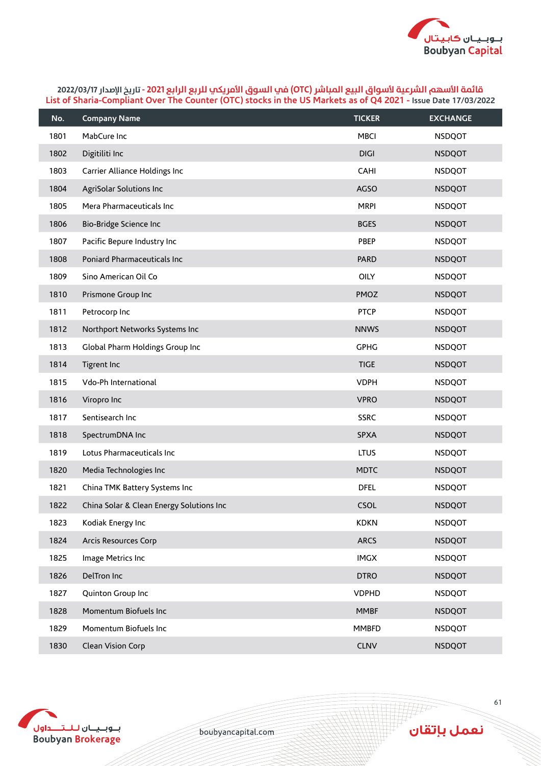

| No.  | <b>Company Name</b>                      | <b>TICKER</b> | <b>EXCHANGE</b> |
|------|------------------------------------------|---------------|-----------------|
| 1801 | MabCure Inc                              | <b>MBCI</b>   | <b>NSDQOT</b>   |
| 1802 | Digitiliti Inc                           | <b>DIGI</b>   | <b>NSDQOT</b>   |
| 1803 | Carrier Alliance Holdings Inc            | CAHI          | <b>NSDQOT</b>   |
| 1804 | AgriSolar Solutions Inc                  | <b>AGSO</b>   | <b>NSDQOT</b>   |
| 1805 | Mera Pharmaceuticals Inc                 | <b>MRPI</b>   | <b>NSDQOT</b>   |
| 1806 | Bio-Bridge Science Inc                   | <b>BGES</b>   | <b>NSDQOT</b>   |
| 1807 | Pacific Bepure Industry Inc              | PBEP          | <b>NSDQOT</b>   |
| 1808 | Poniard Pharmaceuticals Inc              | <b>PARD</b>   | <b>NSDQOT</b>   |
| 1809 | Sino American Oil Co                     | OILY          | <b>NSDQOT</b>   |
| 1810 | Prismone Group Inc                       | PMOZ          | <b>NSDQOT</b>   |
| 1811 | Petrocorp Inc                            | <b>PTCP</b>   | <b>NSDQOT</b>   |
| 1812 | Northport Networks Systems Inc           | <b>NNWS</b>   | <b>NSDQOT</b>   |
| 1813 | Global Pharm Holdings Group Inc          | <b>GPHG</b>   | <b>NSDQOT</b>   |
| 1814 | Tigrent Inc                              | <b>TIGE</b>   | <b>NSDQOT</b>   |
| 1815 | Vdo-Ph International                     | <b>VDPH</b>   | <b>NSDQOT</b>   |
| 1816 | Viropro Inc                              | <b>VPRO</b>   | <b>NSDQOT</b>   |
| 1817 | Sentisearch Inc                          | <b>SSRC</b>   | <b>NSDQOT</b>   |
| 1818 | SpectrumDNA Inc                          | <b>SPXA</b>   | <b>NSDQOT</b>   |
| 1819 | Lotus Pharmaceuticals Inc                | <b>LTUS</b>   | <b>NSDQOT</b>   |
| 1820 | Media Technologies Inc                   | <b>MDTC</b>   | <b>NSDQOT</b>   |
| 1821 | China TMK Battery Systems Inc            | <b>DFEL</b>   | <b>NSDQOT</b>   |
| 1822 | China Solar & Clean Energy Solutions Inc | CSOL          | <b>NSDQOT</b>   |
| 1823 | Kodiak Energy Inc                        | <b>KDKN</b>   | <b>NSDQOT</b>   |
| 1824 | Arcis Resources Corp                     | <b>ARCS</b>   | <b>NSDQOT</b>   |
| 1825 | Image Metrics Inc                        | IMGX          | <b>NSDQOT</b>   |
| 1826 | DelTron Inc                              | <b>DTRO</b>   | <b>NSDQOT</b>   |
| 1827 | Quinton Group Inc                        | <b>VDPHD</b>  | <b>NSDQOT</b>   |
| 1828 | Momentum Biofuels Inc                    | <b>MMBF</b>   | <b>NSDQOT</b>   |
| 1829 | Momentum Biofuels Inc                    | <b>MMBFD</b>  | <b>NSDQOT</b>   |
| 1830 | Clean Vision Corp                        | <b>CLNV</b>   | <b>NSDQOT</b>   |



boubyancapital.com

**APP**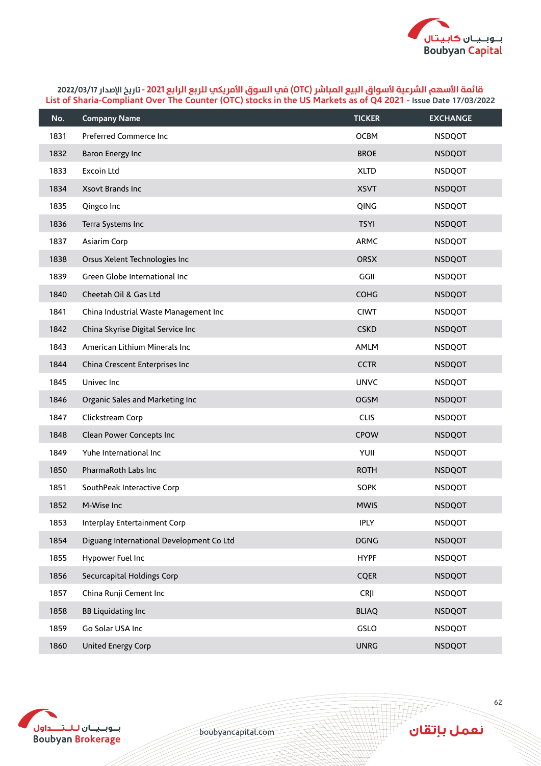

| No.  | <b>Company Name</b>                      | <b>TICKER</b> | <b>EXCHANGE</b> |
|------|------------------------------------------|---------------|-----------------|
| 1831 | Preferred Commerce Inc                   | <b>OCBM</b>   | <b>NSDQOT</b>   |
| 1832 | Baron Energy Inc                         | <b>BROE</b>   | <b>NSDQOT</b>   |
| 1833 | Excoin Ltd                               | <b>XLTD</b>   | <b>NSDQOT</b>   |
| 1834 | Xsovt Brands Inc                         | <b>XSVT</b>   | <b>NSDQOT</b>   |
| 1835 | Qingco Inc                               | QING          | <b>NSDQOT</b>   |
| 1836 | Terra Systems Inc                        | <b>TSYI</b>   | <b>NSDQOT</b>   |
| 1837 | Asiarim Corp                             | <b>ARMC</b>   | <b>NSDQOT</b>   |
| 1838 | Orsus Xelent Technologies Inc            | ORSX          | <b>NSDQOT</b>   |
| 1839 | Green Globe International Inc            | GGII          | <b>NSDQOT</b>   |
| 1840 | Cheetah Oil & Gas Ltd                    | <b>COHG</b>   | <b>NSDQOT</b>   |
| 1841 | China Industrial Waste Management Inc    | <b>CIWT</b>   | <b>NSDQOT</b>   |
| 1842 | China Skyrise Digital Service Inc        | <b>CSKD</b>   | <b>NSDQOT</b>   |
| 1843 | American Lithium Minerals Inc            | <b>AMLM</b>   | <b>NSDQOT</b>   |
| 1844 | China Crescent Enterprises Inc           | <b>CCTR</b>   | <b>NSDQOT</b>   |
| 1845 | Univec Inc                               | <b>UNVC</b>   | <b>NSDQOT</b>   |
| 1846 | Organic Sales and Marketing Inc          | <b>OGSM</b>   | <b>NSDQOT</b>   |
| 1847 | Clickstream Corp                         | <b>CLIS</b>   | <b>NSDQOT</b>   |
| 1848 | Clean Power Concepts Inc                 | <b>CPOW</b>   | <b>NSDQOT</b>   |
| 1849 | Yuhe International Inc                   | YUII          | <b>NSDQOT</b>   |
| 1850 | PharmaRoth Labs Inc                      | <b>ROTH</b>   | <b>NSDQOT</b>   |
| 1851 | SouthPeak Interactive Corp               | <b>SOPK</b>   | <b>NSDQOT</b>   |
| 1852 | M-Wise Inc                               | <b>MWIS</b>   | <b>NSDQOT</b>   |
| 1853 | Interplay Entertainment Corp             | <b>IPLY</b>   | <b>NSDQOT</b>   |
| 1854 | Diguang International Development Co Ltd | <b>DGNG</b>   | <b>NSDQOT</b>   |
| 1855 | Hypower Fuel Inc                         | <b>HYPF</b>   | <b>NSDQOT</b>   |
| 1856 | Securcapital Holdings Corp               | <b>CQER</b>   | <b>NSDQOT</b>   |
| 1857 | China Runji Cement Inc                   | <b>CRJI</b>   | <b>NSDQOT</b>   |
| 1858 | <b>BB Liquidating Inc</b>                | <b>BLIAQ</b>  | <b>NSDQOT</b>   |
| 1859 | Go Solar USA Inc                         | GSLO          | <b>NSDQOT</b>   |
| 1860 | United Energy Corp                       | <b>UNRG</b>   | <b>NSDQOT</b>   |



boubyancapital.com

**APP**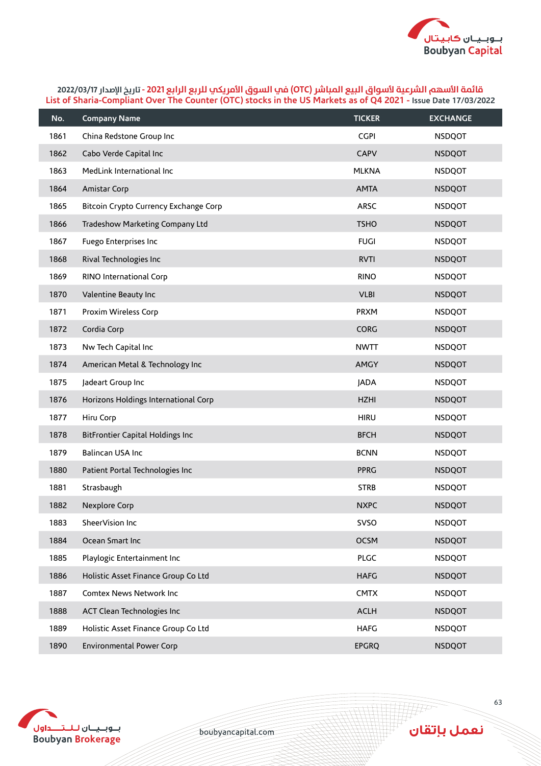

| No.  | <b>Company Name</b>                     | <b>TICKER</b> | <b>EXCHANGE</b> |
|------|-----------------------------------------|---------------|-----------------|
| 1861 | China Redstone Group Inc                | <b>CGPI</b>   | <b>NSDQOT</b>   |
| 1862 | Cabo Verde Capital Inc                  | <b>CAPV</b>   | <b>NSDQOT</b>   |
| 1863 | MedLink International Inc               | <b>MLKNA</b>  | <b>NSDQOT</b>   |
| 1864 | Amistar Corp                            | <b>AMTA</b>   | <b>NSDQOT</b>   |
| 1865 | Bitcoin Crypto Currency Exchange Corp   | <b>ARSC</b>   | <b>NSDQOT</b>   |
| 1866 | Tradeshow Marketing Company Ltd         | <b>TSHO</b>   | <b>NSDQOT</b>   |
| 1867 | Fuego Enterprises Inc                   | <b>FUGI</b>   | <b>NSDQOT</b>   |
| 1868 | Rival Technologies Inc                  | <b>RVTI</b>   | <b>NSDQOT</b>   |
| 1869 | RINO International Corp                 | <b>RINO</b>   | <b>NSDQOT</b>   |
| 1870 | Valentine Beauty Inc                    | <b>VLBI</b>   | <b>NSDQOT</b>   |
| 1871 | Proxim Wireless Corp                    | <b>PRXM</b>   | <b>NSDQOT</b>   |
| 1872 | Cordia Corp                             | <b>CORG</b>   | <b>NSDQOT</b>   |
| 1873 | Nw Tech Capital Inc                     | <b>NWTT</b>   | <b>NSDQOT</b>   |
| 1874 | American Metal & Technology Inc         | <b>AMGY</b>   | <b>NSDQOT</b>   |
| 1875 | Jadeart Group Inc                       | <b>JADA</b>   | <b>NSDQOT</b>   |
| 1876 | Horizons Holdings International Corp    | <b>HZHI</b>   | <b>NSDQOT</b>   |
| 1877 | Hiru Corp                               | <b>HIRU</b>   | <b>NSDQOT</b>   |
| 1878 | <b>BitFrontier Capital Holdings Inc</b> | <b>BFCH</b>   | <b>NSDQOT</b>   |
| 1879 | Balincan USA Inc                        | <b>BCNN</b>   | <b>NSDQOT</b>   |
| 1880 | Patient Portal Technologies Inc         | <b>PPRG</b>   | <b>NSDQOT</b>   |
| 1881 | Strasbaugh                              | <b>STRB</b>   | <b>NSDQOT</b>   |
| 1882 | Nexplore Corp                           | <b>NXPC</b>   | <b>NSDQOT</b>   |
| 1883 | SheerVision Inc                         | SVSO          | <b>NSDQOT</b>   |
| 1884 | Ocean Smart Inc                         | <b>OCSM</b>   | <b>NSDQOT</b>   |
| 1885 | Playlogic Entertainment Inc             | <b>PLGC</b>   | <b>NSDQOT</b>   |
| 1886 | Holistic Asset Finance Group Co Ltd     | <b>HAFG</b>   | <b>NSDQOT</b>   |
| 1887 | Comtex News Network Inc                 | <b>CMTX</b>   | <b>NSDQOT</b>   |
| 1888 | ACT Clean Technologies Inc              | <b>ACLH</b>   | <b>NSDQOT</b>   |
| 1889 | Holistic Asset Finance Group Co Ltd     | <b>HAFG</b>   | <b>NSDQOT</b>   |
| 1890 | <b>Environmental Power Corp</b>         | <b>EPGRQ</b>  | <b>NSDQOT</b>   |



boubyancapital.com

**APP**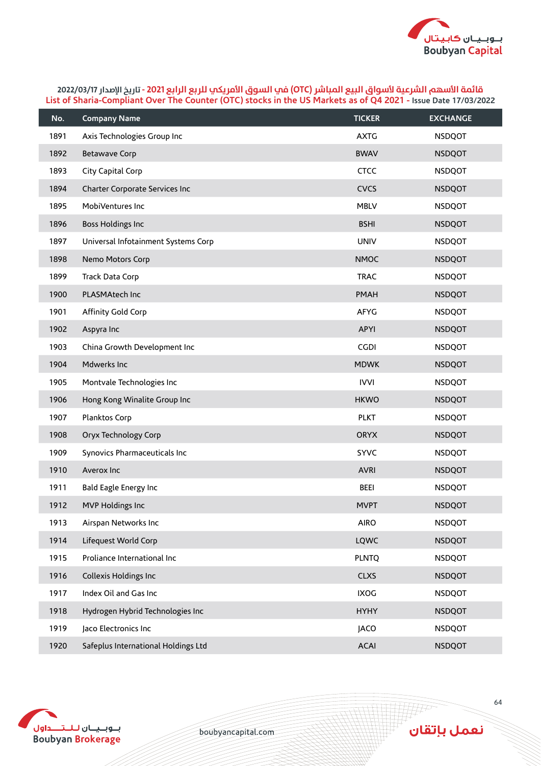

| No.  | <b>Company Name</b>                 | <b>TICKER</b> | <b>EXCHANGE</b> |
|------|-------------------------------------|---------------|-----------------|
| 1891 | Axis Technologies Group Inc         | <b>AXTG</b>   | <b>NSDQOT</b>   |
| 1892 | <b>Betawave Corp</b>                | <b>BWAV</b>   | <b>NSDQOT</b>   |
| 1893 | City Capital Corp                   | <b>CTCC</b>   | <b>NSDQOT</b>   |
| 1894 | Charter Corporate Services Inc      | <b>CVCS</b>   | <b>NSDQOT</b>   |
| 1895 | MobiVentures Inc                    | <b>MBLV</b>   | <b>NSDQOT</b>   |
| 1896 | <b>Boss Holdings Inc</b>            | <b>BSHI</b>   | <b>NSDQOT</b>   |
| 1897 | Universal Infotainment Systems Corp | <b>UNIV</b>   | <b>NSDQOT</b>   |
| 1898 | Nemo Motors Corp                    | <b>NMOC</b>   | <b>NSDQOT</b>   |
| 1899 | Track Data Corp                     | <b>TRAC</b>   | <b>NSDQOT</b>   |
| 1900 | PLASMAtech Inc                      | <b>PMAH</b>   | <b>NSDQOT</b>   |
| 1901 | Affinity Gold Corp                  | AFYG          | <b>NSDQOT</b>   |
| 1902 | Aspyra Inc                          | APYI          | <b>NSDQOT</b>   |
| 1903 | China Growth Development Inc        | <b>CGDI</b>   | <b>NSDQOT</b>   |
| 1904 | Mdwerks Inc                         | <b>MDWK</b>   | <b>NSDQOT</b>   |
| 1905 | Montvale Technologies Inc           | <b>IVVI</b>   | <b>NSDQOT</b>   |
| 1906 | Hong Kong Winalite Group Inc        | <b>HKWO</b>   | <b>NSDQOT</b>   |
| 1907 | Planktos Corp                       | <b>PLKT</b>   | <b>NSDQOT</b>   |
| 1908 | Oryx Technology Corp                | <b>ORYX</b>   | <b>NSDQOT</b>   |
| 1909 | Synovics Pharmaceuticals Inc        | <b>SYVC</b>   | <b>NSDQOT</b>   |
| 1910 | Averox Inc                          | <b>AVRI</b>   | <b>NSDQOT</b>   |
| 1911 | Bald Eagle Energy Inc               | <b>BEEI</b>   | <b>NSDQOT</b>   |
| 1912 | MVP Holdings Inc                    | <b>MVPT</b>   | <b>NSDQOT</b>   |
| 1913 | Airspan Networks Inc                | <b>AIRO</b>   | <b>NSDQOT</b>   |
| 1914 | Lifequest World Corp                | LQWC          | <b>NSDQOT</b>   |
| 1915 | Proliance International Inc         | <b>PLNTQ</b>  | <b>NSDQOT</b>   |
| 1916 | Collexis Holdings Inc               | <b>CLXS</b>   | <b>NSDQOT</b>   |
| 1917 | Index Oil and Gas Inc               | <b>IXOG</b>   | <b>NSDQOT</b>   |
| 1918 | Hydrogen Hybrid Technologies Inc    | <b>HYHY</b>   | <b>NSDQOT</b>   |
| 1919 | Jaco Electronics Inc                | <b>JACO</b>   | <b>NSDQOT</b>   |
| 1920 | Safeplus International Holdings Ltd | <b>ACAI</b>   | <b>NSDQOT</b>   |



boubyancapital.com

**APP**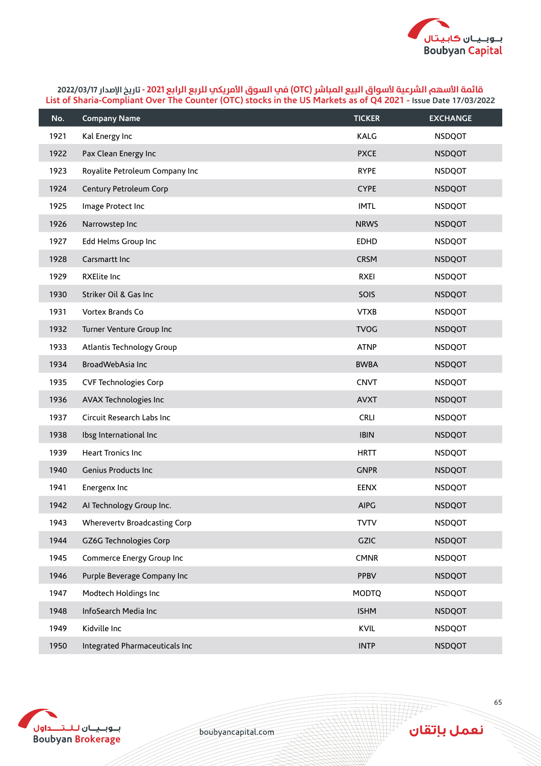

| No.  | <b>Company Name</b>            | <b>TICKER</b> | <b>EXCHANGE</b> |
|------|--------------------------------|---------------|-----------------|
| 1921 | Kal Energy Inc                 | KALG          | <b>NSDQOT</b>   |
| 1922 | Pax Clean Energy Inc           | <b>PXCE</b>   | <b>NSDQOT</b>   |
| 1923 | Royalite Petroleum Company Inc | <b>RYPE</b>   | <b>NSDQOT</b>   |
| 1924 | Century Petroleum Corp         | <b>CYPE</b>   | <b>NSDQOT</b>   |
| 1925 | Image Protect Inc              | <b>IMTL</b>   | <b>NSDQOT</b>   |
| 1926 | Narrowstep Inc                 | <b>NRWS</b>   | <b>NSDQOT</b>   |
| 1927 | Edd Helms Group Inc            | <b>EDHD</b>   | <b>NSDQOT</b>   |
| 1928 | Carsmartt Inc                  | <b>CRSM</b>   | <b>NSDQOT</b>   |
| 1929 | <b>RXElite Inc</b>             | <b>RXEI</b>   | <b>NSDQOT</b>   |
| 1930 | Striker Oil & Gas Inc          | SOIS          | <b>NSDQOT</b>   |
| 1931 | Vortex Brands Co               | <b>VTXB</b>   | <b>NSDQOT</b>   |
| 1932 | Turner Venture Group Inc       | <b>TVOG</b>   | <b>NSDQOT</b>   |
| 1933 | Atlantis Technology Group      | <b>ATNP</b>   | <b>NSDQOT</b>   |
| 1934 | BroadWebAsia Inc               | <b>BWBA</b>   | <b>NSDQOT</b>   |
| 1935 | <b>CVF Technologies Corp</b>   | <b>CNVT</b>   | <b>NSDQOT</b>   |
| 1936 | AVAX Technologies Inc          | <b>AVXT</b>   | <b>NSDQOT</b>   |
| 1937 | Circuit Research Labs Inc      | <b>CRLI</b>   | <b>NSDQOT</b>   |
| 1938 | Ibsg International Inc         | <b>IBIN</b>   | <b>NSDQOT</b>   |
| 1939 | Heart Tronics Inc              | <b>HRTT</b>   | <b>NSDQOT</b>   |
| 1940 | Genius Products Inc            | <b>GNPR</b>   | <b>NSDQOT</b>   |
| 1941 | Energenx Inc                   | <b>EENX</b>   | <b>NSDQOT</b>   |
| 1942 | Al Technology Group Inc.       | <b>AIPG</b>   | <b>NSDQOT</b>   |
| 1943 | Wherevertv Broadcasting Corp   | <b>TVTV</b>   | <b>NSDQOT</b>   |
| 1944 | GZ6G Technologies Corp         | GZIC          | <b>NSDQOT</b>   |
| 1945 | Commerce Energy Group Inc      | <b>CMNR</b>   | <b>NSDQOT</b>   |
| 1946 | Purple Beverage Company Inc    | PPBV          | <b>NSDQOT</b>   |
| 1947 | Modtech Holdings Inc           | <b>MODTQ</b>  | <b>NSDQOT</b>   |
| 1948 | InfoSearch Media Inc           | <b>ISHM</b>   | <b>NSDQOT</b>   |
| 1949 | Kidville Inc                   | KVIL          | <b>NSDQOT</b>   |
| 1950 | Integrated Pharmaceuticals Inc | <b>INTP</b>   | <b>NSDQOT</b>   |



boubyancapital.com

**APP**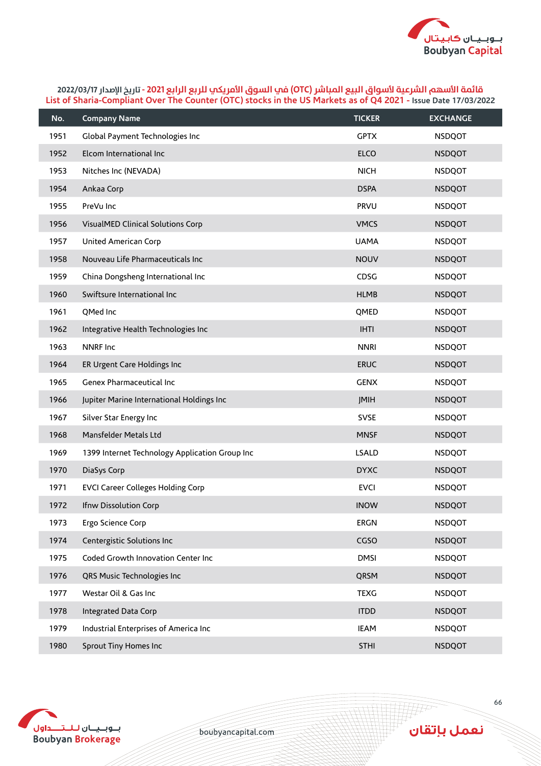

| No.  | <b>Company Name</b>                            | <b>TICKER</b> | <b>EXCHANGE</b> |
|------|------------------------------------------------|---------------|-----------------|
| 1951 | Global Payment Technologies Inc                | <b>GPTX</b>   | <b>NSDQOT</b>   |
| 1952 | Elcom International Inc                        | <b>ELCO</b>   | <b>NSDQOT</b>   |
| 1953 | Nitches Inc (NEVADA)                           | <b>NICH</b>   | <b>NSDQOT</b>   |
| 1954 | Ankaa Corp                                     | <b>DSPA</b>   | <b>NSDQOT</b>   |
| 1955 | PreVu Inc                                      | <b>PRVU</b>   | <b>NSDQOT</b>   |
| 1956 | VisualMED Clinical Solutions Corp              | <b>VMCS</b>   | <b>NSDQOT</b>   |
| 1957 | United American Corp                           | <b>UAMA</b>   | <b>NSDQOT</b>   |
| 1958 | Nouveau Life Pharmaceuticals Inc               | <b>NOUV</b>   | <b>NSDQOT</b>   |
| 1959 | China Dongsheng International Inc              | CDSG          | <b>NSDQOT</b>   |
| 1960 | Swiftsure International Inc                    | <b>HLMB</b>   | <b>NSDQOT</b>   |
| 1961 | QMed Inc                                       | QMED          | <b>NSDQOT</b>   |
| 1962 | Integrative Health Technologies Inc            | <b>IHTI</b>   | <b>NSDQOT</b>   |
| 1963 | <b>NNRF Inc</b>                                | <b>NNRI</b>   | <b>NSDQOT</b>   |
| 1964 | ER Urgent Care Holdings Inc                    | <b>ERUC</b>   | <b>NSDQOT</b>   |
| 1965 | Genex Pharmaceutical Inc                       | <b>GENX</b>   | <b>NSDQOT</b>   |
| 1966 | Jupiter Marine International Holdings Inc      | JMIH          | <b>NSDQOT</b>   |
| 1967 | Silver Star Energy Inc                         | <b>SVSE</b>   | <b>NSDQOT</b>   |
| 1968 | Mansfelder Metals Ltd                          | <b>MNSF</b>   | <b>NSDQOT</b>   |
| 1969 | 1399 Internet Technology Application Group Inc | <b>LSALD</b>  | <b>NSDQOT</b>   |
| 1970 | DiaSys Corp                                    | <b>DYXC</b>   | <b>NSDQOT</b>   |
| 1971 | <b>EVCI Career Colleges Holding Corp</b>       | <b>EVCI</b>   | <b>NSDQOT</b>   |
| 1972 | Ifnw Dissolution Corp                          | <b>INOW</b>   | <b>NSDQOT</b>   |
| 1973 | Ergo Science Corp                              | <b>ERGN</b>   | <b>NSDQOT</b>   |
| 1974 | Centergistic Solutions Inc                     | CGSO          | <b>NSDQOT</b>   |
| 1975 | Coded Growth Innovation Center Inc             | <b>DMSI</b>   | <b>NSDQOT</b>   |
| 1976 | QRS Music Technologies Inc                     | QRSM          | <b>NSDQOT</b>   |
| 1977 | Westar Oil & Gas Inc                           | <b>TEXG</b>   | <b>NSDQOT</b>   |
| 1978 | <b>Integrated Data Corp</b>                    | <b>ITDD</b>   | <b>NSDQOT</b>   |
| 1979 | Industrial Enterprises of America Inc          | <b>IEAM</b>   | <b>NSDQOT</b>   |
| 1980 | <b>Sprout Tiny Homes Inc</b>                   | <b>STHI</b>   | <b>NSDQOT</b>   |



boubyancapital.com

**THP**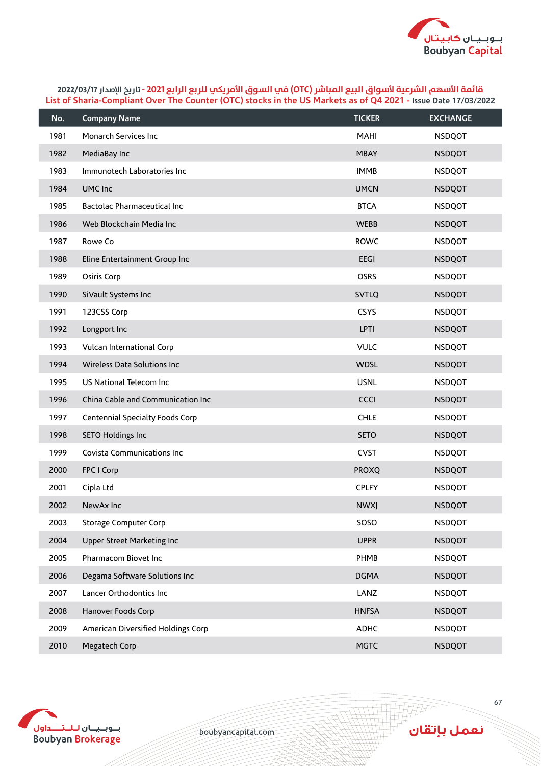

| No.  | <b>Company Name</b>                | <b>TICKER</b> | <b>EXCHANGE</b> |
|------|------------------------------------|---------------|-----------------|
| 1981 | Monarch Services Inc               | MAHI          | <b>NSDQOT</b>   |
| 1982 | MediaBay Inc                       | <b>MBAY</b>   | <b>NSDQOT</b>   |
| 1983 | Immunotech Laboratories Inc        | <b>IMMB</b>   | <b>NSDQOT</b>   |
| 1984 | UMC Inc                            | <b>UMCN</b>   | <b>NSDQOT</b>   |
| 1985 | <b>Bactolac Pharmaceutical Inc</b> | <b>BTCA</b>   | <b>NSDQOT</b>   |
| 1986 | Web Blockchain Media Inc           | <b>WEBB</b>   | <b>NSDQOT</b>   |
| 1987 | Rowe Co                            | <b>ROWC</b>   | <b>NSDQOT</b>   |
| 1988 | Eline Entertainment Group Inc      | <b>EEGI</b>   | <b>NSDQOT</b>   |
| 1989 | Osiris Corp                        | <b>OSRS</b>   | <b>NSDQOT</b>   |
| 1990 | SiVault Systems Inc                | <b>SVTLQ</b>  | <b>NSDQOT</b>   |
| 1991 | 123CSS Corp                        | <b>CSYS</b>   | <b>NSDQOT</b>   |
| 1992 | Longport Inc                       | LPTI          | <b>NSDQOT</b>   |
| 1993 | Vulcan International Corp          | <b>VULC</b>   | <b>NSDQOT</b>   |
| 1994 | Wireless Data Solutions Inc        | <b>WDSL</b>   | <b>NSDQOT</b>   |
| 1995 | US National Telecom Inc            | <b>USNL</b>   | <b>NSDQOT</b>   |
| 1996 | China Cable and Communication Inc  | CCCI          | <b>NSDQOT</b>   |
| 1997 | Centennial Specialty Foods Corp    | <b>CHLE</b>   | <b>NSDQOT</b>   |
| 1998 | <b>SETO Holdings Inc</b>           | <b>SETO</b>   | <b>NSDQOT</b>   |
| 1999 | Covista Communications Inc         | <b>CVST</b>   | <b>NSDQOT</b>   |
| 2000 | FPC I Corp                         | <b>PROXQ</b>  | <b>NSDQOT</b>   |
| 2001 | Cipla Ltd                          | <b>CPLFY</b>  | <b>NSDQOT</b>   |
| 2002 | NewAx Inc                          | <b>NWXJ</b>   | <b>NSDQOT</b>   |
| 2003 | <b>Storage Computer Corp</b>       | SOSO          | <b>NSDQOT</b>   |
| 2004 | Upper Street Marketing Inc         | <b>UPPR</b>   | <b>NSDQOT</b>   |
| 2005 | Pharmacom Biovet Inc               | PHMB          | <b>NSDQOT</b>   |
| 2006 | Degama Software Solutions Inc      | <b>DGMA</b>   | <b>NSDQOT</b>   |
| 2007 | Lancer Orthodontics Inc            | LANZ          | <b>NSDQOT</b>   |
| 2008 | Hanover Foods Corp                 | <b>HNFSA</b>  | <b>NSDQOT</b>   |
| 2009 | American Diversified Holdings Corp | ADHC          | <b>NSDQOT</b>   |
| 2010 | Megatech Corp                      | <b>MGTC</b>   | <b>NSDQOT</b>   |



boubyancapital.com

**HF**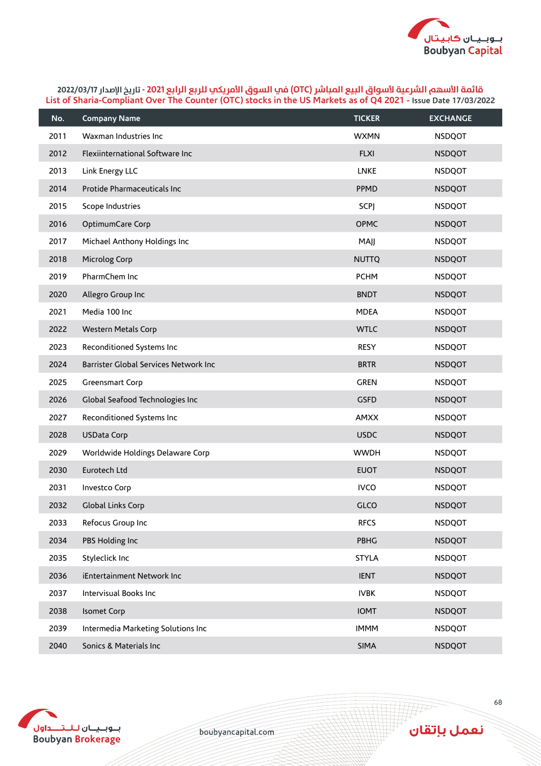

| No.  | <b>Company Name</b>                   | <b>TICKER</b> | <b>EXCHANGE</b> |
|------|---------------------------------------|---------------|-----------------|
| 2011 | Waxman Industries Inc                 | <b>WXMN</b>   | <b>NSDQOT</b>   |
| 2012 | Flexiinternational Software Inc       | <b>FLXI</b>   | <b>NSDQOT</b>   |
| 2013 | Link Energy LLC                       | <b>LNKE</b>   | <b>NSDQOT</b>   |
| 2014 | Protide Pharmaceuticals Inc           | PPMD          | <b>NSDQOT</b>   |
| 2015 | Scope Industries                      | <b>SCPJ</b>   | <b>NSDQOT</b>   |
| 2016 | OptimumCare Corp                      | <b>OPMC</b>   | <b>NSDQOT</b>   |
| 2017 | Michael Anthony Holdings Inc          | MAJJ          | <b>NSDQOT</b>   |
| 2018 | Microlog Corp                         | <b>NUTTQ</b>  | <b>NSDQOT</b>   |
| 2019 | PharmChem Inc                         | <b>PCHM</b>   | <b>NSDQOT</b>   |
| 2020 | Allegro Group Inc                     | <b>BNDT</b>   | <b>NSDQOT</b>   |
| 2021 | Media 100 Inc                         | <b>MDEA</b>   | <b>NSDQOT</b>   |
| 2022 | <b>Western Metals Corp</b>            | <b>WTLC</b>   | <b>NSDQOT</b>   |
| 2023 | Reconditioned Systems Inc             | <b>RESY</b>   | <b>NSDQOT</b>   |
| 2024 | Barrister Global Services Network Inc | <b>BRTR</b>   | <b>NSDQOT</b>   |
| 2025 | Greensmart Corp                       | <b>GREN</b>   | <b>NSDQOT</b>   |
| 2026 | Global Seafood Technologies Inc       | <b>GSFD</b>   | <b>NSDQOT</b>   |
| 2027 | Reconditioned Systems Inc             | <b>AMXX</b>   | <b>NSDQOT</b>   |
| 2028 | <b>USData Corp</b>                    | <b>USDC</b>   | <b>NSDQOT</b>   |
| 2029 | Worldwide Holdings Delaware Corp      | <b>WWDH</b>   | <b>NSDQOT</b>   |
| 2030 | Eurotech Ltd                          | <b>EUOT</b>   | <b>NSDQOT</b>   |
| 2031 | <b>Investco Corp</b>                  | <b>IVCO</b>   | <b>NSDQOT</b>   |
| 2032 | Global Links Corp                     | <b>GLCO</b>   | <b>NSDQOT</b>   |
| 2033 | Refocus Group Inc                     | <b>RFCS</b>   | <b>NSDQOT</b>   |
| 2034 | PBS Holding Inc                       | PBHG          | <b>NSDQOT</b>   |
| 2035 | Styleclick Inc                        | <b>STYLA</b>  | <b>NSDQOT</b>   |
| 2036 | iEntertainment Network Inc            | <b>IENT</b>   | <b>NSDQOT</b>   |
| 2037 | Intervisual Books Inc                 | <b>IVBK</b>   | <b>NSDQOT</b>   |
| 2038 | Isomet Corp                           | <b>IOMT</b>   | <b>NSDQOT</b>   |
| 2039 | Intermedia Marketing Solutions Inc    | <b>IMMM</b>   | <b>NSDQOT</b>   |
| 2040 | Sonics & Materials Inc                | SIMA          | <b>NSDQOT</b>   |



boubyancapital.com

**THP** 

نعمل بإتقان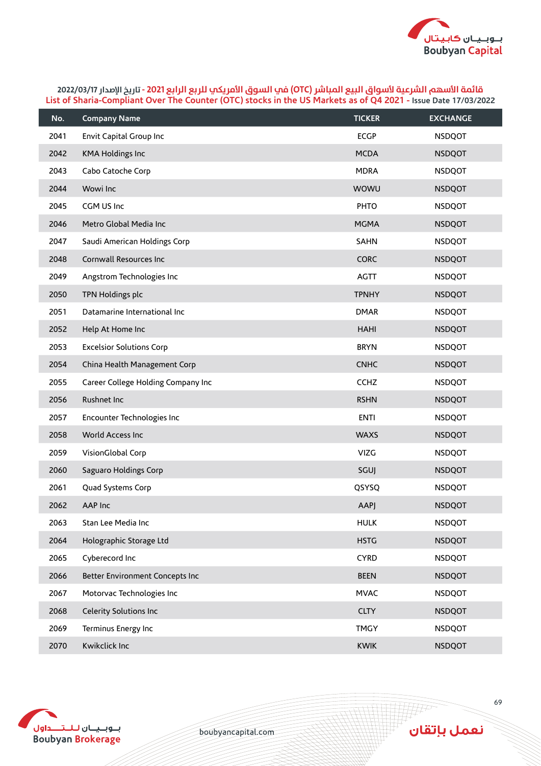

| No.  | <b>Company Name</b>                | <b>TICKER</b> | <b>EXCHANGE</b> |
|------|------------------------------------|---------------|-----------------|
| 2041 | Envit Capital Group Inc            | <b>ECGP</b>   | <b>NSDQOT</b>   |
| 2042 | <b>KMA Holdings Inc</b>            | <b>MCDA</b>   | <b>NSDQOT</b>   |
| 2043 | Cabo Catoche Corp                  | <b>MDRA</b>   | <b>NSDQOT</b>   |
| 2044 | Wowi Inc                           | WOWU          | <b>NSDQOT</b>   |
| 2045 | CGM US Inc                         | <b>PHTO</b>   | <b>NSDQOT</b>   |
| 2046 | Metro Global Media Inc             | <b>MGMA</b>   | <b>NSDQOT</b>   |
| 2047 | Saudi American Holdings Corp       | <b>SAHN</b>   | <b>NSDQOT</b>   |
| 2048 | Cornwall Resources Inc             | <b>CORC</b>   | <b>NSDQOT</b>   |
| 2049 | Angstrom Technologies Inc          | <b>AGTT</b>   | <b>NSDQOT</b>   |
| 2050 | TPN Holdings plc                   | <b>TPNHY</b>  | <b>NSDQOT</b>   |
| 2051 | Datamarine International Inc       | <b>DMAR</b>   | <b>NSDQOT</b>   |
| 2052 | Help At Home Inc                   | HAHI          | <b>NSDQOT</b>   |
| 2053 | <b>Excelsior Solutions Corp</b>    | <b>BRYN</b>   | <b>NSDQOT</b>   |
| 2054 | China Health Management Corp       | <b>CNHC</b>   | <b>NSDQOT</b>   |
| 2055 | Career College Holding Company Inc | <b>CCHZ</b>   | <b>NSDQOT</b>   |
| 2056 | Rushnet Inc                        | <b>RSHN</b>   | <b>NSDQOT</b>   |
| 2057 | Encounter Technologies Inc         | <b>ENTI</b>   | <b>NSDQOT</b>   |
| 2058 | World Access Inc                   | <b>WAXS</b>   | <b>NSDQOT</b>   |
| 2059 | VisionGlobal Corp                  | <b>VIZG</b>   | <b>NSDQOT</b>   |
| 2060 | Saguaro Holdings Corp              | SGUJ          | <b>NSDQOT</b>   |
| 2061 | Quad Systems Corp                  | QSYSQ         | <b>NSDQOT</b>   |
| 2062 | AAP Inc                            | <b>AAPJ</b>   | <b>NSDQOT</b>   |
| 2063 | Stan Lee Media Inc                 | <b>HULK</b>   | <b>NSDQOT</b>   |
| 2064 | Holographic Storage Ltd            | <b>HSTG</b>   | <b>NSDQOT</b>   |
| 2065 | Cyberecord Inc                     | <b>CYRD</b>   | <b>NSDQOT</b>   |
| 2066 | Better Environment Concepts Inc    | <b>BEEN</b>   | <b>NSDQOT</b>   |
| 2067 | Motorvac Technologies Inc          | <b>MVAC</b>   | <b>NSDQOT</b>   |
| 2068 | Celerity Solutions Inc             | <b>CLTY</b>   | <b>NSDQOT</b>   |
| 2069 | Terminus Energy Inc                | <b>TMGY</b>   | <b>NSDQOT</b>   |
| 2070 | Kwikclick Inc                      | <b>KWIK</b>   | <b>NSDQOT</b>   |



boubyancapital.com

**APP**